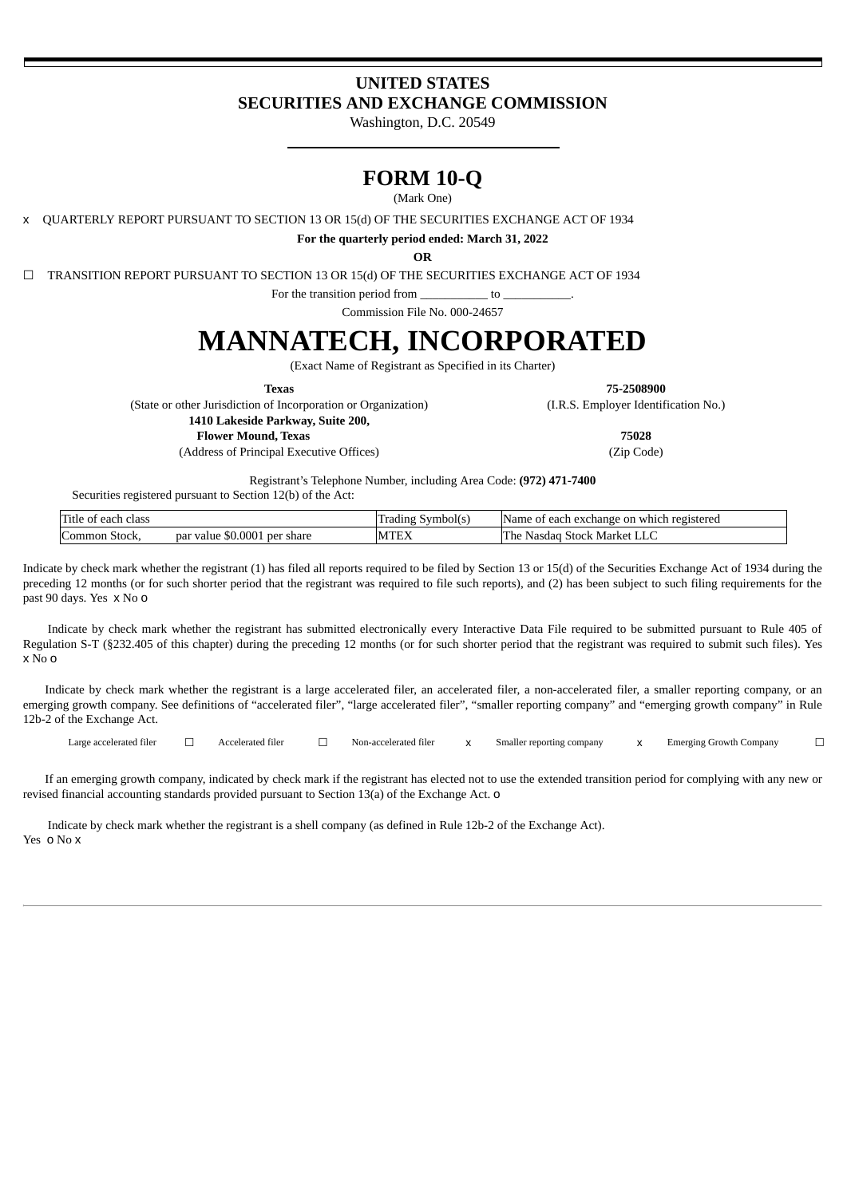## **UNITED STATES SECURITIES AND EXCHANGE COMMISSION**

Washington, D.C. 20549

# **FORM 10-Q**

(Mark One)

x QUARTERLY REPORT PURSUANT TO SECTION 13 OR 15(d) OF THE SECURITIES EXCHANGE ACT OF 1934

**For the quarterly period ended: March 31, 2022**

**OR**

☐ TRANSITION REPORT PURSUANT TO SECTION 13 OR 15(d) OF THE SECURITIES EXCHANGE ACT OF 1934

For the transition period from to

Commission File No. 000-24657

# **MANNATECH, INCORPORATED**

(Exact Name of Registrant as Specified in its Charter)

**Texas 75-2508900**

(State or other Jurisdiction of Incorporation or Organization) (I.R.S. Employer Identification No.)

**1410 Lakeside Parkway, Suite 200,**

**Flower Mound, Texas 75028**

(Address of Principal Executive Offices) (Zip Code)

Registrant's Telephone Number, including Area Code: **(972) 471-7400**

Securities registered pursuant to Section 12(b) of the Act:

| Title<br>each<br>class<br>$\sim$ |                                                 | Symbol(s<br>radıng       | Name<br>registered<br>each<br>exchange<br>on<br>which<br>$\sim$ |
|----------------------------------|-------------------------------------------------|--------------------------|-----------------------------------------------------------------|
| ommon<br>Stock.                  | .000<br>ሓ<br>per share<br>par<br>value :<br>.DU | MT <sup>F</sup><br>L E∡A | The<br>. stock.<br>Nasdad<br>Market<br>بابلانا                  |

Indicate by check mark whether the registrant (1) has filed all reports required to be filed by Section 13 or 15(d) of the Securities Exchange Act of 1934 during the preceding 12 months (or for such shorter period that the registrant was required to file such reports), and (2) has been subject to such filing requirements for the past 90 days. Yes x No o

Indicate by check mark whether the registrant has submitted electronically every Interactive Data File required to be submitted pursuant to Rule 405 of Regulation S-T (§232.405 of this chapter) during the preceding 12 months (or for such shorter period that the registrant was required to submit such files). Yes x No o

Indicate by check mark whether the registrant is a large accelerated filer, an accelerated filer, a non-accelerated filer, a smaller reporting company, or an emerging growth company. See definitions of "accelerated filer", "large accelerated filer", "smaller reporting company" and "emerging growth company" in Rule 12b-2 of the Exchange Act.

Large accelerated filer □ Accelerated filer □ Non-accelerated filer x Smaller reporting company x Emerging Growth Company □

If an emerging growth company, indicated by check mark if the registrant has elected not to use the extended transition period for complying with any new or revised financial accounting standards provided pursuant to Section 13(a) of the Exchange Act. o

Indicate by check mark whether the registrant is a shell company (as defined in Rule 12b-2 of the Exchange Act). Yes o No x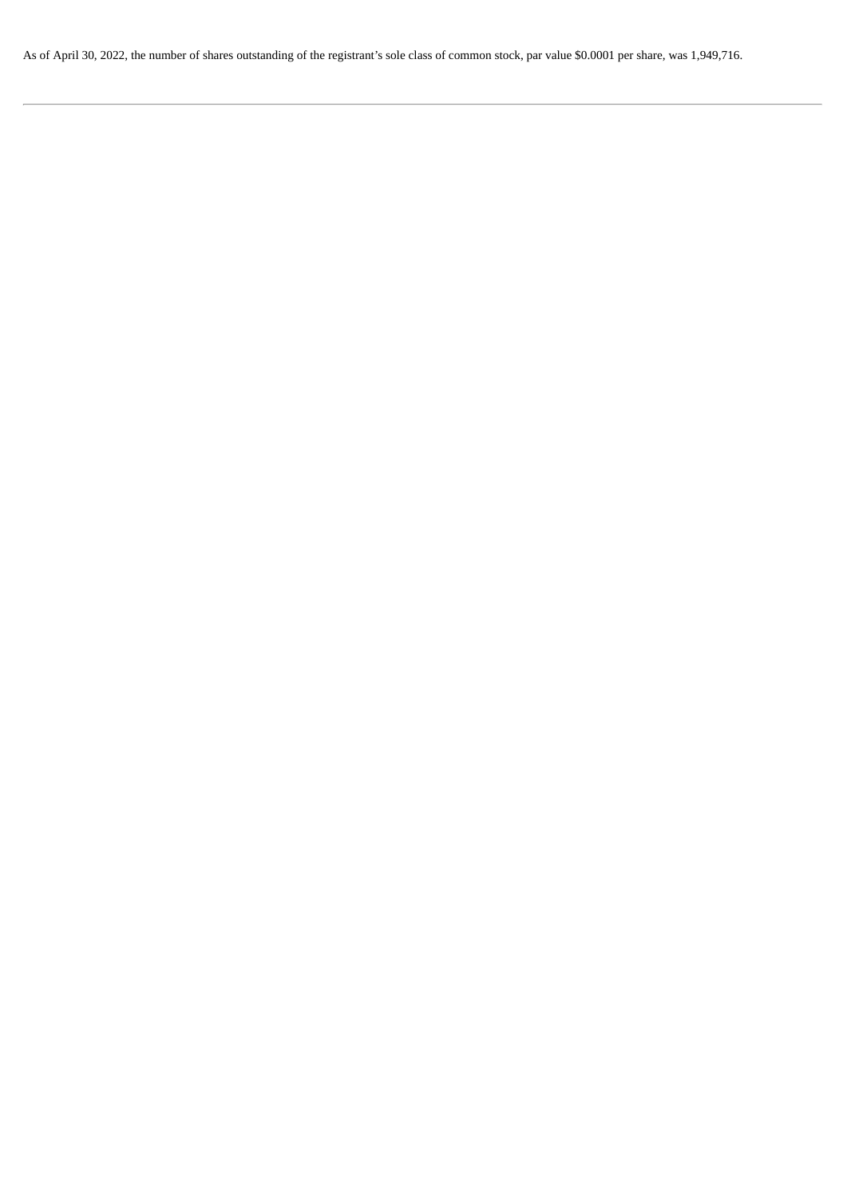<span id="page-1-0"></span>As of April 30, 2022, the number of shares outstanding of the registrant's sole class of common stock, par value \$0.0001 per share, was 1,949,716.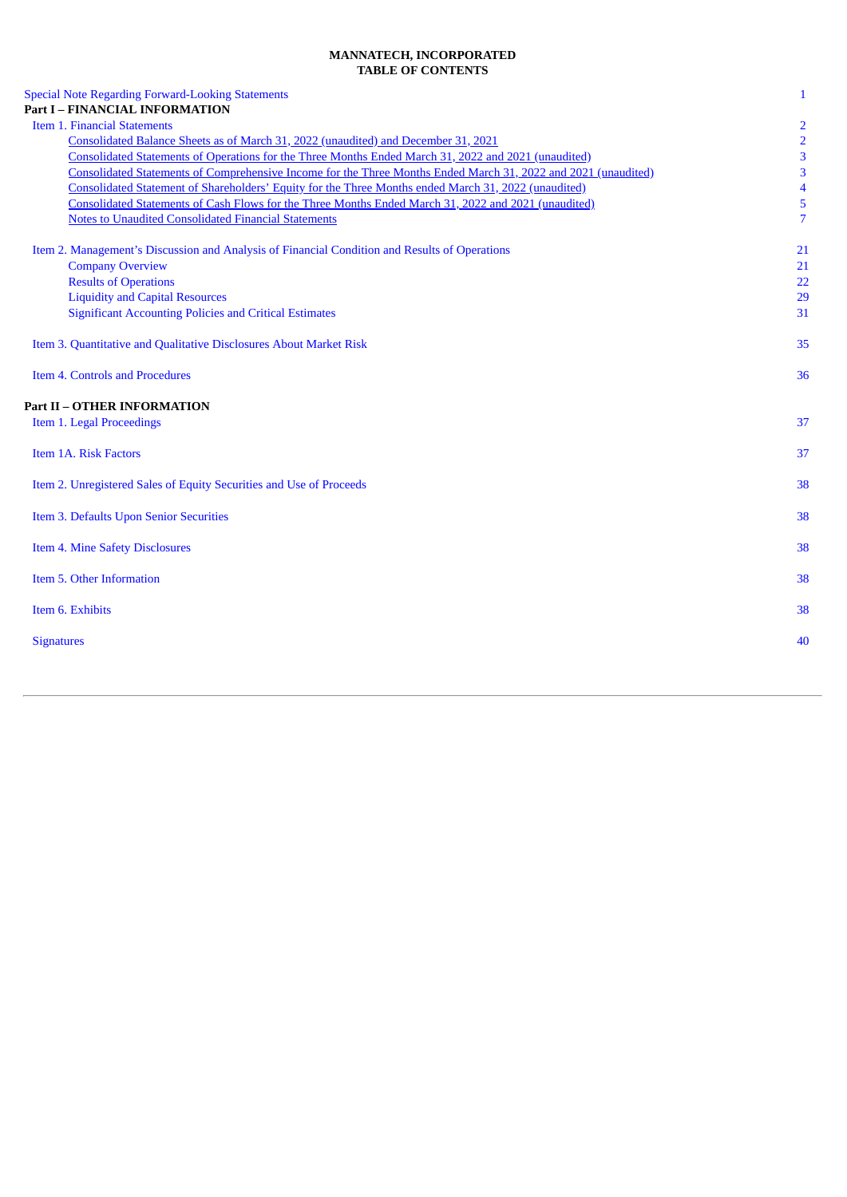### **MANNATECH, INCORPORATED TABLE OF CONTENTS**

<span id="page-2-0"></span>

| <b>Special Note Regarding Forward-Looking Statements</b>                                                       | $\mathbf{1}$            |
|----------------------------------------------------------------------------------------------------------------|-------------------------|
| <b>Part I - FINANCIAL INFORMATION</b>                                                                          |                         |
| <b>Item 1. Financial Statements</b>                                                                            | 2                       |
| Consolidated Balance Sheets as of March 31, 2022 (unaudited) and December 31, 2021                             | $\overline{2}$          |
| Consolidated Statements of Operations for the Three Months Ended March 31, 2022 and 2021 (unaudited)           | 3                       |
| Consolidated Statements of Comprehensive Income for the Three Months Ended March 31, 2022 and 2021 (unaudited) | $\overline{\mathbf{3}}$ |
| Consolidated Statement of Shareholders' Equity for the Three Months ended March 31, 2022 (unaudited)           | $\overline{\mathbf{4}}$ |
| Consolidated Statements of Cash Flows for the Three Months Ended March 31, 2022 and 2021 (unaudited)           | 5                       |
| <b>Notes to Unaudited Consolidated Financial Statements</b>                                                    | $\overline{7}$          |
| Item 2. Management's Discussion and Analysis of Financial Condition and Results of Operations                  | 21                      |
| <b>Company Overview</b>                                                                                        | 21                      |
| <b>Results of Operations</b>                                                                                   | 22                      |
| <b>Liquidity and Capital Resources</b>                                                                         | 29                      |
| <b>Significant Accounting Policies and Critical Estimates</b>                                                  | 31                      |
| Item 3. Quantitative and Qualitative Disclosures About Market Risk                                             | 35                      |
| Item 4. Controls and Procedures                                                                                | 36                      |
| <b>Part II - OTHER INFORMATION</b>                                                                             |                         |
| Item 1. Legal Proceedings                                                                                      | 37                      |
| Item 1A. Risk Factors                                                                                          | 37                      |
| Item 2. Unregistered Sales of Equity Securities and Use of Proceeds                                            | 38                      |
| Item 3. Defaults Upon Senior Securities                                                                        | 38                      |
| Item 4. Mine Safety Disclosures                                                                                | 38                      |
| Item 5. Other Information                                                                                      | 38                      |
| Item 6. Exhibits                                                                                               | 38                      |
| <b>Signatures</b>                                                                                              | 40                      |
|                                                                                                                |                         |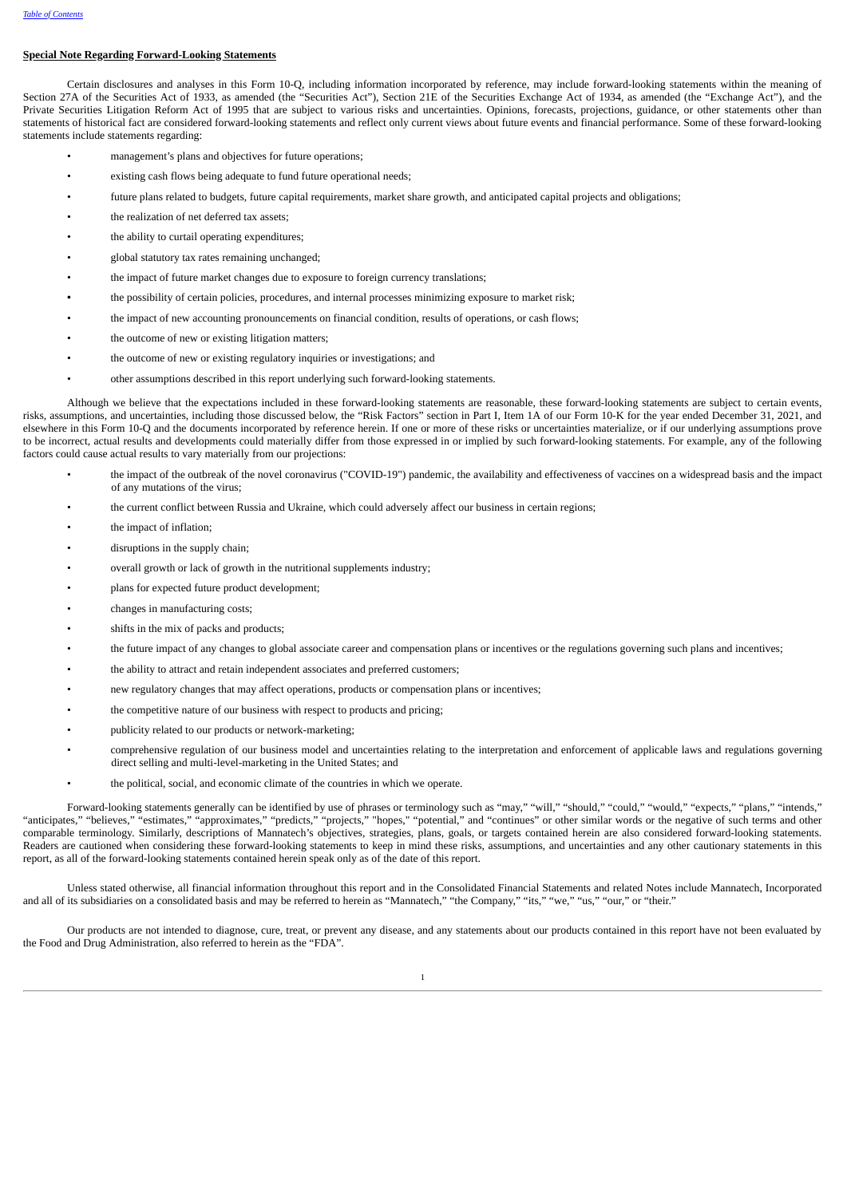#### **Special Note Regarding Forward-Looking Statements**

Certain disclosures and analyses in this Form 10-Q, including information incorporated by reference, may include forward-looking statements within the meaning of Section 27A of the Securities Act of 1933, as amended (the "Securities Act"), Section 21E of the Securities Exchange Act of 1934, as amended (the "Exchange Act"), and the Private Securities Litigation Reform Act of 1995 that are subject to various risks and uncertainties. Opinions, forecasts, projections, guidance, or other statements other than statements of historical fact are considered forward-looking statements and reflect only current views about future events and financial performance. Some of these forward-looking statements include statements regarding:

- management's plans and objectives for future operations;
- existing cash flows being adequate to fund future operational needs:
- future plans related to budgets, future capital requirements, market share growth, and anticipated capital projects and obligations;
- the realization of net deferred tax assets;
- the ability to curtail operating expenditures;
- global statutory tax rates remaining unchanged;
- the impact of future market changes due to exposure to foreign currency translations;
- **•** the possibility of certain policies, procedures, and internal processes minimizing exposure to market risk;
- the impact of new accounting pronouncements on financial condition, results of operations, or cash flows;
- the outcome of new or existing litigation matters;
- the outcome of new or existing regulatory inquiries or investigations; and
- other assumptions described in this report underlying such forward-looking statements.

Although we believe that the expectations included in these forward-looking statements are reasonable, these forward-looking statements are subject to certain events, risks, assumptions, and uncertainties, including those discussed below, the "Risk Factors" section in Part I, Item 1A of our Form 10-K for the year ended December 31, 2021, and elsewhere in this Form 10-Q and the documents incorporated by reference herein. If one or more of these risks or uncertainties materialize, or if our underlying assumptions prove to be incorrect, actual results and developments could materially differ from those expressed in or implied by such forward-looking statements. For example, any of the following factors could cause actual results to vary materially from our projections:

- the impact of the outbreak of the novel coronavirus ("COVID-19") pandemic, the availability and effectiveness of vaccines on a widespread basis and the impact of any mutations of the virus;
- the current conflict between Russia and Ukraine, which could adversely affect our business in certain regions;
- the impact of inflation:
- disruptions in the supply chain:
- overall growth or lack of growth in the nutritional supplements industry;
- plans for expected future product development;
- changes in manufacturing costs;
- shifts in the mix of packs and products;
- the future impact of any changes to global associate career and compensation plans or incentives or the regulations governing such plans and incentives;
- the ability to attract and retain independent associates and preferred customers;
- new regulatory changes that may affect operations, products or compensation plans or incentives;
- the competitive nature of our business with respect to products and pricing;
- publicity related to our products or network-marketing;
- comprehensive regulation of our business model and uncertainties relating to the interpretation and enforcement of applicable laws and regulations governing direct selling and multi-level-marketing in the United States; and
- the political, social, and economic climate of the countries in which we operate.

Forward-looking statements generally can be identified by use of phrases or terminology such as "may," "will," "should," "could," "would," "expects," "plans," "intends," "anticipates," "believes," "estimates," "approximates," "predicts," "projects," "hopes," "potential," and "continues" or other similar words or the negative of such terms and other comparable terminology. Similarly, descriptions of Mannatech's objectives, strategies, plans, goals, or targets contained herein are also considered forward-looking statements. Readers are cautioned when considering these forward-looking statements to keep in mind these risks, assumptions, and uncertainties and any other cautionary statements in this report, as all of the forward-looking statements contained herein speak only as of the date of this report.

Unless stated otherwise, all financial information throughout this report and in the Consolidated Financial Statements and related Notes include Mannatech, Incorporated and all of its subsidiaries on a consolidated basis and may be referred to herein as "Mannatech," "the Company," "its," "we," "us," "our," or "their."

Our products are not intended to diagnose, cure, treat, or prevent any disease, and any statements about our products contained in this report have not been evaluated by the Food and Drug Administration, also referred to herein as the "FDA".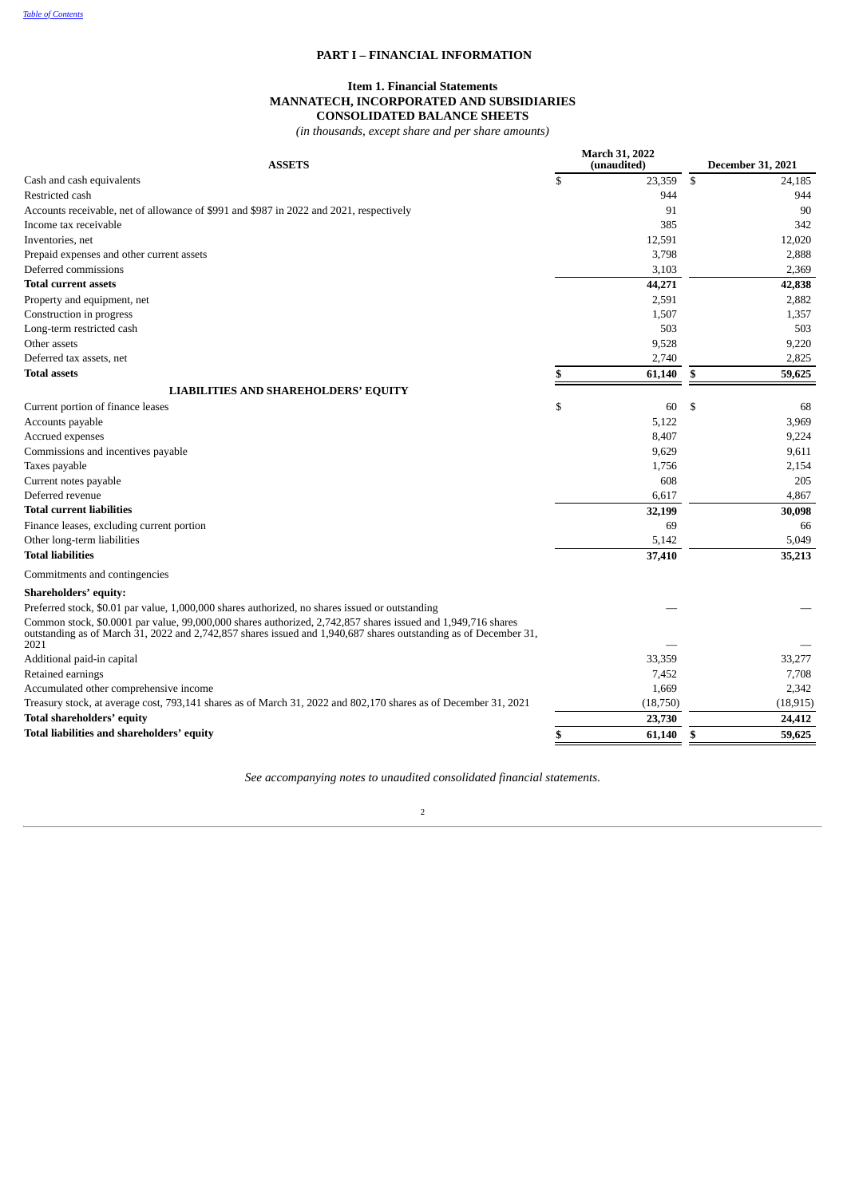### **PART I – FINANCIAL INFORMATION**

### **Item 1. Financial Statements MANNATECH, INCORPORATED AND SUBSIDIARIES CONSOLIDATED BALANCE SHEETS**

*(in thousands, except share and per share amounts)*

<span id="page-4-1"></span><span id="page-4-0"></span>

| <b>ASSETS</b>                                                                                                                                                                                                                            | March 31, 2022<br>(unaudited) | <b>December 31, 2021</b> |
|------------------------------------------------------------------------------------------------------------------------------------------------------------------------------------------------------------------------------------------|-------------------------------|--------------------------|
| Cash and cash equivalents                                                                                                                                                                                                                | \$<br>23,359                  | \$<br>24,185             |
| Restricted cash                                                                                                                                                                                                                          | 944                           | 944                      |
| Accounts receivable, net of allowance of \$991 and \$987 in 2022 and 2021, respectively                                                                                                                                                  | 91                            | 90                       |
| Income tax receivable                                                                                                                                                                                                                    | 385                           | 342                      |
| Inventories, net                                                                                                                                                                                                                         | 12,591                        | 12,020                   |
| Prepaid expenses and other current assets                                                                                                                                                                                                | 3,798                         | 2,888                    |
| Deferred commissions                                                                                                                                                                                                                     | 3,103                         | 2,369                    |
| <b>Total current assets</b>                                                                                                                                                                                                              | 44,271                        | 42,838                   |
| Property and equipment, net                                                                                                                                                                                                              | 2,591                         | 2,882                    |
| Construction in progress                                                                                                                                                                                                                 | 1,507                         | 1,357                    |
| Long-term restricted cash                                                                                                                                                                                                                | 503                           | 503                      |
| Other assets                                                                                                                                                                                                                             | 9,528                         | 9,220                    |
| Deferred tax assets, net                                                                                                                                                                                                                 | 2,740                         | 2,825                    |
| <b>Total assets</b>                                                                                                                                                                                                                      | \$<br>61,140                  | \$<br>59,625             |
| <b>LIABILITIES AND SHAREHOLDERS' EQUITY</b>                                                                                                                                                                                              |                               |                          |
| Current portion of finance leases                                                                                                                                                                                                        | \$<br>60                      | \$<br>68                 |
| Accounts payable                                                                                                                                                                                                                         | 5,122                         | 3,969                    |
| Accrued expenses                                                                                                                                                                                                                         | 8,407                         | 9,224                    |
| Commissions and incentives payable                                                                                                                                                                                                       | 9,629                         | 9,611                    |
| Taxes payable                                                                                                                                                                                                                            | 1,756                         | 2,154                    |
| Current notes payable                                                                                                                                                                                                                    | 608                           | 205                      |
| Deferred revenue                                                                                                                                                                                                                         | 6.617                         | 4.867                    |
| <b>Total current liabilities</b>                                                                                                                                                                                                         | 32,199                        | 30,098                   |
| Finance leases, excluding current portion                                                                                                                                                                                                | 69                            | 66                       |
| Other long-term liabilities                                                                                                                                                                                                              | 5,142                         | 5,049                    |
| <b>Total liabilities</b>                                                                                                                                                                                                                 | 37,410                        | 35,213                   |
| Commitments and contingencies                                                                                                                                                                                                            |                               |                          |
| Shareholders' equity:                                                                                                                                                                                                                    |                               |                          |
| Preferred stock, \$0.01 par value, 1,000,000 shares authorized, no shares issued or outstanding                                                                                                                                          |                               |                          |
| Common stock, \$0.0001 par value, 99,000,000 shares authorized, 2,742,857 shares issued and 1,949,716 shares<br>outstanding as of March 31, 2022 and 2,742,857 shares issued and 1,940,687 shares outstanding as of December 31,<br>2021 |                               |                          |
| Additional paid-in capital                                                                                                                                                                                                               | 33,359                        | 33,277                   |
| Retained earnings                                                                                                                                                                                                                        | 7,452                         | 7,708                    |
| Accumulated other comprehensive income                                                                                                                                                                                                   | 1,669                         | 2,342                    |
| Treasury stock, at average cost, 793,141 shares as of March 31, 2022 and 802,170 shares as of December 31, 2021                                                                                                                          | (18,750)                      | (18, 915)                |
| Total shareholders' equity                                                                                                                                                                                                               | 23,730                        | 24,412                   |
| Total liabilities and shareholders' equity                                                                                                                                                                                               | \$<br>61,140                  | \$<br>59,625             |

<span id="page-4-2"></span>*See accompanying notes to unaudited consolidated financial statements.*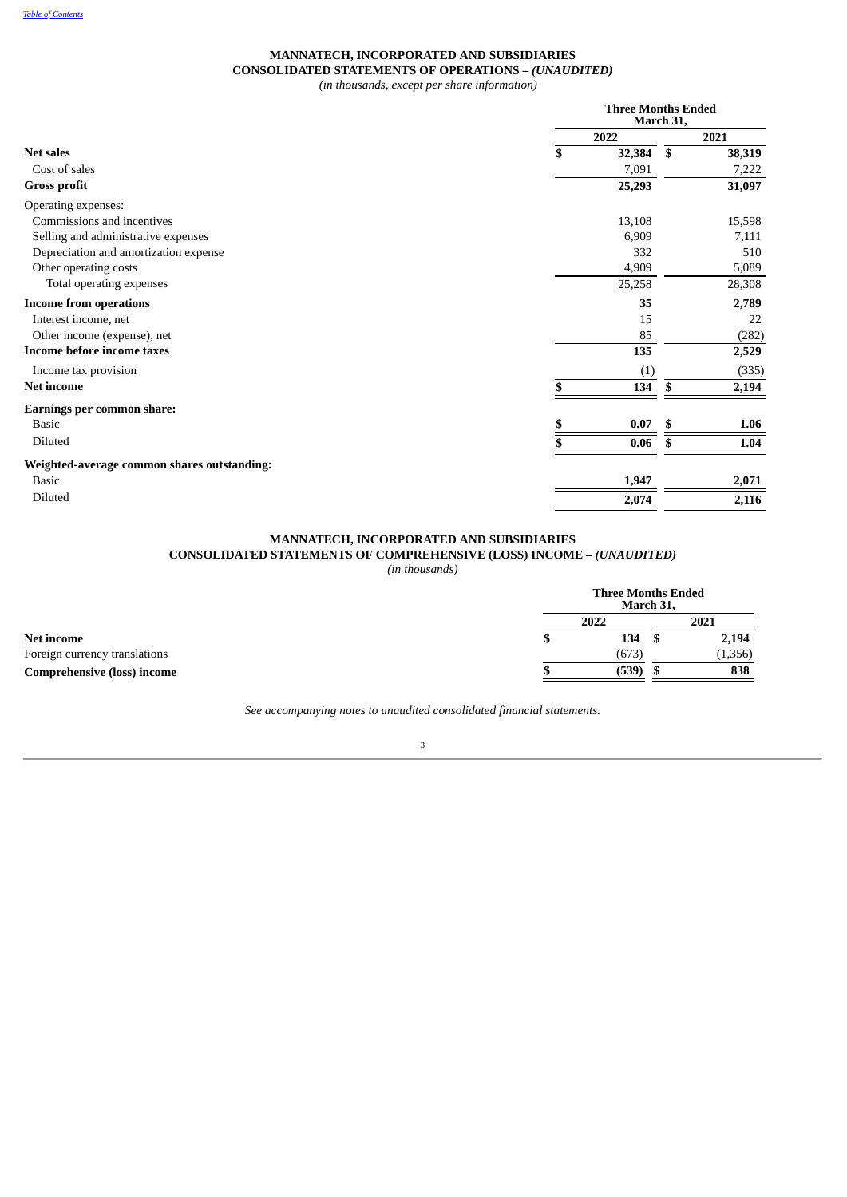### **MANNATECH, INCORPORATED AND SUBSIDIARIES CONSOLIDATED STATEMENTS OF OPERATIONS –** *(UNAUDITED) (in thousands, except per share information)*

|                                             | <b>Three Months Ended</b><br>March 31, |    |        |  |  |  |  |  |
|---------------------------------------------|----------------------------------------|----|--------|--|--|--|--|--|
|                                             | 2022                                   |    | 2021   |  |  |  |  |  |
| <b>Net sales</b>                            | \$<br>32,384 \$                        |    | 38,319 |  |  |  |  |  |
| Cost of sales                               | 7,091                                  |    | 7,222  |  |  |  |  |  |
| <b>Gross profit</b>                         | 25,293                                 |    | 31,097 |  |  |  |  |  |
| Operating expenses:                         |                                        |    |        |  |  |  |  |  |
| Commissions and incentives                  | 13,108                                 |    | 15,598 |  |  |  |  |  |
| Selling and administrative expenses         | 6,909                                  |    | 7,111  |  |  |  |  |  |
| Depreciation and amortization expense       | 332                                    |    | 510    |  |  |  |  |  |
| Other operating costs                       | 4,909                                  |    | 5,089  |  |  |  |  |  |
| Total operating expenses                    | 25,258                                 |    | 28,308 |  |  |  |  |  |
| <b>Income from operations</b>               | 35                                     |    | 2,789  |  |  |  |  |  |
| Interest income, net                        | 15                                     |    | 22     |  |  |  |  |  |
| Other income (expense), net                 | 85                                     |    | (282)  |  |  |  |  |  |
| Income before income taxes                  | 135                                    |    | 2,529  |  |  |  |  |  |
| Income tax provision                        | (1)                                    |    | (335)  |  |  |  |  |  |
| <b>Net income</b>                           | \$<br>134                              | \$ | 2,194  |  |  |  |  |  |
| Earnings per common share:                  |                                        |    |        |  |  |  |  |  |
| <b>Basic</b>                                | 0.07                                   |    | 1.06   |  |  |  |  |  |
| Diluted                                     | 0.06                                   |    | 1.04   |  |  |  |  |  |
| Weighted-average common shares outstanding: |                                        |    |        |  |  |  |  |  |
| <b>Basic</b>                                | 1,947                                  |    | 2,071  |  |  |  |  |  |
| Diluted                                     | 2,074                                  |    | 2,116  |  |  |  |  |  |

#### **MANNATECH, INCORPORATED AND SUBSIDIARIES**

#### **CONSOLIDATED STATEMENTS OF COMPREHENSIVE (LOSS) INCOME –** *(UNAUDITED)*

*(in thousands)*

<span id="page-5-1"></span><span id="page-5-0"></span>

|                                    | <b>Three Months Ended</b> | March 31, |         |
|------------------------------------|---------------------------|-----------|---------|
|                                    | 2022                      |           | 2021    |
| Net income                         | 134                       |           | 2,194   |
| Foreign currency translations      | (673)                     |           | (1,356) |
| <b>Comprehensive (loss) income</b> | (539)                     |           | 838     |

*See accompanying notes to unaudited consolidated financial statements.*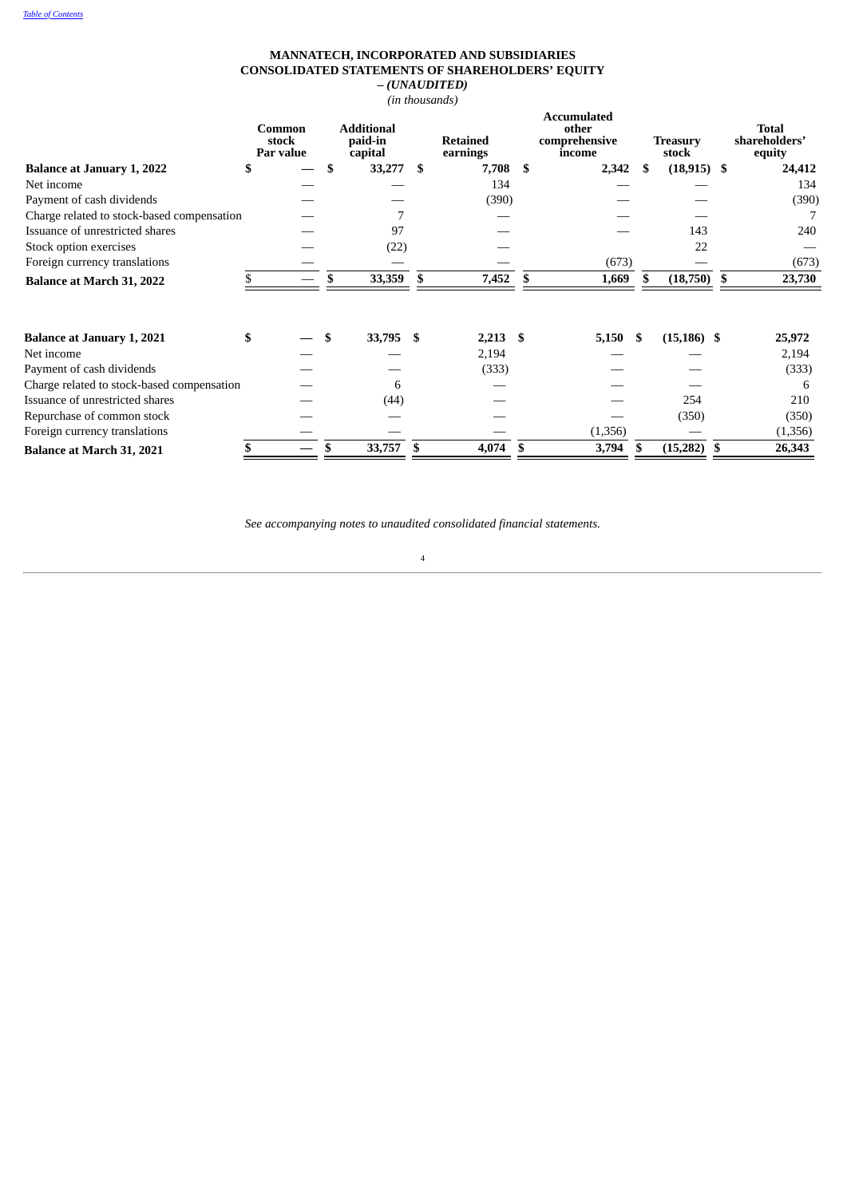### **MANNATECH, INCORPORATED AND SUBSIDIARIES CONSOLIDATED STATEMENTS OF SHAREHOLDERS' EQUITY –** *(UNAUDITED) (in thousands)*

|                                            |    | Common<br>stock<br>Par value | <b>Additional</b><br>paid-in<br>capital | <b>Retained</b><br>earnings |     | Accumulated<br>other<br>comprehensive<br>income |      | <b>Treasury</b><br>stock |      | Total<br>shareholders'<br>equity |
|--------------------------------------------|----|------------------------------|-----------------------------------------|-----------------------------|-----|-------------------------------------------------|------|--------------------------|------|----------------------------------|
| <b>Balance at January 1, 2022</b>          | \$ |                              | \$<br>33,277                            | \$<br>7,708                 | \$  | 2,342                                           | \$   | $(18, 915)$ \$           |      | 24,412                           |
| Net income                                 |    |                              |                                         | 134                         |     |                                                 |      |                          |      | 134                              |
| Payment of cash dividends                  |    |                              |                                         | (390)                       |     |                                                 |      |                          |      | (390)                            |
| Charge related to stock-based compensation |    |                              |                                         |                             |     |                                                 |      |                          |      |                                  |
| Issuance of unrestricted shares            |    |                              | 97                                      |                             |     |                                                 |      | 143                      |      | 240                              |
| Stock option exercises                     |    |                              | (22)                                    |                             |     |                                                 |      | 22                       |      |                                  |
| Foreign currency translations              |    |                              |                                         |                             |     | (673)                                           |      |                          |      | (673)                            |
| <b>Balance at March 31, 2022</b>           |    |                              | 33,359                                  | \$<br>7,452                 | S.  | 1,669                                           | S.   | (18,750)                 | - \$ | 23,730                           |
|                                            |    |                              |                                         |                             |     |                                                 |      |                          |      |                                  |
| <b>Balance at January 1, 2021</b>          | S  |                              | \$<br>33,795 \$                         | $2,213$ \$                  |     | 5,150                                           | - \$ | $(15, 186)$ \$           |      | 25,972                           |
| Net income                                 |    |                              |                                         | 2,194                       |     |                                                 |      |                          |      | 2,194                            |
| Payment of cash dividends                  |    |                              |                                         | (333)                       |     |                                                 |      |                          |      | (333)                            |
| Charge related to stock-based compensation |    |                              | 6                                       |                             |     |                                                 |      |                          |      | 6                                |
| Issuance of unrestricted shares            |    |                              | (44)                                    |                             |     |                                                 |      | 254                      |      | 210                              |
| Repurchase of common stock                 |    |                              |                                         |                             |     |                                                 |      | (350)                    |      | (350)                            |
| Foreign currency translations              |    |                              |                                         |                             |     | (1,356)                                         |      |                          |      | (1,356)                          |
| Balance at March 31, 2021                  |    |                              | 33,757                                  | \$<br>4,074                 | -\$ | 3,794                                           | \$   | (15, 282)                | \$   | 26,343                           |

<span id="page-6-0"></span>*See accompanying notes to unaudited consolidated financial statements.*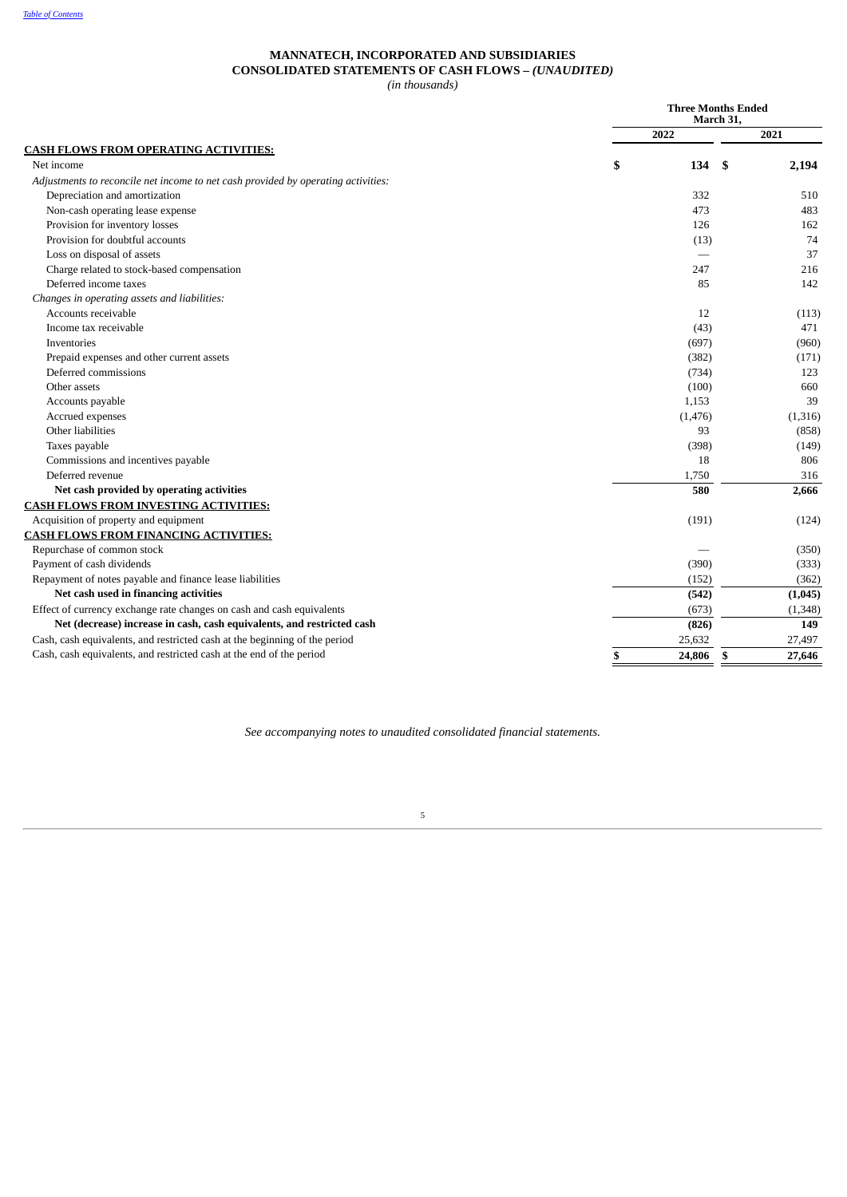### **MANNATECH, INCORPORATED AND SUBSIDIARIES CONSOLIDATED STATEMENTS OF CASH FLOWS –** *(UNAUDITED) (in thousands)*

|                                                                                   |        | March 31,    | <b>Three Months Ended</b> |  |  |
|-----------------------------------------------------------------------------------|--------|--------------|---------------------------|--|--|
|                                                                                   | 2022   |              | 2021                      |  |  |
| <b>CASH FLOWS FROM OPERATING ACTIVITIES:</b>                                      |        |              |                           |  |  |
| Net income                                                                        | \$     | 134<br>\$    | 2,194                     |  |  |
| Adjustments to reconcile net income to net cash provided by operating activities: |        |              |                           |  |  |
| Depreciation and amortization                                                     |        | 332          | 510                       |  |  |
| Non-cash operating lease expense                                                  |        | 473          | 483                       |  |  |
| Provision for inventory losses                                                    |        | 126          | 162                       |  |  |
| Provision for doubtful accounts                                                   |        | (13)         | 74                        |  |  |
| Loss on disposal of assets                                                        |        | -            | 37                        |  |  |
| Charge related to stock-based compensation                                        |        | 247          | 216                       |  |  |
| Deferred income taxes                                                             |        | 85           | 142                       |  |  |
| Changes in operating assets and liabilities:                                      |        |              |                           |  |  |
| Accounts receivable                                                               |        | 12           | (113)                     |  |  |
| Income tax receivable                                                             |        | (43)         | 471                       |  |  |
| <b>Inventories</b>                                                                |        | (697)        | (960)                     |  |  |
| Prepaid expenses and other current assets                                         |        | (382)        | (171)                     |  |  |
| Deferred commissions                                                              |        | (734)        | 123                       |  |  |
| Other assets                                                                      |        | (100)        | 660                       |  |  |
| Accounts payable                                                                  |        | 1,153        | 39                        |  |  |
| Accrued expenses                                                                  |        | (1, 476)     | (1, 316)                  |  |  |
| Other liabilities                                                                 |        | 93           | (858)                     |  |  |
| Taxes payable                                                                     |        | (398)        | (149)                     |  |  |
| Commissions and incentives payable                                                |        | 18           | 806                       |  |  |
| Deferred revenue                                                                  |        | 1,750        | 316                       |  |  |
| Net cash provided by operating activities                                         |        | 580          | 2,666                     |  |  |
| <b>CASH FLOWS FROM INVESTING ACTIVITIES:</b>                                      |        |              |                           |  |  |
| Acquisition of property and equipment                                             |        | (191)        | (124)                     |  |  |
| <b>CASH FLOWS FROM FINANCING ACTIVITIES:</b>                                      |        |              |                           |  |  |
| Repurchase of common stock                                                        |        |              | (350)                     |  |  |
| Payment of cash dividends                                                         |        | (390)        | (333)                     |  |  |
| Repayment of notes payable and finance lease liabilities                          |        | (152)        | (362)                     |  |  |
| Net cash used in financing activities                                             |        | (542)        | (1,045)                   |  |  |
| Effect of currency exchange rate changes on cash and cash equivalents             |        | (673)        | (1,348)                   |  |  |
| Net (decrease) increase in cash, cash equivalents, and restricted cash            |        | (826)        | 149                       |  |  |
| Cash, cash equivalents, and restricted cash at the beginning of the period        | 25,632 |              | 27,497                    |  |  |
| Cash, cash equivalents, and restricted cash at the end of the period              | \$     | 24,806<br>\$ | 27,646                    |  |  |

*See accompanying notes to unaudited consolidated financial statements.*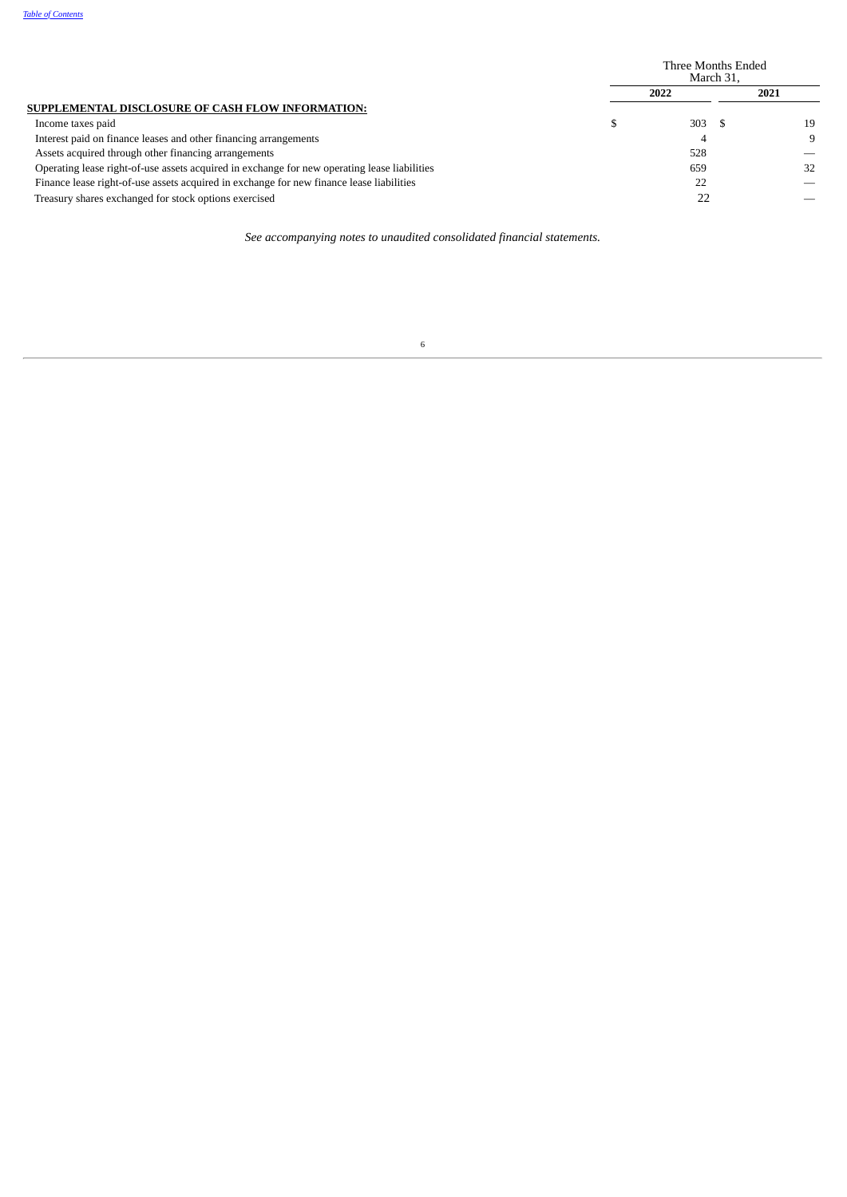|                                                                                              | Three Months Ended<br>March 31. |      |    |
|----------------------------------------------------------------------------------------------|---------------------------------|------|----|
|                                                                                              | 2022                            | 2021 |    |
| SUPPLEMENTAL DISCLOSURE OF CASH FLOW INFORMATION:                                            |                                 |      |    |
| Income taxes paid                                                                            | 303                             |      | 19 |
| Interest paid on finance leases and other financing arrangements                             |                                 |      | 9  |
| Assets acquired through other financing arrangements                                         | 528                             |      |    |
| Operating lease right-of-use assets acquired in exchange for new operating lease liabilities | 659                             |      | 32 |
| Finance lease right-of-use assets acquired in exchange for new finance lease liabilities     | 22                              |      |    |
| Treasury shares exchanged for stock options exercised                                        | 22                              |      |    |
|                                                                                              |                                 |      |    |

<span id="page-8-0"></span>*See accompanying notes to unaudited consolidated financial statements.*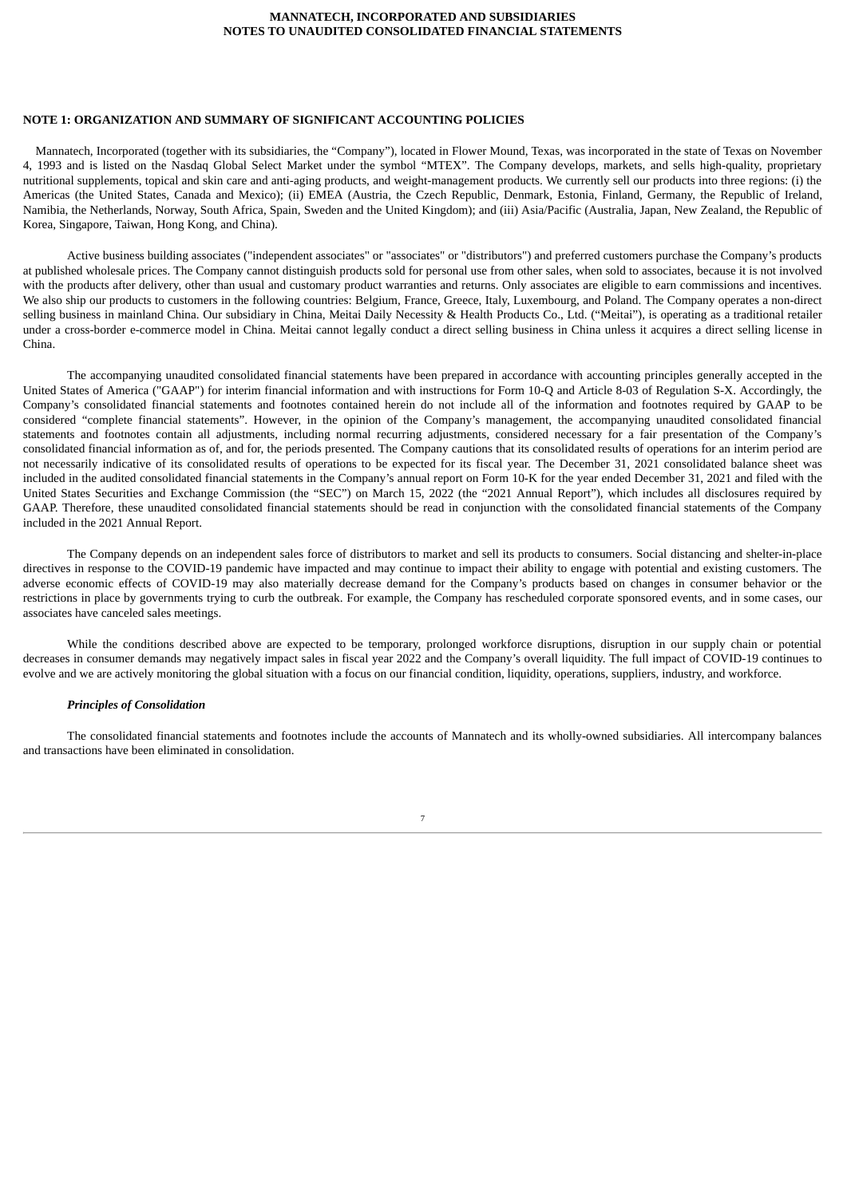#### **NOTE 1: ORGANIZATION AND SUMMARY OF SIGNIFICANT ACCOUNTING POLICIES**

Mannatech, Incorporated (together with its subsidiaries, the "Company"), located in Flower Mound, Texas, was incorporated in the state of Texas on November 4, 1993 and is listed on the Nasdaq Global Select Market under the symbol "MTEX". The Company develops, markets, and sells high-quality, proprietary nutritional supplements, topical and skin care and anti-aging products, and weight-management products. We currently sell our products into three regions: (i) the Americas (the United States, Canada and Mexico); (ii) EMEA (Austria, the Czech Republic, Denmark, Estonia, Finland, Germany, the Republic of Ireland, Namibia, the Netherlands, Norway, South Africa, Spain, Sweden and the United Kingdom); and (iii) Asia/Pacific (Australia, Japan, New Zealand, the Republic of Korea, Singapore, Taiwan, Hong Kong, and China).

Active business building associates ("independent associates" or "associates" or "distributors") and preferred customers purchase the Company's products at published wholesale prices. The Company cannot distinguish products sold for personal use from other sales, when sold to associates, because it is not involved with the products after delivery, other than usual and customary product warranties and returns. Only associates are eligible to earn commissions and incentives. We also ship our products to customers in the following countries: Belgium, France, Greece, Italy, Luxembourg, and Poland. The Company operates a non-direct selling business in mainland China. Our subsidiary in China, Meitai Daily Necessity & Health Products Co., Ltd. ("Meitai"), is operating as a traditional retailer under a cross-border e-commerce model in China. Meitai cannot legally conduct a direct selling business in China unless it acquires a direct selling license in China.

The accompanying unaudited consolidated financial statements have been prepared in accordance with accounting principles generally accepted in the United States of America ("GAAP") for interim financial information and with instructions for Form 10-Q and Article 8-03 of Regulation S-X. Accordingly, the Company's consolidated financial statements and footnotes contained herein do not include all of the information and footnotes required by GAAP to be considered "complete financial statements". However, in the opinion of the Company's management, the accompanying unaudited consolidated financial statements and footnotes contain all adjustments, including normal recurring adjustments, considered necessary for a fair presentation of the Company's consolidated financial information as of, and for, the periods presented. The Company cautions that its consolidated results of operations for an interim period are not necessarily indicative of its consolidated results of operations to be expected for its fiscal year. The December 31, 2021 consolidated balance sheet was included in the audited consolidated financial statements in the Company's annual report on Form 10-K for the year ended December 31, 2021 and filed with the United States Securities and Exchange Commission (the "SEC") on March 15, 2022 (the "2021 Annual Report"), which includes all disclosures required by GAAP. Therefore, these unaudited consolidated financial statements should be read in conjunction with the consolidated financial statements of the Company included in the 2021 Annual Report.

The Company depends on an independent sales force of distributors to market and sell its products to consumers. Social distancing and shelter-in-place directives in response to the COVID-19 pandemic have impacted and may continue to impact their ability to engage with potential and existing customers. The adverse economic effects of COVID-19 may also materially decrease demand for the Company's products based on changes in consumer behavior or the restrictions in place by governments trying to curb the outbreak. For example, the Company has rescheduled corporate sponsored events, and in some cases, our associates have canceled sales meetings.

While the conditions described above are expected to be temporary, prolonged workforce disruptions, disruption in our supply chain or potential decreases in consumer demands may negatively impact sales in fiscal year 2022 and the Company's overall liquidity. The full impact of COVID-19 continues to evolve and we are actively monitoring the global situation with a focus on our financial condition, liquidity, operations, suppliers, industry, and workforce.

#### *Principles of Consolidation*

The consolidated financial statements and footnotes include the accounts of Mannatech and its wholly-owned subsidiaries. All intercompany balances and transactions have been eliminated in consolidation.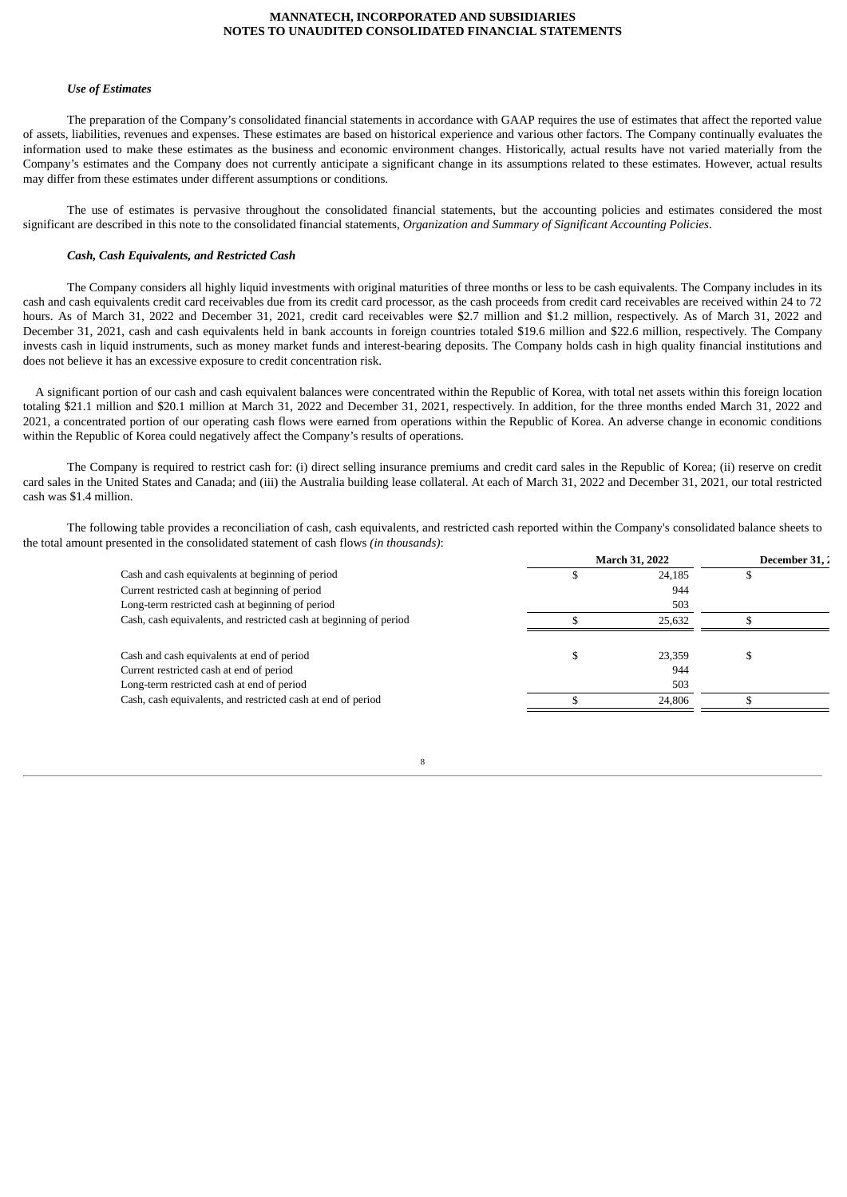#### *Use of Estimates*

The preparation of the Company's consolidated financial statements in accordance with GAAP requires the use of estimates that affect the reported value of assets, liabilities, revenues and expenses. These estimates are based on historical experience and various other factors. The Company continually evaluates the information used to make these estimates as the business and economic environment changes. Historically, actual results have not varied materially from the Company's estimates and the Company does not currently anticipate a significant change in its assumptions related to these estimates. However, actual results may differ from these estimates under different assumptions or conditions.

The use of estimates is pervasive throughout the consolidated financial statements, but the accounting policies and estimates considered the most significant are described in this note to the consolidated financial statements, *Organization and Summary of Significant Accounting Policies*.

#### *Cash, Cash Equivalents, and Restricted Cash*

The Company considers all highly liquid investments with original maturities of three months or less to be cash equivalents. The Company includes in its cash and cash equivalents credit card receivables due from its credit card processor, as the cash proceeds from credit card receivables are received within 24 to 72 hours. As of March 31, 2022 and December 31, 2021, credit card receivables were \$2.7 million and \$1.2 million, respectively. As of March 31, 2022 and December 31, 2021, cash and cash equivalents held in bank accounts in foreign countries totaled \$19.6 million and \$22.6 million, respectively. The Company invests cash in liquid instruments, such as money market funds and interest-bearing deposits. The Company holds cash in high quality financial institutions and does not believe it has an excessive exposure to credit concentration risk.

A significant portion of our cash and cash equivalent balances were concentrated within the Republic of Korea, with total net assets within this foreign location totaling \$21.1 million and \$20.1 million at March 31, 2022 and December 31, 2021, respectively. In addition, for the three months ended March 31, 2022 and 2021, a concentrated portion of our operating cash flows were earned from operations within the Republic of Korea. An adverse change in economic conditions within the Republic of Korea could negatively affect the Company's results of operations.

The Company is required to restrict cash for: (i) direct selling insurance premiums and credit card sales in the Republic of Korea; (ii) reserve on credit card sales in the United States and Canada; and (iii) the Australia building lease collateral. At each of March 31, 2022 and December 31, 2021, our total restricted cash was \$1.4 million.

The following table provides a reconciliation of cash, cash equivalents, and restricted cash reported within the Company's consolidated balance sheets to the total amount presented in the consolidated statement of cash flows *(in thousands)*:

|                                                                    | <b>March 31, 2022</b> | December 31, 2 |
|--------------------------------------------------------------------|-----------------------|----------------|
| Cash and cash equivalents at beginning of period                   | 24,185                |                |
| Current restricted cash at beginning of period                     | 944                   |                |
| Long-term restricted cash at beginning of period                   | 503                   |                |
| Cash, cash equivalents, and restricted cash at beginning of period | 25.632                |                |
| Cash and cash equivalents at end of period                         | 23,359                |                |
| Current restricted cash at end of period                           | 944                   |                |
| Long-term restricted cash at end of period                         | 503                   |                |
| Cash, cash equivalents, and restricted cash at end of period       | 24,806                |                |
|                                                                    |                       |                |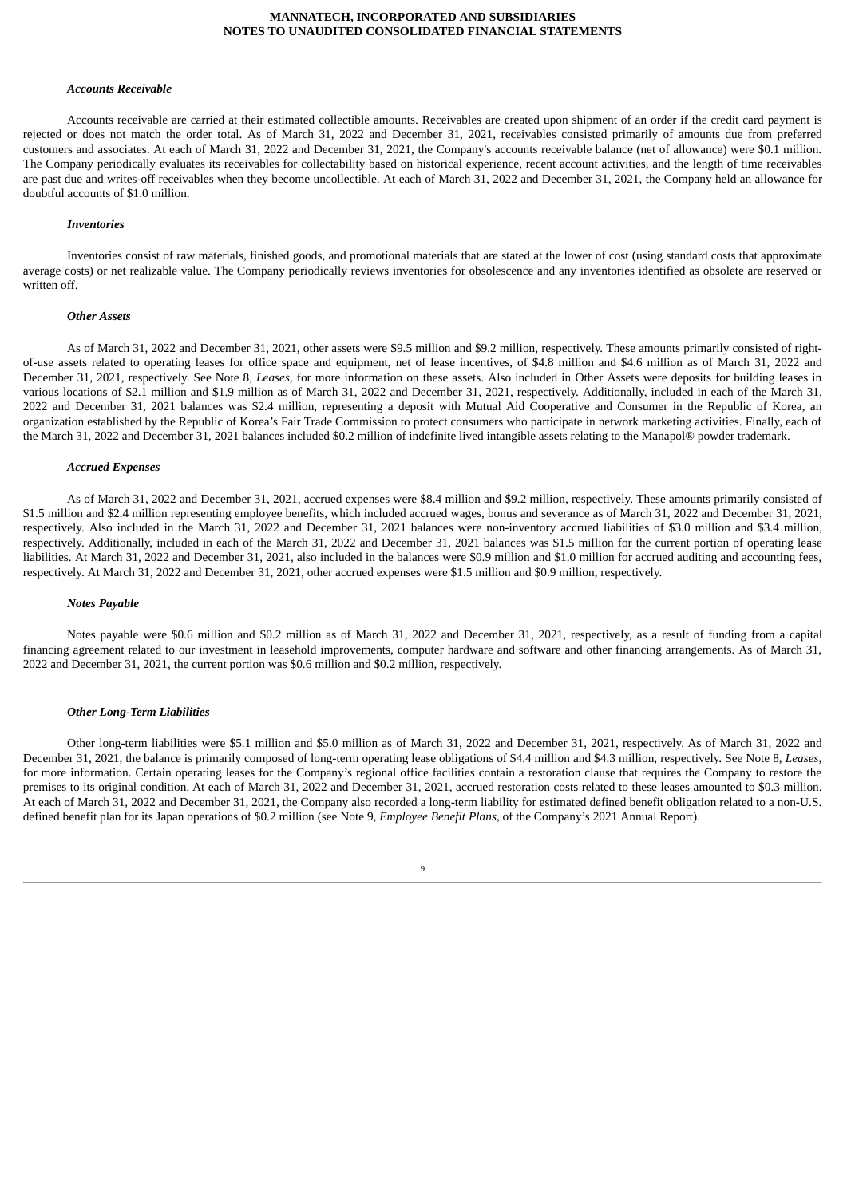#### *Accounts Receivable*

Accounts receivable are carried at their estimated collectible amounts. Receivables are created upon shipment of an order if the credit card payment is rejected or does not match the order total. As of March 31, 2022 and December 31, 2021, receivables consisted primarily of amounts due from preferred customers and associates. At each of March 31, 2022 and December 31, 2021, the Company's accounts receivable balance (net of allowance) were \$0.1 million. The Company periodically evaluates its receivables for collectability based on historical experience, recent account activities, and the length of time receivables are past due and writes-off receivables when they become uncollectible. At each of March 31, 2022 and December 31, 2021, the Company held an allowance for doubtful accounts of \$1.0 million.

#### *Inventories*

Inventories consist of raw materials, finished goods, and promotional materials that are stated at the lower of cost (using standard costs that approximate average costs) or net realizable value. The Company periodically reviews inventories for obsolescence and any inventories identified as obsolete are reserved or written off.

#### *Other Assets*

As of March 31, 2022 and December 31, 2021, other assets were \$9.5 million and \$9.2 million, respectively. These amounts primarily consisted of rightof-use assets related to operating leases for office space and equipment, net of lease incentives, of \$4.8 million and \$4.6 million as of March 31, 2022 and December 31, 2021, respectively. See Note 8, *Leases,* for more information on these assets. Also included in Other Assets were deposits for building leases in various locations of \$2.1 million and \$1.9 million as of March 31, 2022 and December 31, 2021, respectively. Additionally, included in each of the March 31, 2022 and December 31, 2021 balances was \$2.4 million, representing a deposit with Mutual Aid Cooperative and Consumer in the Republic of Korea, an organization established by the Republic of Korea's Fair Trade Commission to protect consumers who participate in network marketing activities. Finally, each of the March 31, 2022 and December 31, 2021 balances included \$0.2 million of indefinite lived intangible assets relating to the Manapol® powder trademark.

#### *Accrued Expenses*

As of March 31, 2022 and December 31, 2021, accrued expenses were \$8.4 million and \$9.2 million, respectively. These amounts primarily consisted of \$1.5 million and \$2.4 million representing employee benefits, which included accrued wages, bonus and severance as of March 31, 2022 and December 31, 2021, respectively. Also included in the March 31, 2022 and December 31, 2021 balances were non-inventory accrued liabilities of \$3.0 million and \$3.4 million, respectively. Additionally, included in each of the March 31, 2022 and December 31, 2021 balances was \$1.5 million for the current portion of operating lease liabilities. At March 31, 2022 and December 31, 2021, also included in the balances were \$0.9 million and \$1.0 million for accrued auditing and accounting fees, respectively. At March 31, 2022 and December 31, 2021, other accrued expenses were \$1.5 million and \$0.9 million, respectively.

#### *Notes Payable*

Notes payable were \$0.6 million and \$0.2 million as of March 31, 2022 and December 31, 2021, respectively, as a result of funding from a capital financing agreement related to our investment in leasehold improvements, computer hardware and software and other financing arrangements. As of March 31, 2022 and December 31, 2021, the current portion was \$0.6 million and \$0.2 million, respectively.

#### *Other Long-Term Liabilities*

Other long-term liabilities were \$5.1 million and \$5.0 million as of March 31, 2022 and December 31, 2021, respectively. As of March 31, 2022 and December 31, 2021, the balance is primarily composed of long-term operating lease obligations of \$4.4 million and \$4.3 million, respectively. See Note 8, *Leases,* for more information. Certain operating leases for the Company's regional office facilities contain a restoration clause that requires the Company to restore the premises to its original condition. At each of March 31, 2022 and December 31, 2021, accrued restoration costs related to these leases amounted to \$0.3 million. At each of March 31, 2022 and December 31, 2021, the Company also recorded a long-term liability for estimated defined benefit obligation related to a non-U.S. defined benefit plan for its Japan operations of \$0.2 million (see Note 9, *Employee Benefit Plans*, of the Company's 2021 Annual Report).

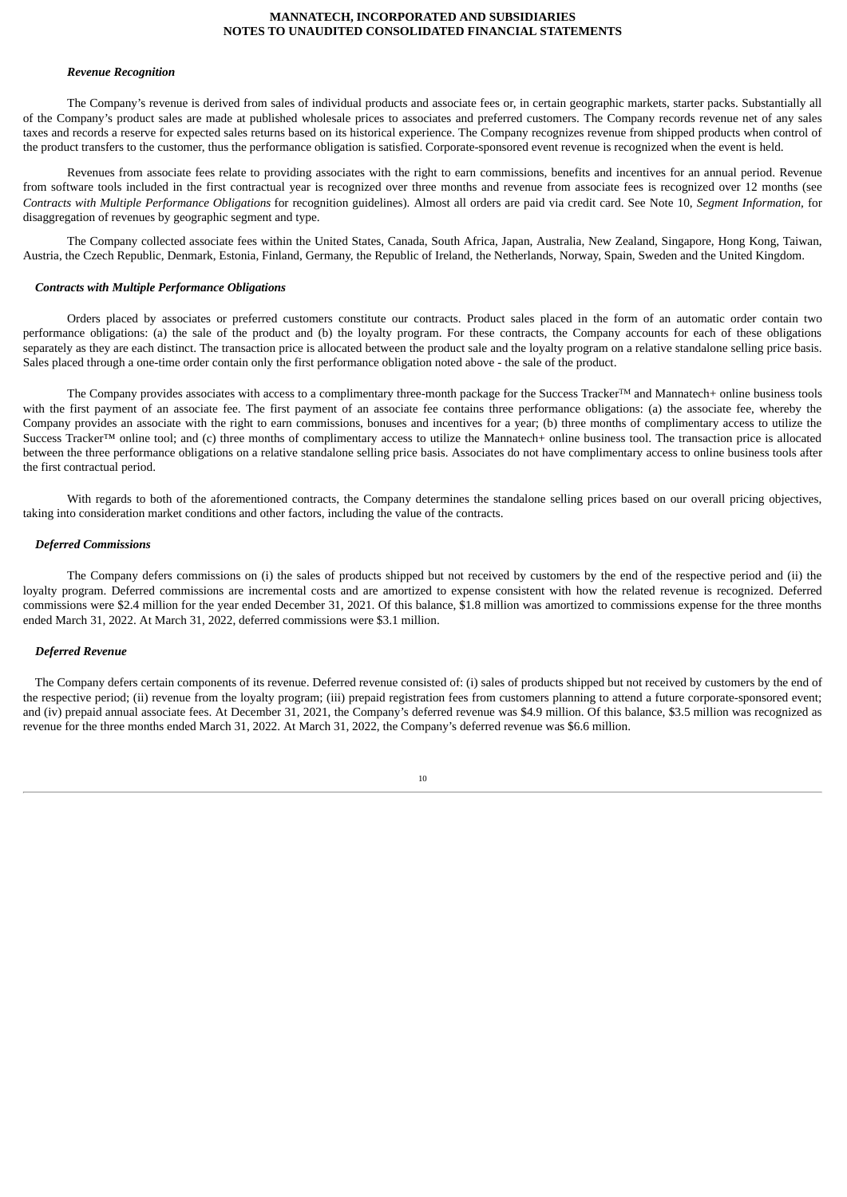#### *Revenue Recognition*

The Company's revenue is derived from sales of individual products and associate fees or, in certain geographic markets, starter packs. Substantially all of the Company's product sales are made at published wholesale prices to associates and preferred customers. The Company records revenue net of any sales taxes and records a reserve for expected sales returns based on its historical experience. The Company recognizes revenue from shipped products when control of the product transfers to the customer, thus the performance obligation is satisfied. Corporate-sponsored event revenue is recognized when the event is held.

Revenues from associate fees relate to providing associates with the right to earn commissions, benefits and incentives for an annual period. Revenue from software tools included in the first contractual year is recognized over three months and revenue from associate fees is recognized over 12 months (see *Contracts with Multiple Performance Obligations* for recognition guidelines). Almost all orders are paid via credit card. See Note 10, *Segment Information,* for disaggregation of revenues by geographic segment and type.

The Company collected associate fees within the United States, Canada, South Africa, Japan, Australia, New Zealand, Singapore, Hong Kong, Taiwan, Austria, the Czech Republic, Denmark, Estonia, Finland, Germany, the Republic of Ireland, the Netherlands, Norway, Spain, Sweden and the United Kingdom.

#### *Contracts with Multiple Performance Obligations*

Orders placed by associates or preferred customers constitute our contracts. Product sales placed in the form of an automatic order contain two performance obligations: (a) the sale of the product and (b) the loyalty program. For these contracts, the Company accounts for each of these obligations separately as they are each distinct. The transaction price is allocated between the product sale and the loyalty program on a relative standalone selling price basis. Sales placed through a one-time order contain only the first performance obligation noted above - the sale of the product.

The Company provides associates with access to a complimentary three-month package for the Success Tracker<sup>TM</sup> and Mannatech+ online business tools with the first payment of an associate fee. The first payment of an associate fee contains three performance obligations: (a) the associate fee, whereby the Company provides an associate with the right to earn commissions, bonuses and incentives for a year; (b) three months of complimentary access to utilize the Success Tracker™ online tool; and (c) three months of complimentary access to utilize the Mannatech+ online business tool. The transaction price is allocated between the three performance obligations on a relative standalone selling price basis. Associates do not have complimentary access to online business tools after the first contractual period.

With regards to both of the aforementioned contracts, the Company determines the standalone selling prices based on our overall pricing objectives, taking into consideration market conditions and other factors, including the value of the contracts.

#### *Deferred Commissions*

The Company defers commissions on (i) the sales of products shipped but not received by customers by the end of the respective period and (ii) the loyalty program. Deferred commissions are incremental costs and are amortized to expense consistent with how the related revenue is recognized. Deferred commissions were \$2.4 million for the year ended December 31, 2021. Of this balance, \$1.8 million was amortized to commissions expense for the three months ended March 31, 2022. At March 31, 2022, deferred commissions were \$3.1 million.

#### *Deferred Revenue*

The Company defers certain components of its revenue. Deferred revenue consisted of: (i) sales of products shipped but not received by customers by the end of the respective period; (ii) revenue from the loyalty program; (iii) prepaid registration fees from customers planning to attend a future corporate-sponsored event; and (iv) prepaid annual associate fees. At December 31, 2021, the Company's deferred revenue was \$4.9 million. Of this balance, \$3.5 million was recognized as revenue for the three months ended March 31, 2022. At March 31, 2022, the Company's deferred revenue was \$6.6 million.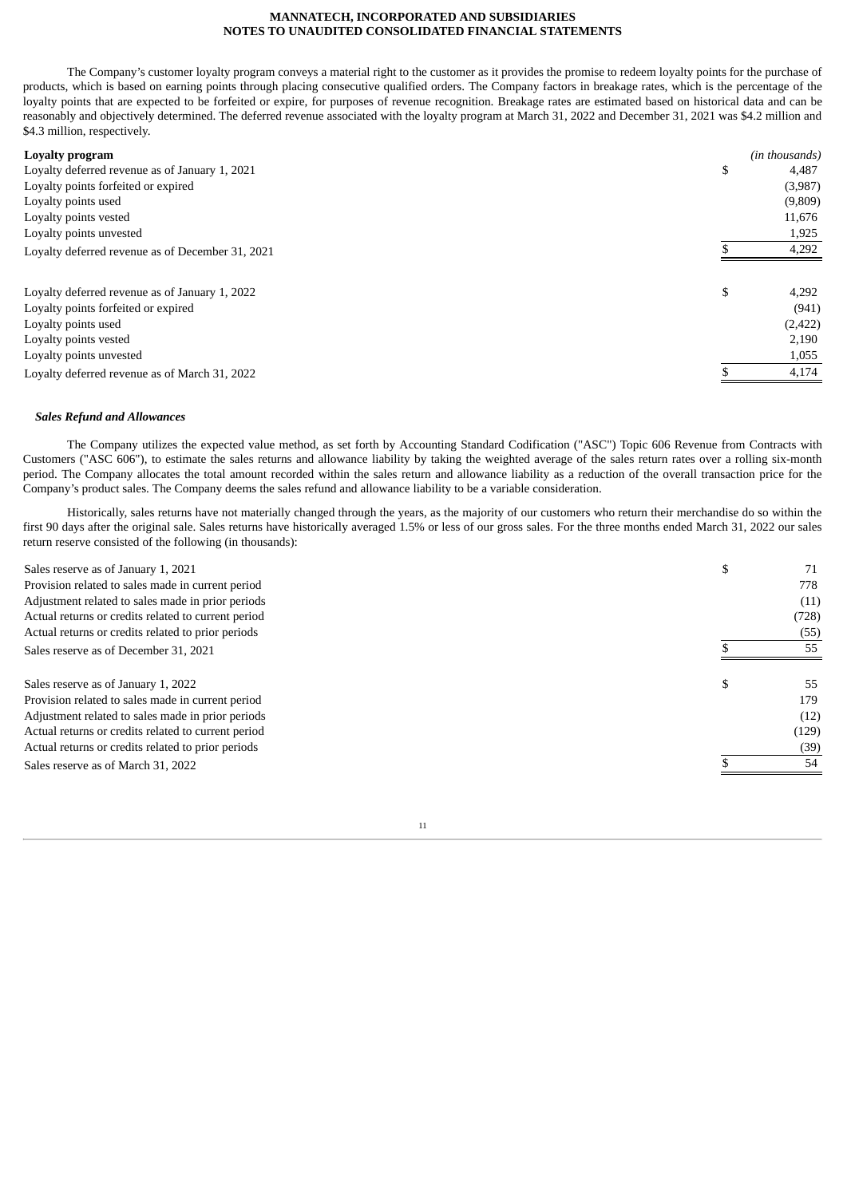The Company's customer loyalty program conveys a material right to the customer as it provides the promise to redeem loyalty points for the purchase of products, which is based on earning points through placing consecutive qualified orders. The Company factors in breakage rates, which is the percentage of the loyalty points that are expected to be forfeited or expire, for purposes of revenue recognition. Breakage rates are estimated based on historical data and can be reasonably and objectively determined. The deferred revenue associated with the loyalty program at March 31, 2022 and December 31, 2021 was \$4.2 million and \$4.3 million, respectively.

| <b>Loyalty program</b>                           | (in thousands) |
|--------------------------------------------------|----------------|
| Loyalty deferred revenue as of January 1, 2021   | \$<br>4,487    |
| Loyalty points forfeited or expired              | (3,987)        |
| Loyalty points used                              | (9,809)        |
| Loyalty points vested                            | 11,676         |
| Loyalty points unvested                          | 1,925          |
| Loyalty deferred revenue as of December 31, 2021 | 4,292          |
|                                                  |                |
| Lovalty deferred revenue as of January 1, 2022   | \$<br>4,292    |
| Loyalty points forfeited or expired              | (941)          |
| Loyalty points used                              | (2,422)        |
| Loyalty points vested                            | 2,190          |
| Loyalty points unvested                          | 1,055          |
| Loyalty deferred revenue as of March 31, 2022    | 4,174          |

#### *Sales Refund and Allowances*

The Company utilizes the expected value method, as set forth by Accounting Standard Codification ("ASC") Topic 606 Revenue from Contracts with Customers ("ASC 606"), to estimate the sales returns and allowance liability by taking the weighted average of the sales return rates over a rolling six-month period. The Company allocates the total amount recorded within the sales return and allowance liability as a reduction of the overall transaction price for the Company's product sales. The Company deems the sales refund and allowance liability to be a variable consideration.

Historically, sales returns have not materially changed through the years, as the majority of our customers who return their merchandise do so within the first 90 days after the original sale. Sales returns have historically averaged 1.5% or less of our gross sales. For the three months ended March 31, 2022 our sales return reserve consisted of the following (in thousands):

| Sales reserve as of January 1, 2021                 | 71    |
|-----------------------------------------------------|-------|
| Provision related to sales made in current period   | 778   |
| Adjustment related to sales made in prior periods   | (11)  |
| Actual returns or credits related to current period | (728) |
| Actual returns or credits related to prior periods  | (55)  |
| Sales reserve as of December 31, 2021               | 55    |
| Sales reserve as of January 1, 2022                 | 55    |
| Provision related to sales made in current period   | 179   |
| Adjustment related to sales made in prior periods   | (12)  |
| Actual returns or credits related to current period | (129) |
| Actual returns or credits related to prior periods  | (39)  |
| Sales reserve as of March 31, 2022                  | 54    |

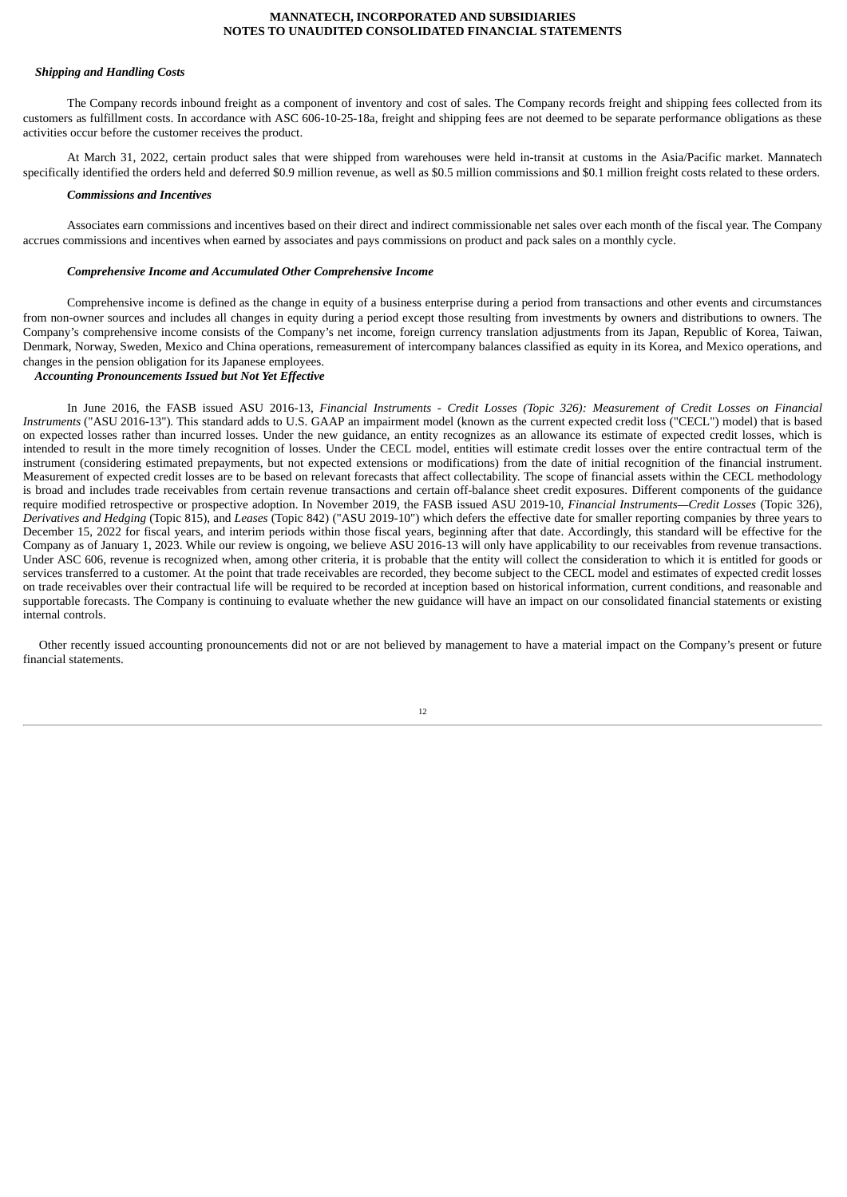#### *Shipping and Handling Costs*

The Company records inbound freight as a component of inventory and cost of sales. The Company records freight and shipping fees collected from its customers as fulfillment costs. In accordance with ASC 606-10-25-18a, freight and shipping fees are not deemed to be separate performance obligations as these activities occur before the customer receives the product.

At March 31, 2022, certain product sales that were shipped from warehouses were held in-transit at customs in the Asia/Pacific market. Mannatech specifically identified the orders held and deferred \$0.9 million revenue, as well as \$0.5 million commissions and \$0.1 million freight costs related to these orders.

#### *Commissions and Incentives*

Associates earn commissions and incentives based on their direct and indirect commissionable net sales over each month of the fiscal year. The Company accrues commissions and incentives when earned by associates and pays commissions on product and pack sales on a monthly cycle.

#### *Comprehensive Income and Accumulated Other Comprehensive Income*

Comprehensive income is defined as the change in equity of a business enterprise during a period from transactions and other events and circumstances from non-owner sources and includes all changes in equity during a period except those resulting from investments by owners and distributions to owners. The Company's comprehensive income consists of the Company's net income, foreign currency translation adjustments from its Japan, Republic of Korea, Taiwan, Denmark, Norway, Sweden, Mexico and China operations, remeasurement of intercompany balances classified as equity in its Korea, and Mexico operations, and changes in the pension obligation for its Japanese employees.

### *Accounting Pronouncements Issued but Not Yet Effective*

In June 2016, the FASB issued ASU 2016-13, Financial Instruments - Credit Losses (Topic 326): Measurement of Credit Losses on Financial *Instruments* ("ASU 2016-13")*.* This standard adds to U.S. GAAP an impairment model (known as the current expected credit loss ("CECL") model) that is based on expected losses rather than incurred losses. Under the new guidance, an entity recognizes as an allowance its estimate of expected credit losses, which is intended to result in the more timely recognition of losses. Under the CECL model, entities will estimate credit losses over the entire contractual term of the instrument (considering estimated prepayments, but not expected extensions or modifications) from the date of initial recognition of the financial instrument. Measurement of expected credit losses are to be based on relevant forecasts that affect collectability. The scope of financial assets within the CECL methodology is broad and includes trade receivables from certain revenue transactions and certain off-balance sheet credit exposures. Different components of the guidance require modified retrospective or prospective adoption. In November 2019, the FASB issued ASU 2019-10, *Financial Instruments—Credit Losses* (Topic 326), *Derivatives and Hedging* (Topic 815), and *Leases* (Topic 842) ("ASU 2019-10") which defers the effective date for smaller reporting companies by three years to December 15, 2022 for fiscal years, and interim periods within those fiscal years, beginning after that date. Accordingly, this standard will be effective for the Company as of January 1, 2023. While our review is ongoing, we believe ASU 2016-13 will only have applicability to our receivables from revenue transactions. Under ASC 606, revenue is recognized when, among other criteria, it is probable that the entity will collect the consideration to which it is entitled for goods or services transferred to a customer. At the point that trade receivables are recorded, they become subject to the CECL model and estimates of expected credit losses on trade receivables over their contractual life will be required to be recorded at inception based on historical information, current conditions, and reasonable and supportable forecasts. The Company is continuing to evaluate whether the new guidance will have an impact on our consolidated financial statements or existing internal controls.

Other recently issued accounting pronouncements did not or are not believed by management to have a material impact on the Company's present or future financial statements.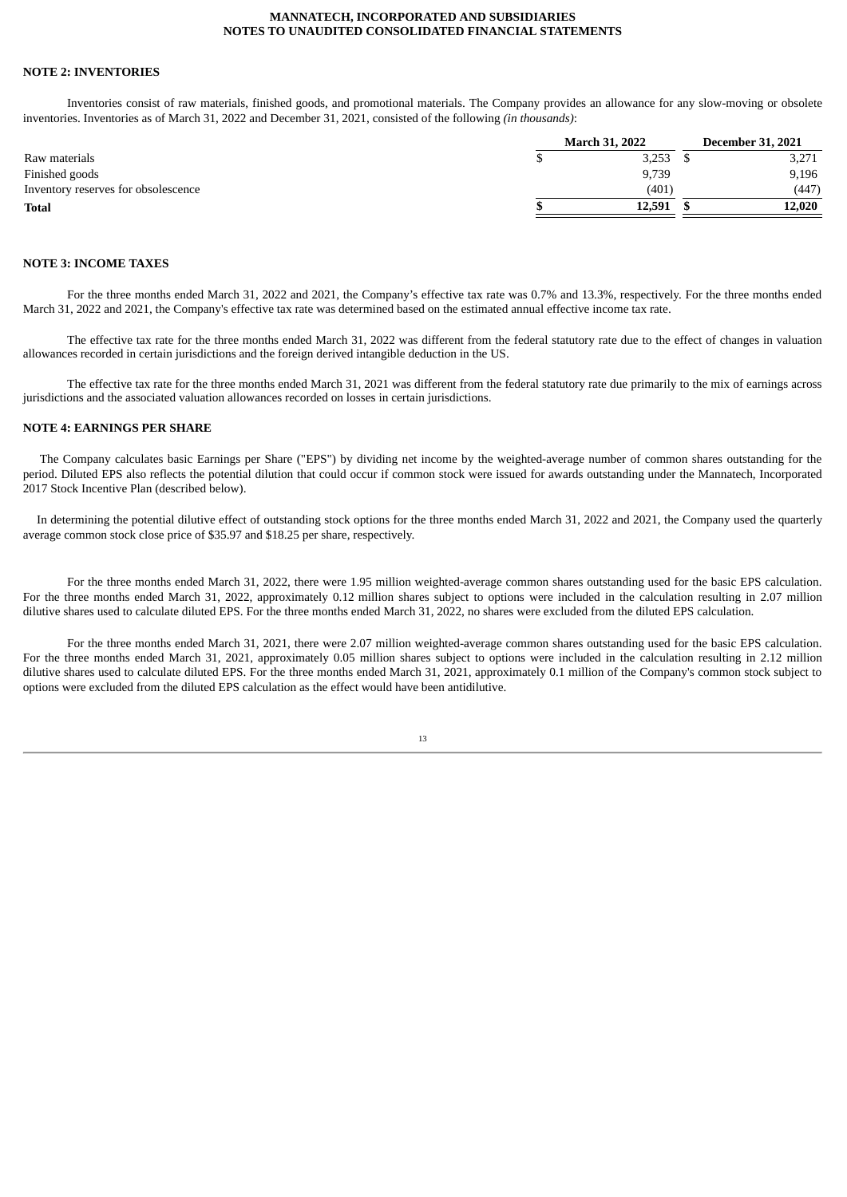#### **NOTE 2: INVENTORIES**

Inventories consist of raw materials, finished goods, and promotional materials. The Company provides an allowance for any slow-moving or obsolete inventories. Inventories as of March 31, 2022 and December 31, 2021, consisted of the following *(in thousands)*:

|                                     | <b>March 31, 2022</b> | <b>December 31, 2021</b> |
|-------------------------------------|-----------------------|--------------------------|
| Raw materials                       | 3,253                 | 3,271                    |
| Finished goods                      | 9,739                 | 9,196                    |
| Inventory reserves for obsolescence | (401)                 | (447)                    |
| <b>Total</b>                        | 12,591                | 12.020                   |

#### **NOTE 3: INCOME TAXES**

For the three months ended March 31, 2022 and 2021, the Company's effective tax rate was 0.7% and 13.3%, respectively. For the three months ended March 31, 2022 and 2021, the Company's effective tax rate was determined based on the estimated annual effective income tax rate.

The effective tax rate for the three months ended March 31, 2022 was different from the federal statutory rate due to the effect of changes in valuation allowances recorded in certain jurisdictions and the foreign derived intangible deduction in the US.

The effective tax rate for the three months ended March 31, 2021 was different from the federal statutory rate due primarily to the mix of earnings across jurisdictions and the associated valuation allowances recorded on losses in certain jurisdictions.

### **NOTE 4: EARNINGS PER SHARE**

The Company calculates basic Earnings per Share ("EPS") by dividing net income by the weighted-average number of common shares outstanding for the period. Diluted EPS also reflects the potential dilution that could occur if common stock were issued for awards outstanding under the Mannatech, Incorporated 2017 Stock Incentive Plan (described below).

In determining the potential dilutive effect of outstanding stock options for the three months ended March 31, 2022 and 2021, the Company used the quarterly average common stock close price of \$35.97 and \$18.25 per share, respectively.

For the three months ended March 31, 2022, there were 1.95 million weighted-average common shares outstanding used for the basic EPS calculation. For the three months ended March 31, 2022, approximately 0.12 million shares subject to options were included in the calculation resulting in 2.07 million dilutive shares used to calculate diluted EPS. For the three months ended March 31, 2022, no shares were excluded from the diluted EPS calculation.

For the three months ended March 31, 2021, there were 2.07 million weighted-average common shares outstanding used for the basic EPS calculation. For the three months ended March 31, 2021, approximately 0.05 million shares subject to options were included in the calculation resulting in 2.12 million dilutive shares used to calculate diluted EPS. For the three months ended March 31, 2021, approximately 0.1 million of the Company's common stock subject to options were excluded from the diluted EPS calculation as the effect would have been antidilutive.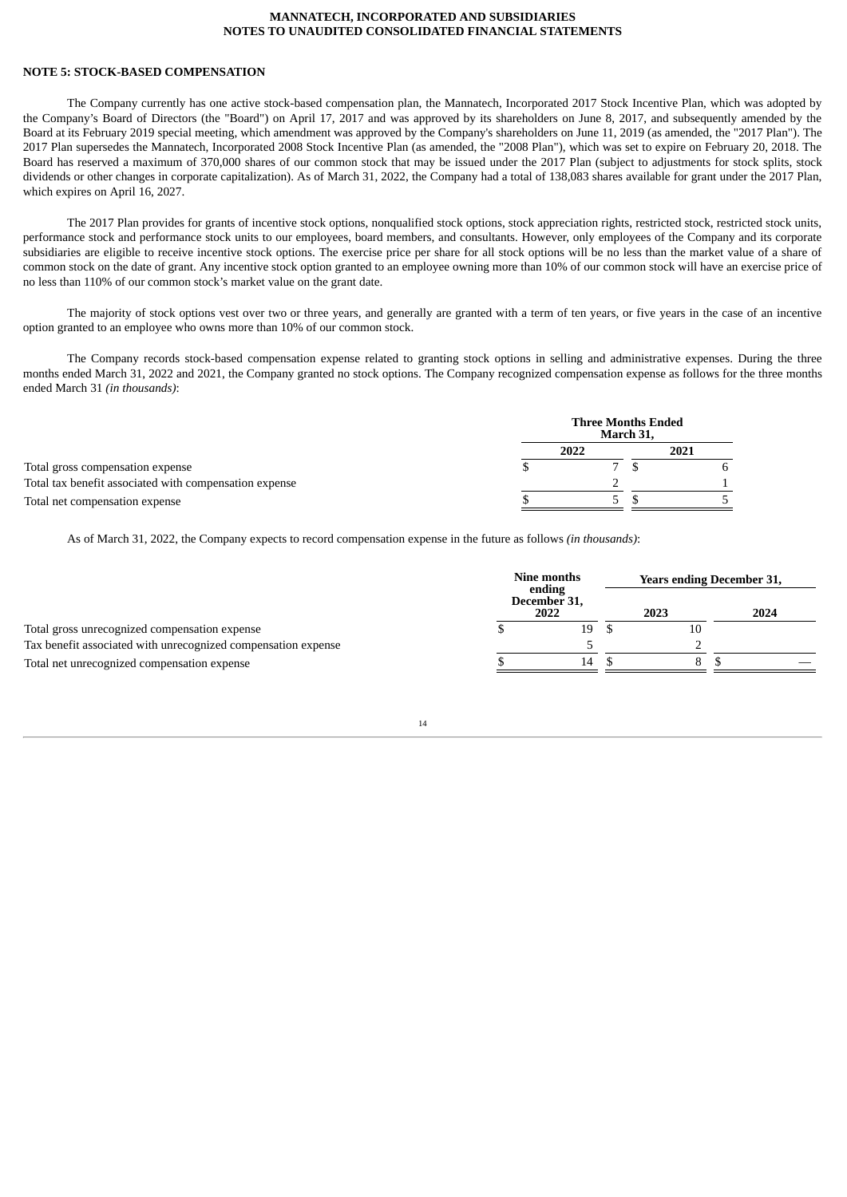### **NOTE 5: STOCK-BASED COMPENSATION**

The Company currently has one active stock-based compensation plan, the Mannatech, Incorporated 2017 Stock Incentive Plan, which was adopted by the Company's Board of Directors (the "Board") on April 17, 2017 and was approved by its shareholders on June 8, 2017, and subsequently amended by the Board at its February 2019 special meeting, which amendment was approved by the Company's shareholders on June 11, 2019 (as amended, the "2017 Plan"). The 2017 Plan supersedes the Mannatech, Incorporated 2008 Stock Incentive Plan (as amended, the "2008 Plan"), which was set to expire on February 20, 2018. The Board has reserved a maximum of 370,000 shares of our common stock that may be issued under the 2017 Plan (subject to adjustments for stock splits, stock dividends or other changes in corporate capitalization). As of March 31, 2022, the Company had a total of 138,083 shares available for grant under the 2017 Plan, which expires on April 16, 2027.

The 2017 Plan provides for grants of incentive stock options, nonqualified stock options, stock appreciation rights, restricted stock, restricted stock units, performance stock and performance stock units to our employees, board members, and consultants. However, only employees of the Company and its corporate subsidiaries are eligible to receive incentive stock options. The exercise price per share for all stock options will be no less than the market value of a share of common stock on the date of grant. Any incentive stock option granted to an employee owning more than 10% of our common stock will have an exercise price of no less than 110% of our common stock's market value on the grant date.

The majority of stock options vest over two or three years, and generally are granted with a term of ten years, or five years in the case of an incentive option granted to an employee who owns more than 10% of our common stock.

The Company records stock-based compensation expense related to granting stock options in selling and administrative expenses. During the three months ended March 31, 2022 and 2021, the Company granted no stock options. The Company recognized compensation expense as follows for the three months ended March 31 *(in thousands)*:

|                                                        |      | <b>Three Months Ended</b><br>March 31, |      |
|--------------------------------------------------------|------|----------------------------------------|------|
| Total gross compensation expense                       | 2022 |                                        | 2021 |
|                                                        |      |                                        |      |
| Total tax benefit associated with compensation expense |      |                                        |      |
| Total net compensation expense                         |      |                                        |      |

As of March 31, 2022, the Company expects to record compensation expense in the future as follows *(in thousands)*:

|                                                               |                                | Nine months | <b>Years ending December 31,</b> |  |  |  |
|---------------------------------------------------------------|--------------------------------|-------------|----------------------------------|--|--|--|
|                                                               | ending<br>December 31,<br>2022 | 2023        | 2024                             |  |  |  |
| Total gross unrecognized compensation expense                 |                                | 19          | 10                               |  |  |  |
| Tax benefit associated with unrecognized compensation expense |                                |             |                                  |  |  |  |
| Total net unrecognized compensation expense                   |                                | 14          |                                  |  |  |  |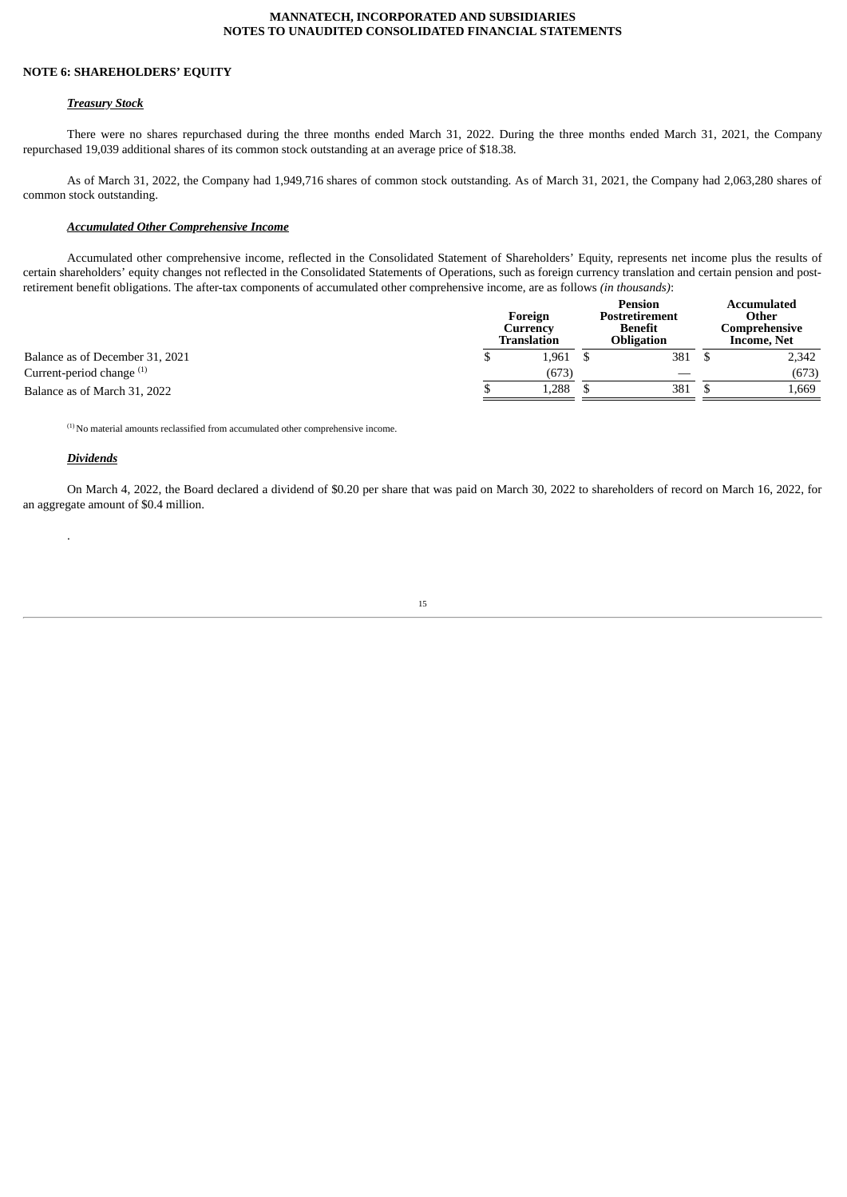### **NOTE 6: SHAREHOLDERS' EQUITY**

### *Treasury Stock*

There were no shares repurchased during the three months ended March 31, 2022. During the three months ended March 31, 2021, the Company repurchased 19,039 additional shares of its common stock outstanding at an average price of \$18.38.

As of March 31, 2022, the Company had 1,949,716 shares of common stock outstanding. As of March 31, 2021, the Company had 2,063,280 shares of common stock outstanding.

#### *Accumulated Other Comprehensive Income*

Accumulated other comprehensive income, reflected in the Consolidated Statement of Shareholders' Equity, represents net income plus the results of certain shareholders' equity changes not reflected in the Consolidated Statements of Operations, such as foreign currency translation and certain pension and postretirement benefit obligations. The after-tax components of accumulated other comprehensive income, are as follows *(in thousands)*:

|                                 | Foreign<br>Currency<br>Translation | Pension<br>Postretirement<br>Benefit<br><b>Obligation</b> |     |  | Accumulated<br>Other<br>Comprehensive<br>Income, Net |  |
|---------------------------------|------------------------------------|-----------------------------------------------------------|-----|--|------------------------------------------------------|--|
| Balance as of December 31, 2021 | 1,961                              |                                                           | 381 |  | 2,342                                                |  |
| Current-period change $(1)$     | (673)                              |                                                           |     |  | (673)                                                |  |
| Balance as of March 31, 2022    | ,288                               |                                                           | 381 |  | 1,669                                                |  |

 $<sup>(1)</sup>$  No material amounts reclassified from accumulated other comprehensive income.</sup>

### *Dividends*

.

On March 4, 2022, the Board declared a dividend of \$0.20 per share that was paid on March 30, 2022 to shareholders of record on March 16, 2022, for an aggregate amount of \$0.4 million.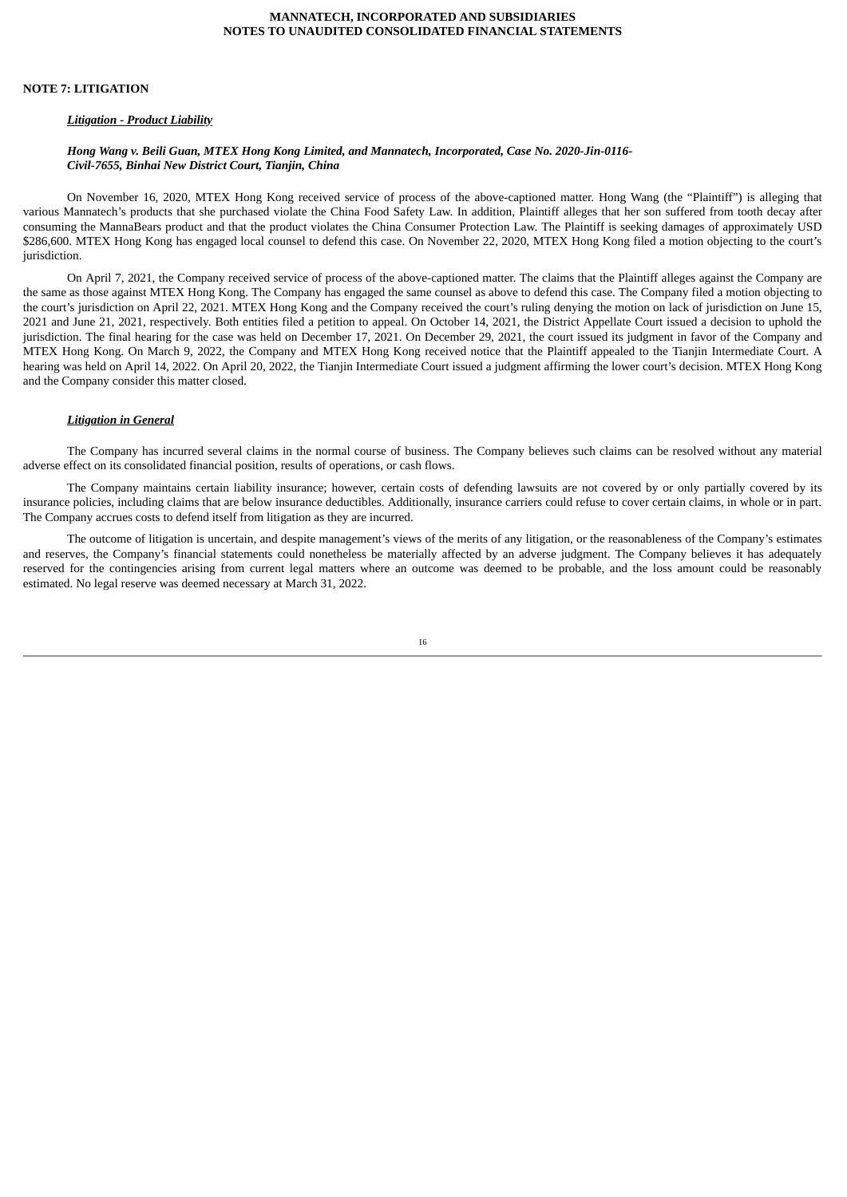### **NOTE 7: LITIGATION**

#### *Litigation - Product Liability*

#### *Hong Wang v. Beili Guan, MTEX Hong Kong Limited, and Mannatech, Incorporated, Case No. 2020-Jin-0116- Civil-7655, Binhai New District Court, Tianjin, China*

On November 16, 2020, MTEX Hong Kong received service of process of the above-captioned matter. Hong Wang (the "Plaintiff") is alleging that various Mannatech's products that she purchased violate the China Food Safety Law. In addition, Plaintiff alleges that her son suffered from tooth decay after consuming the MannaBears product and that the product violates the China Consumer Protection Law. The Plaintiff is seeking damages of approximately USD \$286,600. MTEX Hong Kong has engaged local counsel to defend this case. On November 22, 2020, MTEX Hong Kong filed a motion objecting to the court's jurisdiction.

On April 7, 2021, the Company received service of process of the above-captioned matter. The claims that the Plaintiff alleges against the Company are the same as those against MTEX Hong Kong. The Company has engaged the same counsel as above to defend this case. The Company filed a motion objecting to the court's jurisdiction on April 22, 2021. MTEX Hong Kong and the Company received the court's ruling denying the motion on lack of jurisdiction on June 15, 2021 and June 21, 2021, respectively. Both entities filed a petition to appeal. On October 14, 2021, the District Appellate Court issued a decision to uphold the jurisdiction. The final hearing for the case was held on December 17, 2021. On December 29, 2021, the court issued its judgment in favor of the Company and MTEX Hong Kong. On March 9, 2022, the Company and MTEX Hong Kong received notice that the Plaintiff appealed to the Tianjin Intermediate Court. A hearing was held on April 14, 2022. On April 20, 2022, the Tianjin Intermediate Court issued a judgment affirming the lower court's decision. MTEX Hong Kong and the Company consider this matter closed.

#### *Litigation in General*

The Company has incurred several claims in the normal course of business. The Company believes such claims can be resolved without any material adverse effect on its consolidated financial position, results of operations, or cash flows.

The Company maintains certain liability insurance; however, certain costs of defending lawsuits are not covered by or only partially covered by its insurance policies, including claims that are below insurance deductibles. Additionally, insurance carriers could refuse to cover certain claims, in whole or in part. The Company accrues costs to defend itself from litigation as they are incurred.

The outcome of litigation is uncertain, and despite management's views of the merits of any litigation, or the reasonableness of the Company's estimates and reserves, the Company's financial statements could nonetheless be materially affected by an adverse judgment. The Company believes it has adequately reserved for the contingencies arising from current legal matters where an outcome was deemed to be probable, and the loss amount could be reasonably estimated. No legal reserve was deemed necessary at March 31, 2022.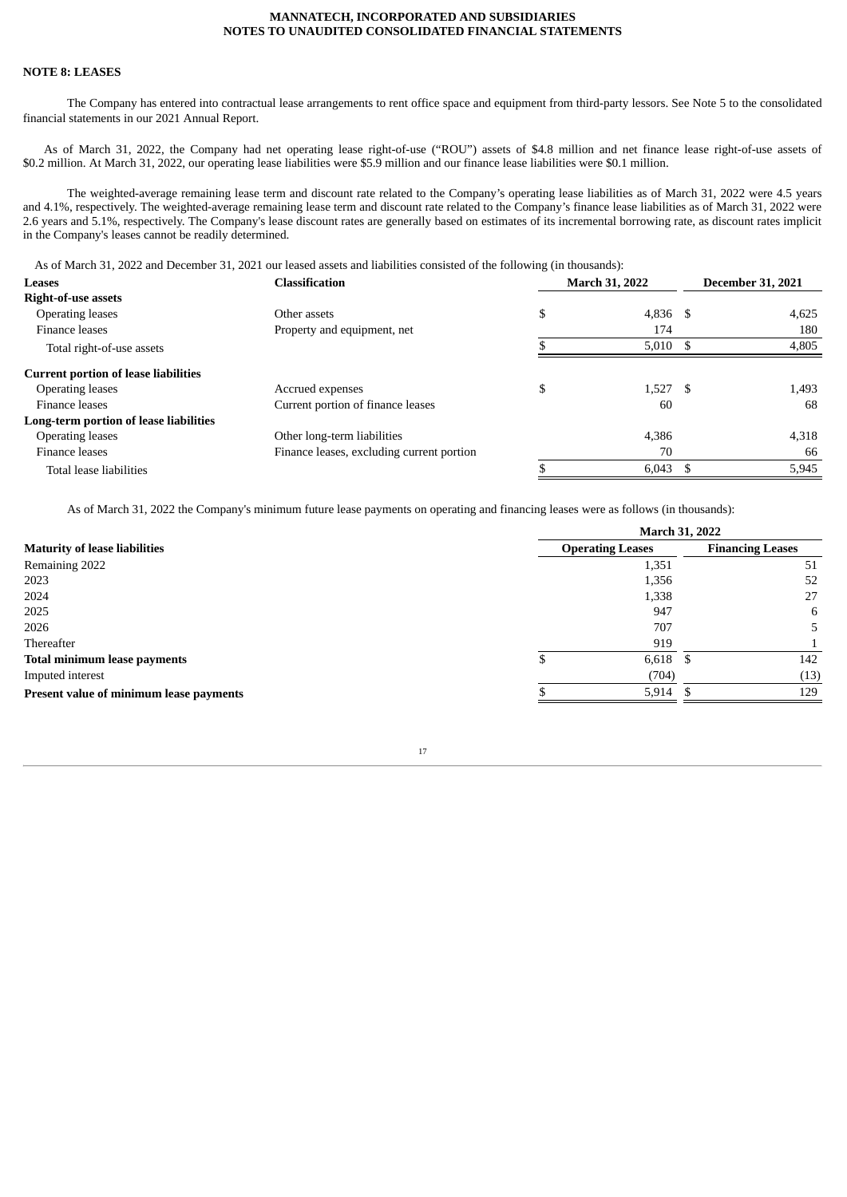### **NOTE 8: LEASES**

The Company has entered into contractual lease arrangements to rent office space and equipment from third-party lessors. See Note 5 to the consolidated financial statements in our 2021 Annual Report.

As of March 31, 2022, the Company had net operating lease right-of-use ("ROU") assets of \$4.8 million and net finance lease right-of-use assets of \$0.2 million. At March 31, 2022, our operating lease liabilities were \$5.9 million and our finance lease liabilities were \$0.1 million.

The weighted-average remaining lease term and discount rate related to the Company's operating lease liabilities as of March 31, 2022 were 4.5 years and 4.1%, respectively. The weighted-average remaining lease term and discount rate related to the Company's finance lease liabilities as of March 31, 2022 were 2.6 years and 5.1%, respectively. The Company's lease discount rates are generally based on estimates of its incremental borrowing rate, as discount rates implicit in the Company's leases cannot be readily determined.

As of March 31, 2022 and December 31, 2021 our leased assets and liabilities consisted of the following (in thousands):

| <b>Classification</b><br>March 31, 2022<br>Leases |                                           |    |            | <b>December 31, 2021</b> |
|---------------------------------------------------|-------------------------------------------|----|------------|--------------------------|
| <b>Right-of-use assets</b>                        |                                           |    |            |                          |
| <b>Operating leases</b>                           | Other assets                              | \$ | $4,836$ \$ | 4,625                    |
| Finance leases                                    | Property and equipment, net               |    | 174        | 180                      |
| Total right-of-use assets                         |                                           |    | $5,010$ \$ | 4,805                    |
| <b>Current portion of lease liabilities</b>       |                                           |    |            |                          |
| <b>Operating leases</b>                           | Accrued expenses                          | \$ | $1,527$ \$ | 1,493                    |
| Finance leases                                    | Current portion of finance leases         |    | 60         | 68                       |
| Long-term portion of lease liabilities            |                                           |    |            |                          |
| <b>Operating leases</b>                           | Other long-term liabilities               |    | 4.386      | 4,318                    |
| Finance leases                                    | Finance leases, excluding current portion |    | 70         | 66                       |
| Total lease liabilities                           |                                           |    | 6,043      | 5,945                    |

As of March 31, 2022 the Company's minimum future lease payments on operating and financing leases were as follows (in thousands):

|                                         | <b>March 31, 2022</b>   |                         |  |  |  |  |  |
|-----------------------------------------|-------------------------|-------------------------|--|--|--|--|--|
| <b>Maturity of lease liabilities</b>    | <b>Operating Leases</b> | <b>Financing Leases</b> |  |  |  |  |  |
| Remaining 2022                          | 1,351                   | 51                      |  |  |  |  |  |
| 2023                                    | 1,356                   | 52                      |  |  |  |  |  |
| 2024                                    | 1,338                   | 27                      |  |  |  |  |  |
| 2025                                    | 947                     | 6                       |  |  |  |  |  |
| 2026                                    | 707                     |                         |  |  |  |  |  |
| Thereafter                              | 919                     |                         |  |  |  |  |  |
| <b>Total minimum lease payments</b>     | $6,618$ \$              | 142                     |  |  |  |  |  |
| Imputed interest                        | (704)                   | (13)                    |  |  |  |  |  |
| Present value of minimum lease payments | $5,914$ \$              | 129                     |  |  |  |  |  |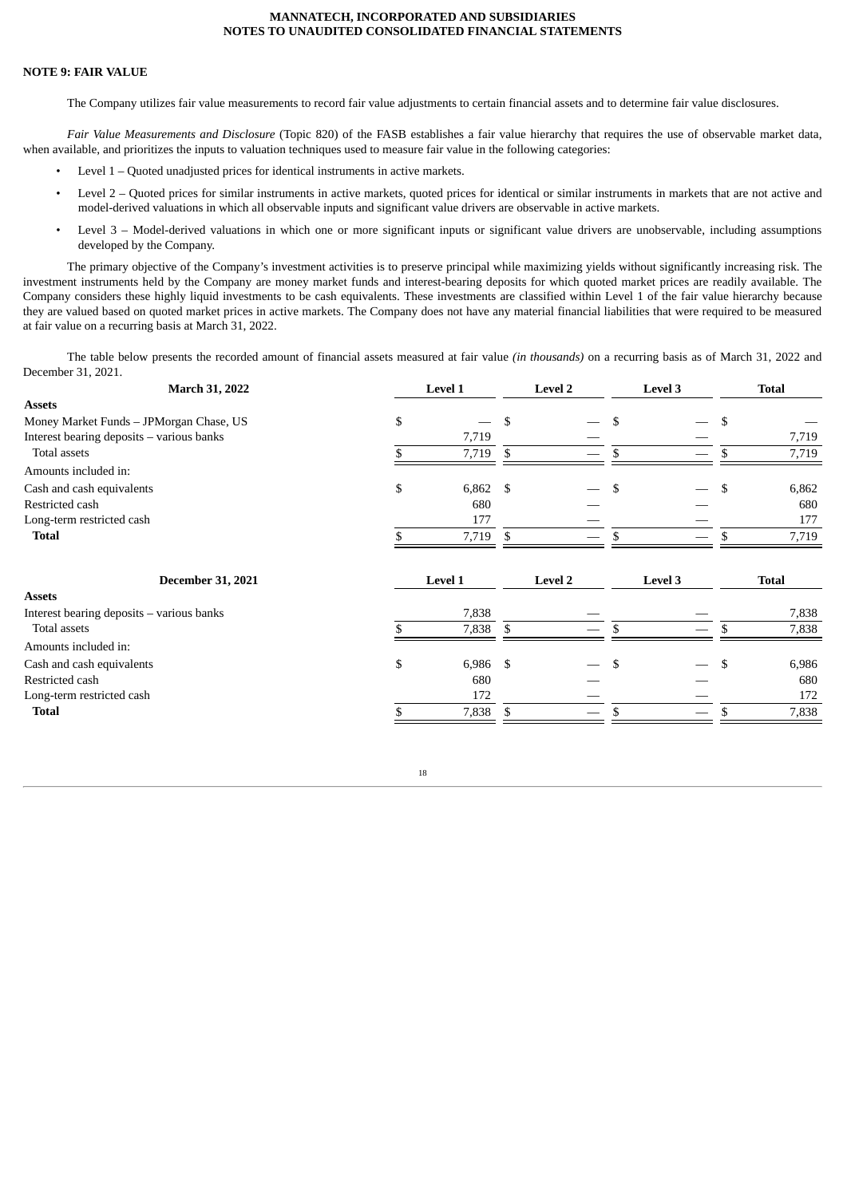#### **NOTE 9: FAIR VALUE**

The Company utilizes fair value measurements to record fair value adjustments to certain financial assets and to determine fair value disclosures.

*Fair Value Measurements and Disclosure* (Topic 820) of the FASB establishes a fair value hierarchy that requires the use of observable market data, when available, and prioritizes the inputs to valuation techniques used to measure fair value in the following categories:

- Level 1 Quoted unadjusted prices for identical instruments in active markets.
- Level 2 Quoted prices for similar instruments in active markets, quoted prices for identical or similar instruments in markets that are not active and model-derived valuations in which all observable inputs and significant value drivers are observable in active markets.
- Level 3 Model-derived valuations in which one or more significant inputs or significant value drivers are unobservable, including assumptions developed by the Company.

The primary objective of the Company's investment activities is to preserve principal while maximizing yields without significantly increasing risk. The investment instruments held by the Company are money market funds and interest-bearing deposits for which quoted market prices are readily available. The Company considers these highly liquid investments to be cash equivalents. These investments are classified within Level 1 of the fair value hierarchy because they are valued based on quoted market prices in active markets. The Company does not have any material financial liabilities that were required to be measured at fair value on a recurring basis at March 31, 2022.

The table below presents the recorded amount of financial assets measured at fair value *(in thousands)* on a recurring basis as of March 31, 2022 and December 31, 2021.

| March 31, 2022                            | Level 1 |         | <b>Level 2</b> |                | Level 3 |         |    | <b>Total</b> |  |
|-------------------------------------------|---------|---------|----------------|----------------|---------|---------|----|--------------|--|
| <b>Assets</b>                             |         |         |                |                |         |         |    |              |  |
| Money Market Funds - JPMorgan Chase, US   | \$      |         |                |                | \$      |         | \$ |              |  |
| Interest bearing deposits - various banks |         | 7,719   |                |                |         |         |    | 7,719        |  |
| Total assets                              |         | 7,719   | \$             |                |         |         |    | 7,719        |  |
| Amounts included in:                      |         |         |                |                |         |         |    |              |  |
| Cash and cash equivalents                 | \$      | 6,862   | \$             |                | \$      |         | \$ | 6,862        |  |
| Restricted cash                           |         | 680     |                |                |         |         |    | 680          |  |
| Long-term restricted cash                 |         | 177     |                |                |         |         |    | 177          |  |
| <b>Total</b>                              |         | 7,719   | \$             |                |         |         | \$ | 7,719        |  |
|                                           |         |         |                |                |         |         |    |              |  |
|                                           |         |         |                |                |         |         |    |              |  |
| <b>December 31, 2021</b>                  |         | Level 1 |                | <b>Level 2</b> |         | Level 3 |    | <b>Total</b> |  |
| <b>Assets</b>                             |         |         |                |                |         |         |    |              |  |
| Interest bearing deposits - various banks |         | 7,838   |                |                |         |         |    | 7,838        |  |
| Total assets                              |         | 7,838   | \$             |                |         |         |    | 7,838        |  |
| Amounts included in:                      |         |         |                |                |         |         |    |              |  |
| Cash and cash equivalents                 | \$      | 6,986   | \$             |                | \$      |         | \$ | 6,986        |  |
| Restricted cash                           |         | 680     |                |                |         |         |    | 680          |  |
| Long-term restricted cash                 |         | 172     |                |                |         |         |    | 172          |  |
| <b>Total</b>                              |         | 7,838   | \$             |                |         |         |    | 7,838        |  |

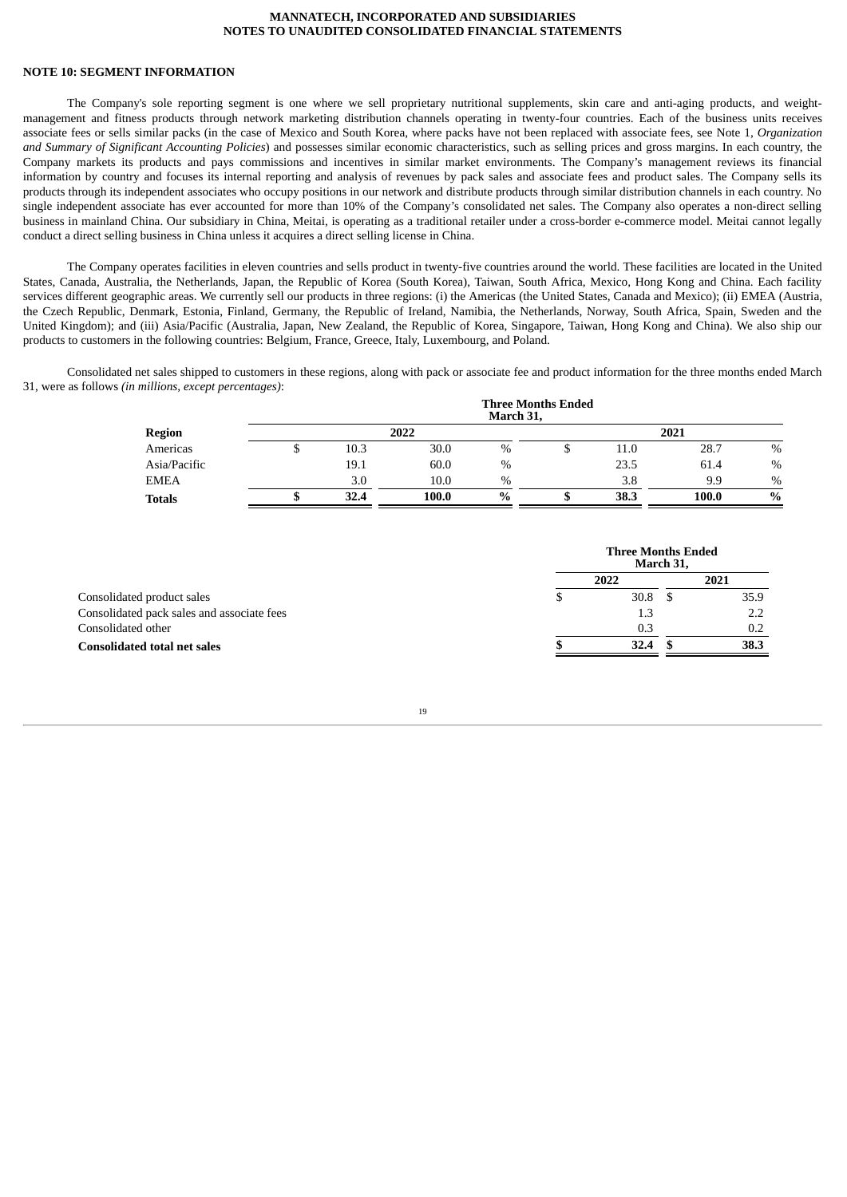#### **NOTE 10: SEGMENT INFORMATION**

The Company's sole reporting segment is one where we sell proprietary nutritional supplements, skin care and anti-aging products, and weightmanagement and fitness products through network marketing distribution channels operating in twenty-four countries. Each of the business units receives associate fees or sells similar packs (in the case of Mexico and South Korea, where packs have not been replaced with associate fees, see Note 1, *Organization and Summary of Significant Accounting Policies*) and possesses similar economic characteristics, such as selling prices and gross margins. In each country, the Company markets its products and pays commissions and incentives in similar market environments. The Company's management reviews its financial information by country and focuses its internal reporting and analysis of revenues by pack sales and associate fees and product sales. The Company sells its products through its independent associates who occupy positions in our network and distribute products through similar distribution channels in each country. No single independent associate has ever accounted for more than 10% of the Company's consolidated net sales. The Company also operates a non-direct selling business in mainland China. Our subsidiary in China, Meitai, is operating as a traditional retailer under a cross-border e-commerce model. Meitai cannot legally conduct a direct selling business in China unless it acquires a direct selling license in China.

The Company operates facilities in eleven countries and sells product in twenty-five countries around the world. These facilities are located in the United States, Canada, Australia, the Netherlands, Japan, the Republic of Korea (South Korea), Taiwan, South Africa, Mexico, Hong Kong and China. Each facility services different geographic areas. We currently sell our products in three regions: (i) the Americas (the United States, Canada and Mexico); (ii) EMEA (Austria, the Czech Republic, Denmark, Estonia, Finland, Germany, the Republic of Ireland, Namibia, the Netherlands, Norway, South Africa, Spain, Sweden and the United Kingdom); and (iii) Asia/Pacific (Australia, Japan, New Zealand, the Republic of Korea, Singapore, Taiwan, Hong Kong and China). We also ship our products to customers in the following countries: Belgium, France, Greece, Italy, Luxembourg, and Poland.

Consolidated net sales shipped to customers in these regions, along with pack or associate fee and product information for the three months ended March 31, were as follows *(in millions, except percentages)*:

|              |      |       | <b>Three Months Ended</b><br>March 31, |      |       |               |
|--------------|------|-------|----------------------------------------|------|-------|---------------|
| Region       |      | 2022  |                                        |      | 2021  |               |
| Americas     | 10.3 | 30.0  | %                                      | 11.0 | 28.7  | $\frac{0}{0}$ |
| Asia/Pacific | 19.1 | 60.0  | %                                      | 23.5 | 61.4  | $\%$          |
| <b>EMEA</b>  | 3.0  | 10.0  | $\%$                                   | 3.8  | 9.9   | $\%$          |
| Totals       | 32.4 | 100.0 | $\%$                                   | 38.3 | 100.0 | $\%$          |

|                                            | <b>Three Months Ended</b> | March 31, |      |
|--------------------------------------------|---------------------------|-----------|------|
|                                            | 2022                      |           | 2021 |
| Consolidated product sales                 | 30.8                      |           | 35.9 |
| Consolidated pack sales and associate fees | 1.3                       |           | 2.2  |
| Consolidated other                         | 0.3                       |           | 0.2  |
| <b>Consolidated total net sales</b>        | 32.4                      |           | 38.3 |

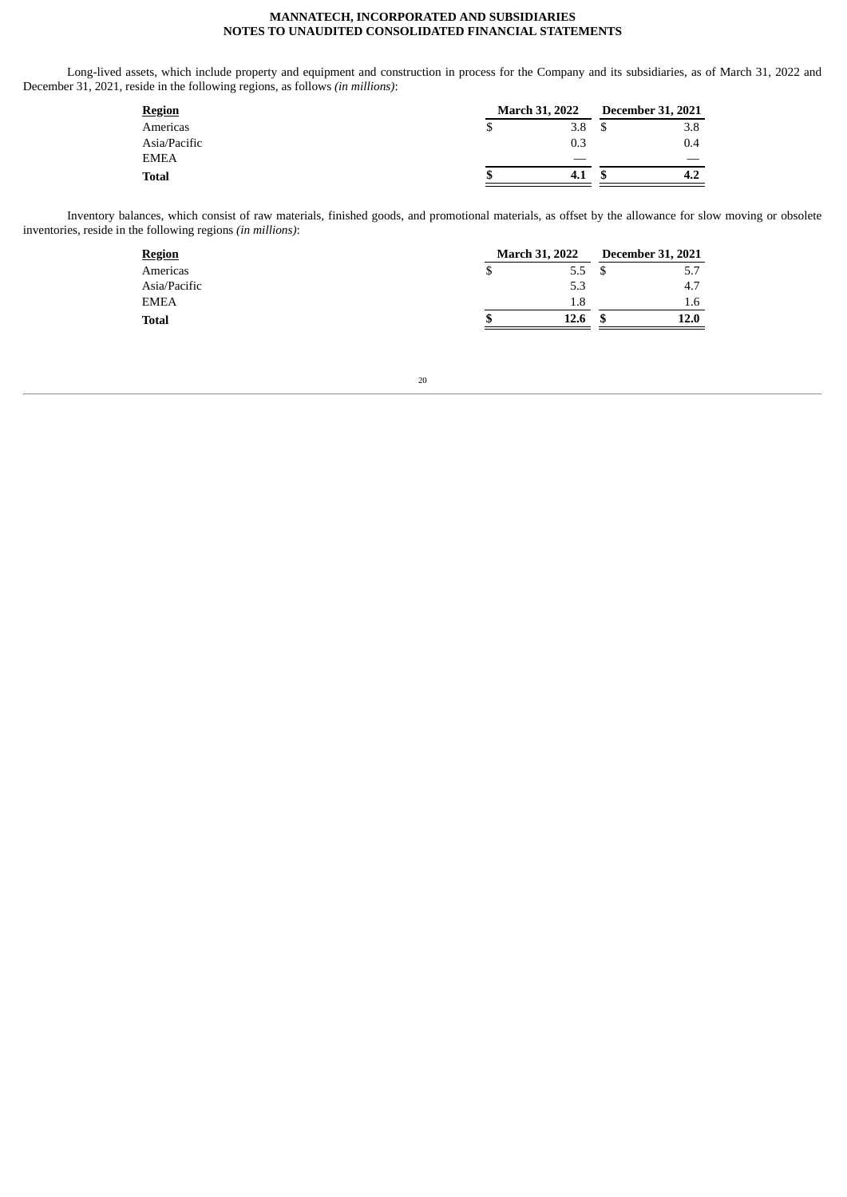Long-lived assets, which include property and equipment and construction in process for the Company and its subsidiaries, as of March 31, 2022 and December 31, 2021, reside in the following regions, as follows *(in millions)*:

| <u>Region</u> | <b>March 31, 2022</b> | <b>December 31, 2021</b> |  |     |
|---------------|-----------------------|--------------------------|--|-----|
| Americas      |                       | 3.8                      |  | 3.8 |
| Asia/Pacific  |                       | 0.3                      |  | 0.4 |
| EMEA          |                       |                          |  |     |
| Total         |                       | 4.1                      |  | 4.2 |

<span id="page-22-0"></span>Inventory balances, which consist of raw materials, finished goods, and promotional materials, as offset by the allowance for slow moving or obsolete inventories, reside in the following regions *(in millions)*:

| <b>Region</b> | <b>March 31, 2022</b> | <b>December 31, 2021</b> |  |      |
|---------------|-----------------------|--------------------------|--|------|
| Americas      | ъ                     | 5.5                      |  | 5.7  |
| Asia/Pacific  |                       | 5.3                      |  | 4.7  |
| <b>EMEA</b>   |                       | 1.8                      |  | 1.6  |
| <b>Total</b>  |                       | 12.6                     |  | 12.0 |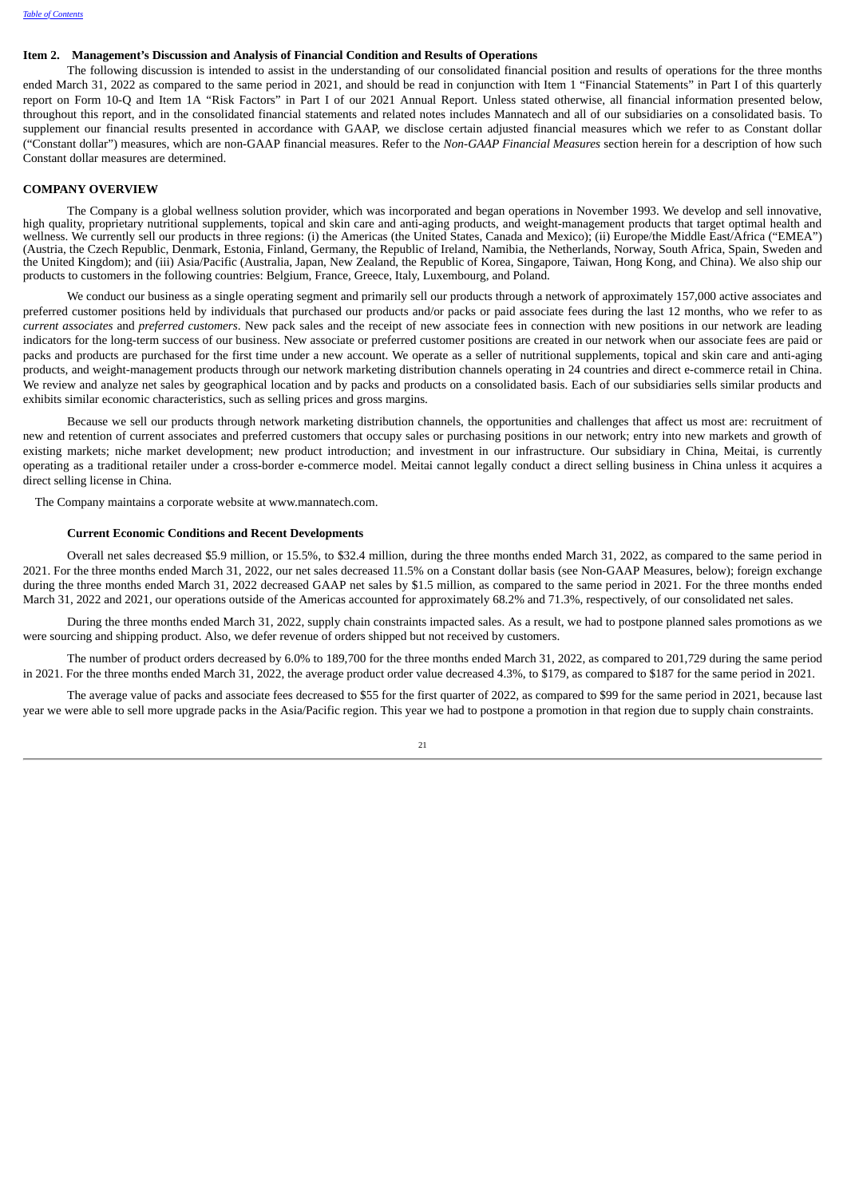#### **Item 2. Management's Discussion and Analysis of Financial Condition and Results of Operations**

The following discussion is intended to assist in the understanding of our consolidated financial position and results of operations for the three months ended March 31, 2022 as compared to the same period in 2021, and should be read in conjunction with Item 1 "Financial Statements" in Part I of this quarterly report on Form 10-Q and Item 1A "Risk Factors" in Part I of our 2021 Annual Report. Unless stated otherwise, all financial information presented below, throughout this report, and in the consolidated financial statements and related notes includes Mannatech and all of our subsidiaries on a consolidated basis. To supplement our financial results presented in accordance with GAAP, we disclose certain adjusted financial measures which we refer to as Constant dollar ("Constant dollar") measures, which are non-GAAP financial measures. Refer to the *Non-GAAP Financial Measures* section herein for a description of how such Constant dollar measures are determined.

#### <span id="page-23-0"></span>**COMPANY OVERVIEW**

The Company is a global wellness solution provider, which was incorporated and began operations in November 1993. We develop and sell innovative, high quality, proprietary nutritional supplements, topical and skin care and anti-aging products, and weight-management products that target optimal health and wellness. We currently sell our products in three regions: (i) the Americas (the United States, Canada and Mexico); (ii) Europe/the Middle East/Africa ("EMEA") (Austria, the Czech Republic, Denmark, Estonia, Finland, Germany, the Republic of Ireland, Namibia, the Netherlands, Norway, South Africa, Spain, Sweden and the United Kingdom); and (iii) Asia/Pacific (Australia, Japan, New Zealand, the Republic of Korea, Singapore, Taiwan, Hong Kong, and China). We also ship our products to customers in the following countries: Belgium, France, Greece, Italy, Luxembourg, and Poland.

We conduct our business as a single operating segment and primarily sell our products through a network of approximately 157,000 active associates and preferred customer positions held by individuals that purchased our products and/or packs or paid associate fees during the last 12 months, who we refer to as *current associates* and *preferred customers*. New pack sales and the receipt of new associate fees in connection with new positions in our network are leading indicators for the long-term success of our business. New associate or preferred customer positions are created in our network when our associate fees are paid or packs and products are purchased for the first time under a new account. We operate as a seller of nutritional supplements, topical and skin care and anti-aging products, and weight-management products through our network marketing distribution channels operating in 24 countries and direct e-commerce retail in China. We review and analyze net sales by geographical location and by packs and products on a consolidated basis. Each of our subsidiaries sells similar products and exhibits similar economic characteristics, such as selling prices and gross margins.

Because we sell our products through network marketing distribution channels, the opportunities and challenges that affect us most are: recruitment of new and retention of current associates and preferred customers that occupy sales or purchasing positions in our network; entry into new markets and growth of existing markets; niche market development; new product introduction; and investment in our infrastructure. Our subsidiary in China, Meitai, is currently operating as a traditional retailer under a cross-border e-commerce model. Meitai cannot legally conduct a direct selling business in China unless it acquires a direct selling license in China.

The Company maintains a corporate website at www.mannatech.com.

#### **Current Economic Conditions and Recent Developments**

Overall net sales decreased \$5.9 million, or 15.5%, to \$32.4 million, during the three months ended March 31, 2022, as compared to the same period in 2021. For the three months ended March 31, 2022, our net sales decreased 11.5% on a Constant dollar basis (see Non-GAAP Measures, below); foreign exchange during the three months ended March 31, 2022 decreased GAAP net sales by \$1.5 million, as compared to the same period in 2021. For the three months ended March 31, 2022 and 2021, our operations outside of the Americas accounted for approximately 68.2% and 71.3%, respectively, of our consolidated net sales.

During the three months ended March 31, 2022, supply chain constraints impacted sales. As a result, we had to postpone planned sales promotions as we were sourcing and shipping product. Also, we defer revenue of orders shipped but not received by customers.

The number of product orders decreased by 6.0% to 189,700 for the three months ended March 31, 2022, as compared to 201,729 during the same period in 2021. For the three months ended March 31, 2022, the average product order value decreased 4.3%, to \$179, as compared to \$187 for the same period in 2021.

The average value of packs and associate fees decreased to \$55 for the first quarter of 2022, as compared to \$99 for the same period in 2021, because last year we were able to sell more upgrade packs in the Asia/Pacific region. This year we had to postpone a promotion in that region due to supply chain constraints.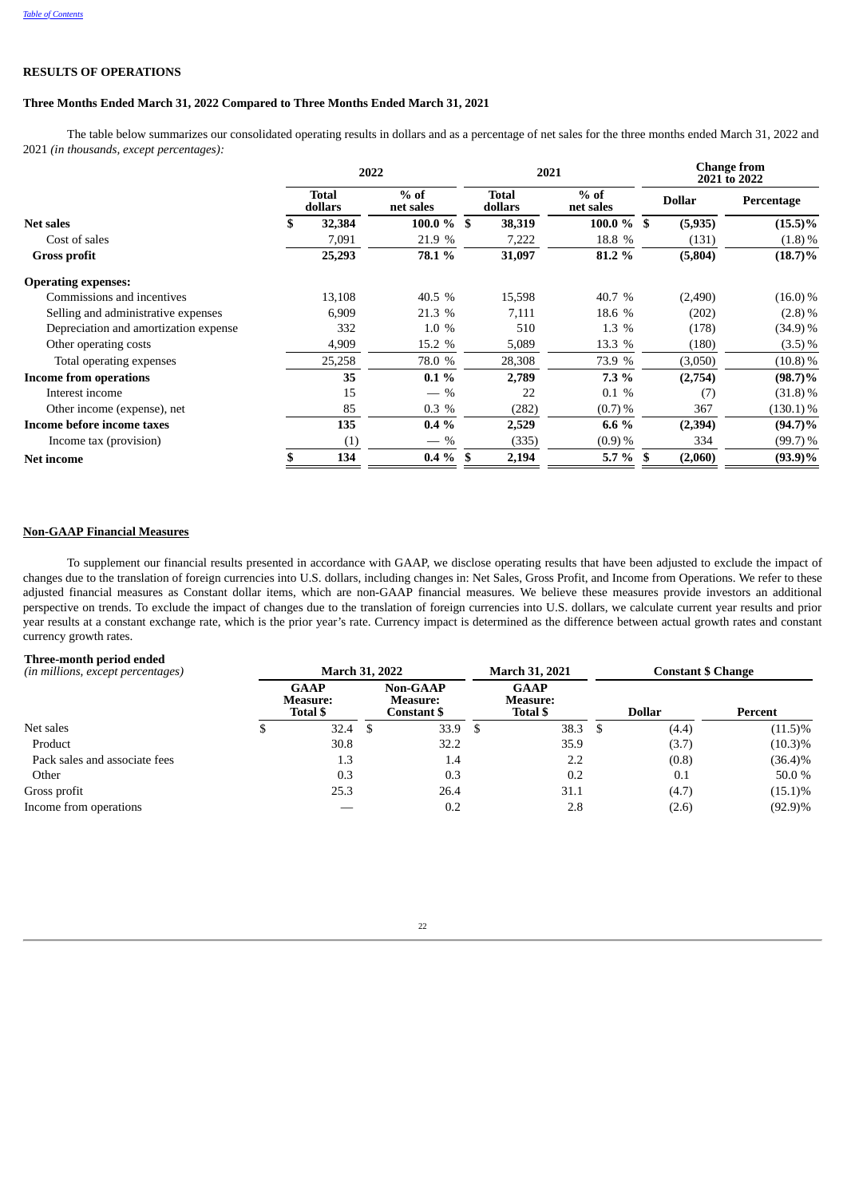### <span id="page-24-0"></span>**RESULTS OF OPERATIONS**

#### **Three Months Ended March 31, 2022 Compared to Three Months Ended March 31, 2021**

The table below summarizes our consolidated operating results in dollars and as a percentage of net sales for the three months ended March 31, 2022 and 2021 *(in thousands, except percentages):*

|                                       | 2022 |                  |                     |     |                  | 2021                | <b>Change from</b><br>2021 to 2022 |               |             |  |
|---------------------------------------|------|------------------|---------------------|-----|------------------|---------------------|------------------------------------|---------------|-------------|--|
|                                       |      | Total<br>dollars | $%$ of<br>net sales |     | Total<br>dollars | $%$ of<br>net sales |                                    | <b>Dollar</b> | Percentage  |  |
| <b>Net sales</b>                      | \$   | 32,384           | $100.0 \%$ \$       |     | 38,319           | $100.0 \%$ \$       |                                    | (5, 935)      | $(15.5)\%$  |  |
| Cost of sales                         |      | 7,091            | 21.9 %              |     | 7,222            | 18.8 %              |                                    | (131)         | $(1.8)\%$   |  |
| <b>Gross profit</b>                   |      | 25,293           | 78.1 %              |     | 31,097           | 81.2 %              |                                    | (5,804)       | $(18.7)\%$  |  |
| <b>Operating expenses:</b>            |      |                  |                     |     |                  |                     |                                    |               |             |  |
| Commissions and incentives            |      | 13,108           | 40.5 %              |     | 15,598           | 40.7 %              |                                    | (2,490)       | $(16.0)\%$  |  |
| Selling and administrative expenses   |      | 6,909            | 21.3 %              |     | 7,111            | 18.6 %              |                                    | (202)         | $(2.8)\%$   |  |
| Depreciation and amortization expense |      | 332              | 1.0 %               |     | 510              | 1.3 %               |                                    | (178)         | (34.9) %    |  |
| Other operating costs                 |      | 4,909            | 15.2 %              |     | 5,089            | 13.3 %              |                                    | (180)         | $(3.5)$ %   |  |
| Total operating expenses              |      | 25,258           | 78.0 %              |     | 28,308           | 73.9 %              |                                    | (3,050)       | $(10.8)\%$  |  |
| <b>Income from operations</b>         |      | 35               | $0.1 \%$            |     | 2,789            | 7.3 %               |                                    | (2,754)       | $(98.7)\%$  |  |
| Interest income                       |      | 15               | $-$ %               |     | 22               | $0.1 \%$            |                                    | (7)           | $(31.8)\%$  |  |
| Other income (expense), net           |      | 85               | 0.3%                |     | (282)            | (0.7)%              |                                    | 367           | $(130.1)\%$ |  |
| Income before income taxes            |      | 135              | $0.4 \%$            |     | 2,529            | 6.6 %               |                                    | (2,394)       | $(94.7)\%$  |  |
| Income tax (provision)                |      | (1)              | $-$ %               |     | (335)            | $(0.9)$ %           |                                    | 334           | (99.7) %    |  |
| Net income                            |      | 134              | $0.4 \%$            | -\$ | 2,194            | 5.7%                | Ŝ.                                 | (2,060)       | $(93.9)\%$  |  |

### **Non-GAAP Financial Measures**

To supplement our financial results presented in accordance with GAAP, we disclose operating results that have been adjusted to exclude the impact of changes due to the translation of foreign currencies into U.S. dollars, including changes in: Net Sales, Gross Profit, and Income from Operations. We refer to these adjusted financial measures as Constant dollar items, which are non-GAAP financial measures. We believe these measures provide investors an additional perspective on trends. To exclude the impact of changes due to the translation of foreign currencies into U.S. dollars, we calculate current year results and prior year results at a constant exchange rate, which is the prior year's rate. Currency impact is determined as the difference between actual growth rates and constant currency growth rates.

### **Three-month period ended**

| (in millions, except percentages) |                                            | March 31, 2022 |  |                                                   | March 31, 2021                             |      |  | <b>Constant \$ Change</b> |            |  |
|-----------------------------------|--------------------------------------------|----------------|--|---------------------------------------------------|--------------------------------------------|------|--|---------------------------|------------|--|
|                                   | <b>GAAP</b><br><b>Measure:</b><br>Total \$ |                |  | <b>Non-GAAP</b><br><b>Measure:</b><br>Constant \$ | <b>GAAP</b><br><b>Measure:</b><br>Total \$ |      |  | Dollar                    | Percent    |  |
| Net sales                         |                                            | 32.4           |  | 33.9                                              |                                            | 38.3 |  | (4.4)                     | $(11.5)\%$ |  |
| Product                           |                                            | 30.8           |  | 32.2                                              |                                            | 35.9 |  | (3.7)                     | $(10.3)\%$ |  |
| Pack sales and associate fees     |                                            | 1.3            |  | 1.4                                               |                                            | 2.2  |  | (0.8)                     | (36.4)%    |  |
| Other                             |                                            | 0.3            |  | 0.3                                               |                                            | 0.2  |  | 0.1                       | 50.0 %     |  |
| Gross profit                      |                                            | 25.3           |  | 26.4                                              |                                            | 31.1 |  | (4.7)                     | $(15.1)\%$ |  |
| Income from operations            |                                            |                |  | 0.2                                               |                                            | 2.8  |  | (2.6)                     | $(92.9)\%$ |  |

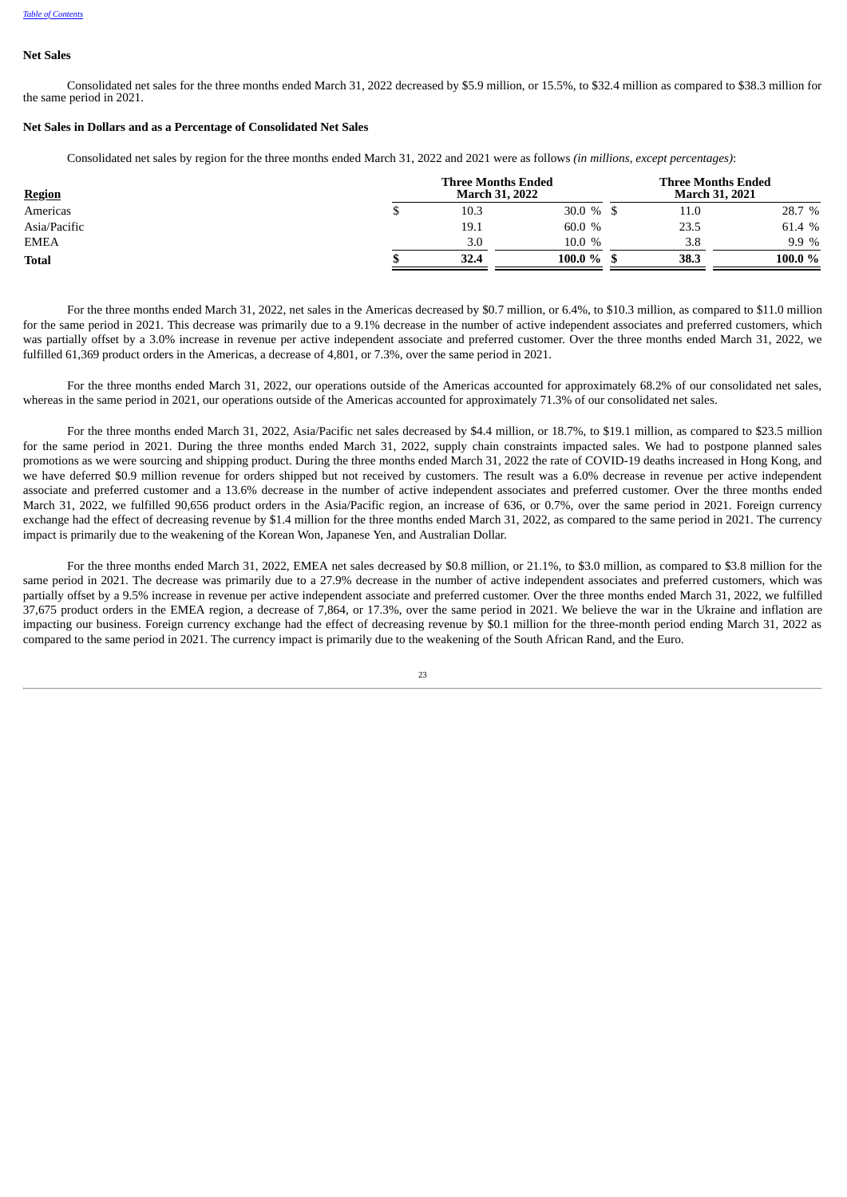#### **Net Sales**

Consolidated net sales for the three months ended March 31, 2022 decreased by \$5.9 million, or 15.5%, to \$32.4 million as compared to \$38.3 million for the same period in 2021.

#### **Net Sales in Dollars and as a Percentage of Consolidated Net Sales**

Consolidated net sales by region for the three months ended March 31, 2022 and 2021 were as follows *(in millions, except percentages)*:

| <b>Region</b> | <b>Three Months Ended</b><br>March 31, 2022 |      |              |  | <b>Three Months Ended</b><br><b>March 31, 2021</b> |         |  |  |
|---------------|---------------------------------------------|------|--------------|--|----------------------------------------------------|---------|--|--|
| Americas      |                                             | 10.3 | $30.0 \%$ \$ |  | 11.0                                               | 28.7 %  |  |  |
| Asia/Pacific  |                                             | 19.1 | 60.0%        |  | 23.5                                               | 61.4 %  |  |  |
| <b>EMEA</b>   |                                             | 3.0  | 10.0 %       |  | 3.8                                                | $9.9\%$ |  |  |
| <b>Total</b>  |                                             | 32.4 | $100.0 \%$   |  | 38.3                                               | 100.0 % |  |  |

For the three months ended March 31, 2022, net sales in the Americas decreased by \$0.7 million, or 6.4%, to \$10.3 million, as compared to \$11.0 million for the same period in 2021. This decrease was primarily due to a 9.1% decrease in the number of active independent associates and preferred customers, which was partially offset by a 3.0% increase in revenue per active independent associate and preferred customer. Over the three months ended March 31, 2022, we fulfilled 61,369 product orders in the Americas, a decrease of 4,801, or 7.3%, over the same period in 2021.

For the three months ended March 31, 2022, our operations outside of the Americas accounted for approximately 68.2% of our consolidated net sales, whereas in the same period in 2021, our operations outside of the Americas accounted for approximately 71.3% of our consolidated net sales.

For the three months ended March 31, 2022, Asia/Pacific net sales decreased by \$4.4 million, or 18.7%, to \$19.1 million, as compared to \$23.5 million for the same period in 2021. During the three months ended March 31, 2022, supply chain constraints impacted sales. We had to postpone planned sales promotions as we were sourcing and shipping product. During the three months ended March 31, 2022 the rate of COVID-19 deaths increased in Hong Kong, and we have deferred \$0.9 million revenue for orders shipped but not received by customers. The result was a 6.0% decrease in revenue per active independent associate and preferred customer and a 13.6% decrease in the number of active independent associates and preferred customer. Over the three months ended March 31, 2022, we fulfilled 90,656 product orders in the Asia/Pacific region, an increase of 636, or 0.7%, over the same period in 2021. Foreign currency exchange had the effect of decreasing revenue by \$1.4 million for the three months ended March 31, 2022, as compared to the same period in 2021. The currency impact is primarily due to the weakening of the Korean Won, Japanese Yen, and Australian Dollar.

For the three months ended March 31, 2022, EMEA net sales decreased by \$0.8 million, or 21.1%, to \$3.0 million, as compared to \$3.8 million for the same period in 2021. The decrease was primarily due to a 27.9% decrease in the number of active independent associates and preferred customers, which was partially offset by a 9.5% increase in revenue per active independent associate and preferred customer. Over the three months ended March 31, 2022, we fulfilled 37,675 product orders in the EMEA region, a decrease of 7,864, or 17.3%, over the same period in 2021. We believe the war in the Ukraine and inflation are impacting our business. Foreign currency exchange had the effect of decreasing revenue by \$0.1 million for the three-month period ending March 31, 2022 as compared to the same period in 2021. The currency impact is primarily due to the weakening of the South African Rand, and the Euro.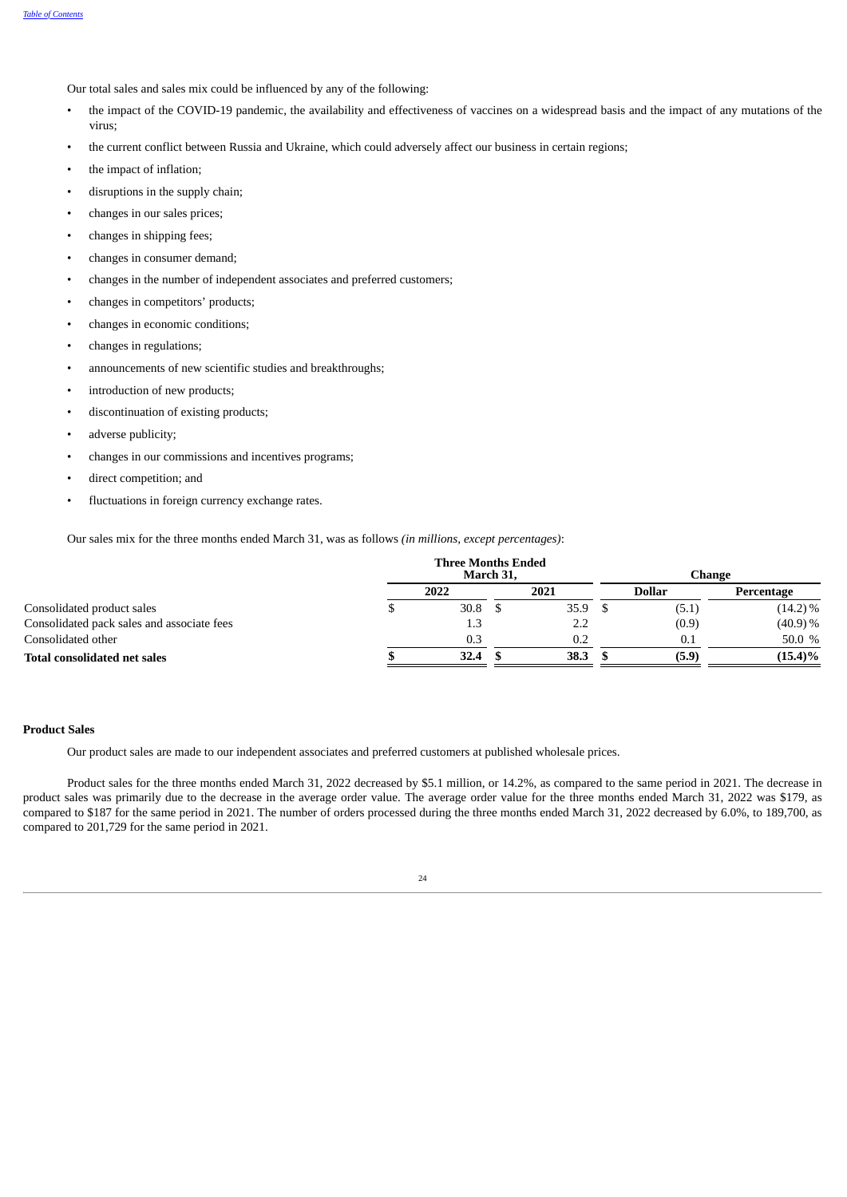Our total sales and sales mix could be influenced by any of the following:

- the impact of the COVID-19 pandemic, the availability and effectiveness of vaccines on a widespread basis and the impact of any mutations of the virus;
- the current conflict between Russia and Ukraine, which could adversely affect our business in certain regions;
- the impact of inflation;
- disruptions in the supply chain;
- changes in our sales prices;
- changes in shipping fees;
- changes in consumer demand;
- changes in the number of independent associates and preferred customers;
- changes in competitors' products;
- changes in economic conditions;
- changes in regulations;
- announcements of new scientific studies and breakthroughs;
- introduction of new products;
- discontinuation of existing products;
- adverse publicity;
- changes in our commissions and incentives programs;
- direct competition; and
- fluctuations in foreign currency exchange rates.

Our sales mix for the three months ended March 31, was as follows *(in millions, except percentages)*:

|                                            | <b>Three Months Ended</b><br>March 31. |  |      | Change |               |            |
|--------------------------------------------|----------------------------------------|--|------|--------|---------------|------------|
|                                            | 2022                                   |  | 2021 |        | <b>Dollar</b> | Percentage |
| Consolidated product sales                 | 30.8                                   |  | 35.9 |        | (5.1)         | $(14.2)\%$ |
| Consolidated pack sales and associate fees | 1.3                                    |  | 2.2  |        | (0.9)         | (40.9)%    |
| Consolidated other                         | 0.3                                    |  | 0.2  |        | 0.1           | 50.0 %     |
| <b>Total consolidated net sales</b>        | 32.4                                   |  | 38.3 |        | (5.9)         | $(15.4)\%$ |

#### **Product Sales**

Our product sales are made to our independent associates and preferred customers at published wholesale prices.

Product sales for the three months ended March 31, 2022 decreased by \$5.1 million, or 14.2%, as compared to the same period in 2021. The decrease in product sales was primarily due to the decrease in the average order value. The average order value for the three months ended March 31, 2022 was \$179, as compared to \$187 for the same period in 2021. The number of orders processed during the three months ended March 31, 2022 decreased by 6.0%, to 189,700, as compared to 201,729 for the same period in 2021.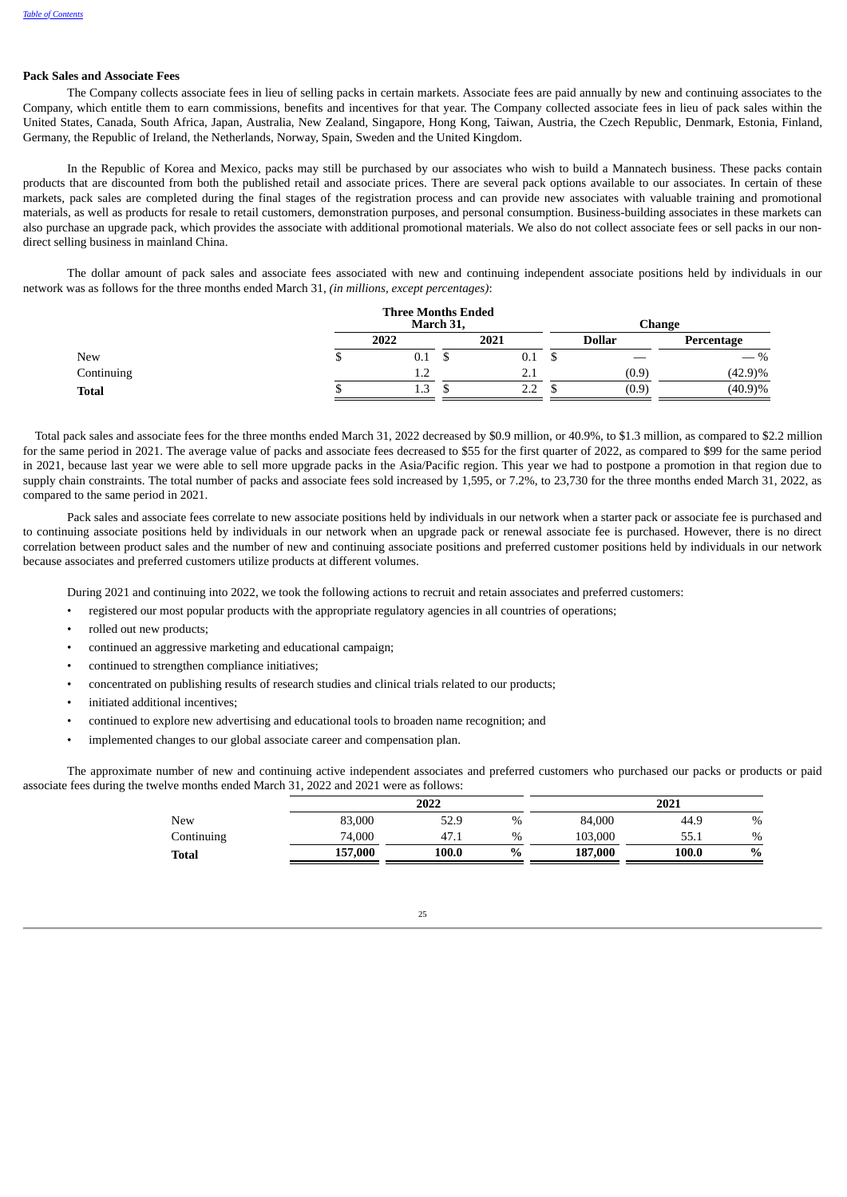#### **Pack Sales and Associate Fees**

The Company collects associate fees in lieu of selling packs in certain markets. Associate fees are paid annually by new and continuing associates to the Company, which entitle them to earn commissions, benefits and incentives for that year. The Company collected associate fees in lieu of pack sales within the United States, Canada, South Africa, Japan, Australia, New Zealand, Singapore, Hong Kong, Taiwan, Austria, the Czech Republic, Denmark, Estonia, Finland, Germany, the Republic of Ireland, the Netherlands, Norway, Spain, Sweden and the United Kingdom.

In the Republic of Korea and Mexico, packs may still be purchased by our associates who wish to build a Mannatech business. These packs contain products that are discounted from both the published retail and associate prices. There are several pack options available to our associates. In certain of these markets, pack sales are completed during the final stages of the registration process and can provide new associates with valuable training and promotional materials, as well as products for resale to retail customers, demonstration purposes, and personal consumption. Business-building associates in these markets can also purchase an upgrade pack, which provides the associate with additional promotional materials. We also do not collect associate fees or sell packs in our nondirect selling business in mainland China.

The dollar amount of pack sales and associate fees associated with new and continuing independent associate positions held by individuals in our network was as follows for the three months ended March 31, *(in millions, except percentages)*:

|            |   | <b>Three Months Ended</b> | March 31, |      |   |        | <b>Change</b> |
|------------|---|---------------------------|-----------|------|---|--------|---------------|
|            |   | 2022                      |           | 2021 |   | Dollar | Percentage    |
| <b>New</b> | Œ | 0.1                       |           | 0.1  | D |        | $-$ %         |
| Continuing |   |                           |           | 2.1  |   | (0.9)  | $(42.9)\%$    |
| Total      |   | 1.3                       |           | 2.2  |   | (0.9)  | (40.9)%       |

Total pack sales and associate fees for the three months ended March 31, 2022 decreased by \$0.9 million, or 40.9%, to \$1.3 million, as compared to \$2.2 million for the same period in 2021. The average value of packs and associate fees decreased to \$55 for the first quarter of 2022, as compared to \$99 for the same period in 2021, because last year we were able to sell more upgrade packs in the Asia/Pacific region. This year we had to postpone a promotion in that region due to supply chain constraints. The total number of packs and associate fees sold increased by 1,595, or 7.2%, to 23,730 for the three months ended March 31, 2022, as compared to the same period in 2021.

Pack sales and associate fees correlate to new associate positions held by individuals in our network when a starter pack or associate fee is purchased and to continuing associate positions held by individuals in our network when an upgrade pack or renewal associate fee is purchased. However, there is no direct correlation between product sales and the number of new and continuing associate positions and preferred customer positions held by individuals in our network because associates and preferred customers utilize products at different volumes.

During 2021 and continuing into 2022, we took the following actions to recruit and retain associates and preferred customers:

- registered our most popular products with the appropriate regulatory agencies in all countries of operations;
- rolled out new products;
- continued an aggressive marketing and educational campaign;
- continued to strengthen compliance initiatives;
- concentrated on publishing results of research studies and clinical trials related to our products;
- initiated additional incentives;
- continued to explore new advertising and educational tools to broaden name recognition; and
- implemented changes to our global associate career and compensation plan.

The approximate number of new and continuing active independent associates and preferred customers who purchased our packs or products or paid associate fees during the twelve months ended March 31, 2022 and 2021 were as follows:

|              |         | 2022  |      | 2021    |       |      |
|--------------|---------|-------|------|---------|-------|------|
| <b>New</b>   | 83,000  | 52.9  | $\%$ | 84,000  | 44.9  | $\%$ |
| Continuing   | 74.000  | 47.1  | $\%$ | 103,000 | 55.1  | $\%$ |
| <b>Total</b> | 157,000 | 100.0 | $\%$ | 187,000 | 100.0 | $\%$ |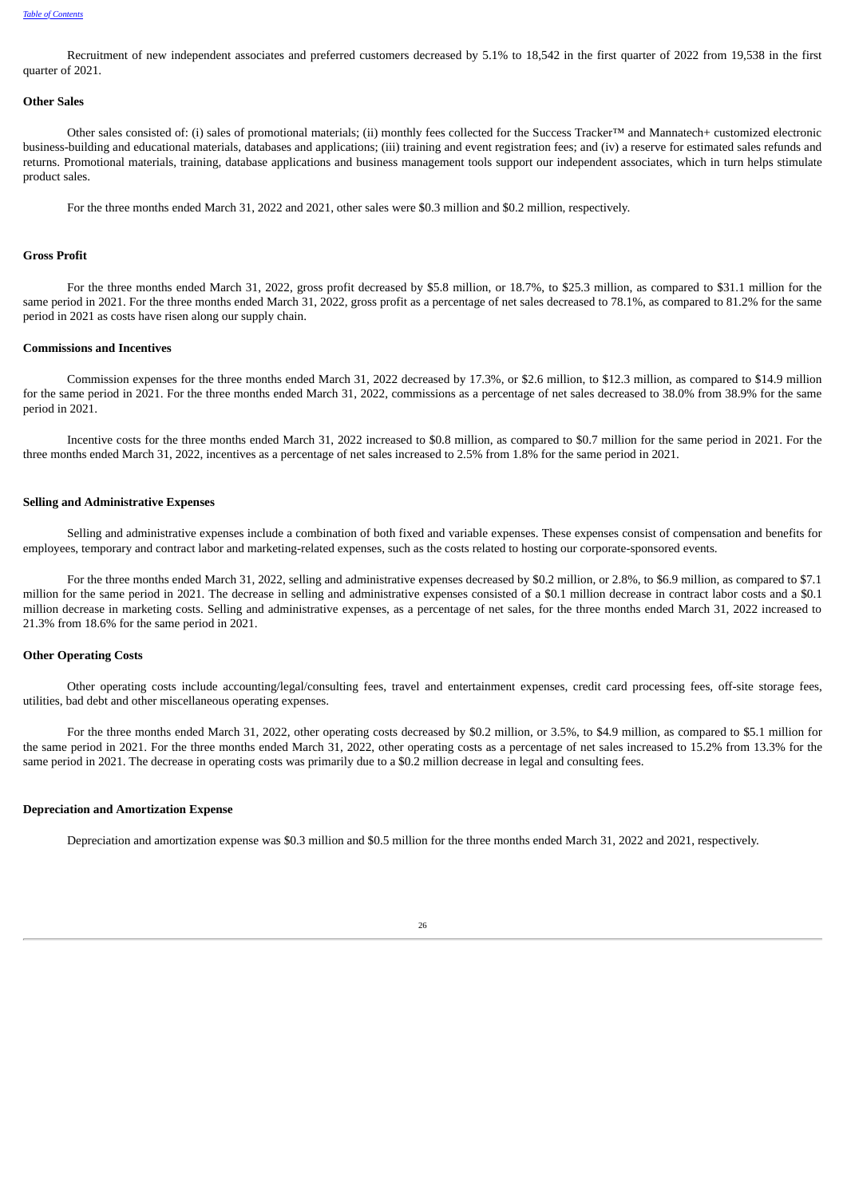Recruitment of new independent associates and preferred customers decreased by 5.1% to 18,542 in the first quarter of 2022 from 19,538 in the first quarter of 2021.

#### **Other Sales**

Other sales consisted of: (i) sales of promotional materials; (ii) monthly fees collected for the Success Tracker™ and Mannatech+ customized electronic business-building and educational materials, databases and applications; (iii) training and event registration fees; and (iv) a reserve for estimated sales refunds and returns. Promotional materials, training, database applications and business management tools support our independent associates, which in turn helps stimulate product sales.

For the three months ended March 31, 2022 and 2021, other sales were \$0.3 million and \$0.2 million, respectively.

#### **Gross Profit**

For the three months ended March 31, 2022, gross profit decreased by \$5.8 million, or 18.7%, to \$25.3 million, as compared to \$31.1 million for the same period in 2021. For the three months ended March 31, 2022, gross profit as a percentage of net sales decreased to 78.1%, as compared to 81.2% for the same period in 2021 as costs have risen along our supply chain.

#### **Commissions and Incentives**

Commission expenses for the three months ended March 31, 2022 decreased by 17.3%, or \$2.6 million, to \$12.3 million, as compared to \$14.9 million for the same period in 2021. For the three months ended March 31, 2022, commissions as a percentage of net sales decreased to 38.0% from 38.9% for the same period in 2021.

Incentive costs for the three months ended March 31, 2022 increased to \$0.8 million, as compared to \$0.7 million for the same period in 2021. For the three months ended March 31, 2022, incentives as a percentage of net sales increased to 2.5% from 1.8% for the same period in 2021.

#### **Selling and Administrative Expenses**

Selling and administrative expenses include a combination of both fixed and variable expenses. These expenses consist of compensation and benefits for employees, temporary and contract labor and marketing-related expenses, such as the costs related to hosting our corporate-sponsored events.

For the three months ended March 31, 2022, selling and administrative expenses decreased by \$0.2 million, or 2.8%, to \$6.9 million, as compared to \$7.1 million for the same period in 2021. The decrease in selling and administrative expenses consisted of a \$0.1 million decrease in contract labor costs and a \$0.1 million decrease in marketing costs. Selling and administrative expenses, as a percentage of net sales, for the three months ended March 31, 2022 increased to 21.3% from 18.6% for the same period in 2021.

#### **Other Operating Costs**

Other operating costs include accounting/legal/consulting fees, travel and entertainment expenses, credit card processing fees, off-site storage fees, utilities, bad debt and other miscellaneous operating expenses.

For the three months ended March 31, 2022, other operating costs decreased by \$0.2 million, or 3.5%, to \$4.9 million, as compared to \$5.1 million for the same period in 2021. For the three months ended March 31, 2022, other operating costs as a percentage of net sales increased to 15.2% from 13.3% for the same period in 2021. The decrease in operating costs was primarily due to a \$0.2 million decrease in legal and consulting fees.

#### **Depreciation and Amortization Expense**

Depreciation and amortization expense was \$0.3 million and \$0.5 million for the three months ended March 31, 2022 and 2021, respectively.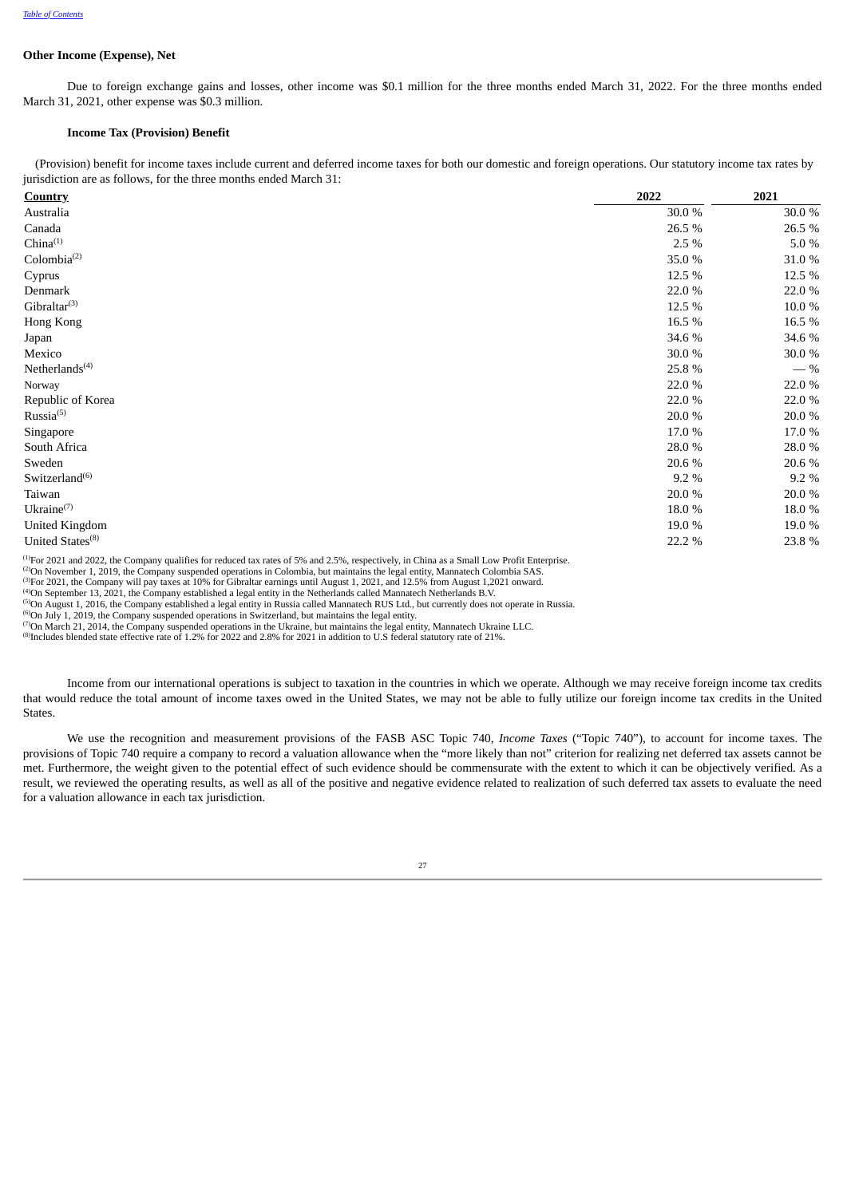#### **Other Income (Expense), Net**

Due to foreign exchange gains and losses, other income was \$0.1 million for the three months ended March 31, 2022. For the three months ended March 31, 2021, other expense was \$0.3 million.

### **Income Tax (Provision) Benefit**

(Provision) benefit for income taxes include current and deferred income taxes for both our domestic and foreign operations. Our statutory income tax rates by jurisdiction are as follows, for the three months ended March 31:

| <b>Country</b>                                                                                                                                         | 2022   | 2021   |
|--------------------------------------------------------------------------------------------------------------------------------------------------------|--------|--------|
| Australia                                                                                                                                              | 30.0 % | 30.0 % |
| Canada                                                                                                                                                 | 26.5 % | 26.5 % |
| $China^{(1)}$                                                                                                                                          | 2.5 %  | 5.0 %  |
| Colombia <sup>(2)</sup>                                                                                                                                | 35.0 % | 31.0%  |
| Cyprus                                                                                                                                                 | 12.5 % | 12.5 % |
| Denmark                                                                                                                                                | 22.0 % | 22.0 % |
| Gibraltar <sup>(3)</sup>                                                                                                                               | 12.5 % | 10.0%  |
| Hong Kong                                                                                                                                              | 16.5 % | 16.5 % |
| Japan                                                                                                                                                  | 34.6 % | 34.6 % |
| Mexico                                                                                                                                                 | 30.0%  | 30.0 % |
| Netherlands $(4)$                                                                                                                                      | 25.8%  | $-$ %  |
| Norway                                                                                                                                                 | 22.0 % | 22.0 % |
| Republic of Korea                                                                                                                                      | 22.0 % | 22.0 % |
| $Russia^{(5)}$                                                                                                                                         | 20.0 % | 20.0%  |
| Singapore                                                                                                                                              | 17.0 % | 17.0 % |
| South Africa                                                                                                                                           | 28.0%  | 28.0%  |
| Sweden                                                                                                                                                 | 20.6 % | 20.6 % |
| Switzerland <sup>(6)</sup>                                                                                                                             | 9.2 %  | 9.2%   |
| Taiwan                                                                                                                                                 | 20.0 % | 20.0%  |
| Ukraine $(7)$                                                                                                                                          | 18.0%  | 18.0 % |
| <b>United Kingdom</b>                                                                                                                                  | 19.0 % | 19.0 % |
| United States <sup>(8)</sup>                                                                                                                           | 22.2 % | 23.8 % |
| <sup>(1)</sup> For 2021 and 2022, the Company qualifies for reduced tax rates of 5% and 2.5%, respectively, in China as a Small Low Profit Enterprise. |        |        |

 $^{(2)}$ On November 1, 2019, the Company suspended operations in Colombia, but maintains the legal entity, Mannatech Colombia SAS.

( $3$ )For 2021, the Company will pay taxes at 10% for Gibraltar earnings until August 1, 2021, and 12.5% from August 1,2021 onward.  $(4)$ On September 13, 2021, the Company established a legal entity in the Netherlands called Mannatech Netherlands B.V.

 $(5)$ On August 1, 2016, the Company established a legal entity in Russia called Mannatech RUS Ltd., but currently does not operate in Russia.

 $(6)$ On July 1, 2019, the Company suspended operations in Switzerland, but maintains the legal entity.

( $7$ On March 21, 2014, the Company suspended operations in the Ukraine, but maintains the legal entity, Mannatech Ukraine LLC.

 $^{(8)}$ Includes blended state effective rate of 1.2% for 2022 and 2.8% for 2021 in addition to U.S federal statutory rate of 21%.

Income from our international operations is subject to taxation in the countries in which we operate. Although we may receive foreign income tax credits that would reduce the total amount of income taxes owed in the United States, we may not be able to fully utilize our foreign income tax credits in the United States.

We use the recognition and measurement provisions of the FASB ASC Topic 740, *Income Taxes* ("Topic 740"), to account for income taxes. The provisions of Topic 740 require a company to record a valuation allowance when the "more likely than not" criterion for realizing net deferred tax assets cannot be met. Furthermore, the weight given to the potential effect of such evidence should be commensurate with the extent to which it can be objectively verified. As a result, we reviewed the operating results, as well as all of the positive and negative evidence related to realization of such deferred tax assets to evaluate the need for a valuation allowance in each tax jurisdiction.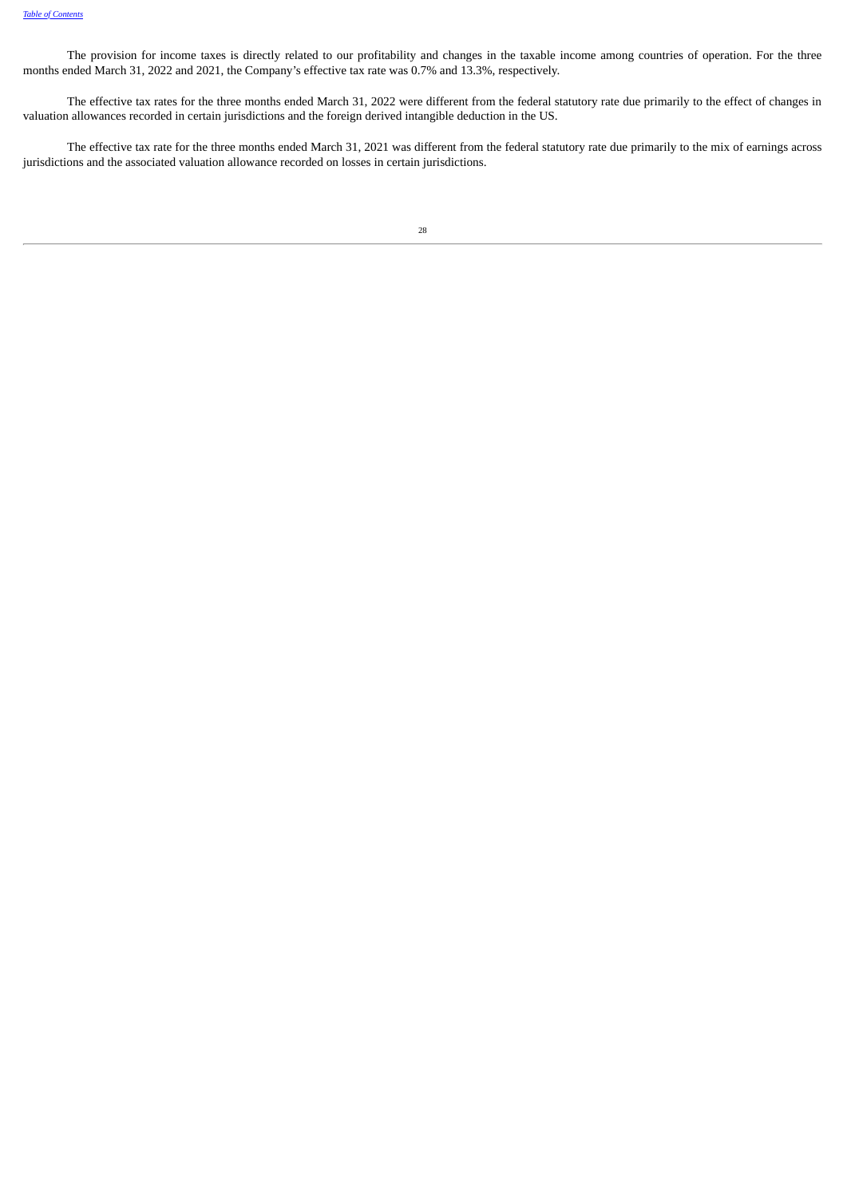The provision for income taxes is directly related to our profitability and changes in the taxable income among countries of operation. For the three months ended March 31, 2022 and 2021, the Company's effective tax rate was 0.7% and 13.3%, respectively.

The effective tax rates for the three months ended March 31, 2022 were different from the federal statutory rate due primarily to the effect of changes in valuation allowances recorded in certain jurisdictions and the foreign derived intangible deduction in the US.

The effective tax rate for the three months ended March 31, 2021 was different from the federal statutory rate due primarily to the mix of earnings across jurisdictions and the associated valuation allowance recorded on losses in certain jurisdictions.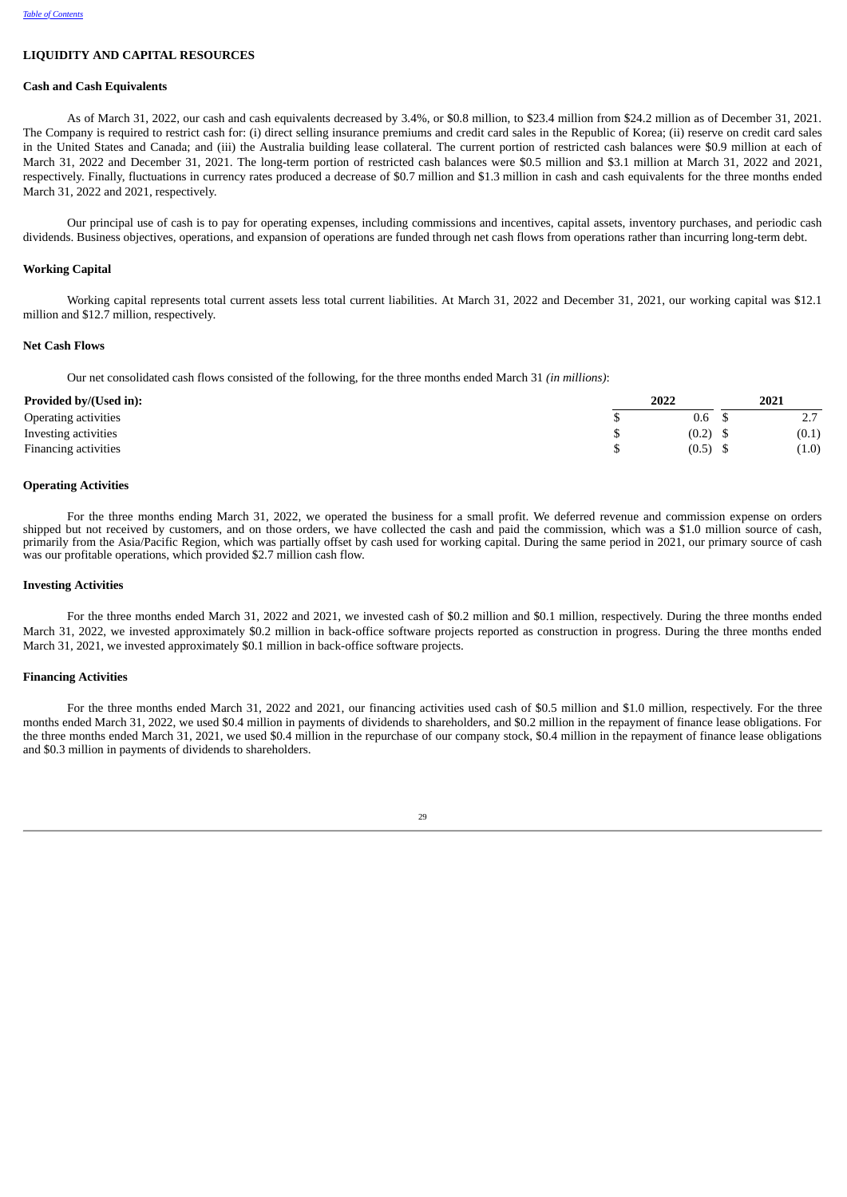#### <span id="page-31-0"></span>**LIQUIDITY AND CAPITAL RESOURCES**

#### **Cash and Cash Equivalents**

As of March 31, 2022, our cash and cash equivalents decreased by 3.4%, or \$0.8 million, to \$23.4 million from \$24.2 million as of December 31, 2021. The Company is required to restrict cash for: (i) direct selling insurance premiums and credit card sales in the Republic of Korea; (ii) reserve on credit card sales in the United States and Canada; and (iii) the Australia building lease collateral. The current portion of restricted cash balances were \$0.9 million at each of March 31, 2022 and December 31, 2021. The long-term portion of restricted cash balances were \$0.5 million and \$3.1 million at March 31, 2022 and 2021, respectively. Finally, fluctuations in currency rates produced a decrease of \$0.7 million and \$1.3 million in cash and cash equivalents for the three months ended March 31, 2022 and 2021, respectively.

Our principal use of cash is to pay for operating expenses, including commissions and incentives, capital assets, inventory purchases, and periodic cash dividends. Business objectives, operations, and expansion of operations are funded through net cash flows from operations rather than incurring long-term debt.

#### **Working Capital**

Working capital represents total current assets less total current liabilities. At March 31, 2022 and December 31, 2021, our working capital was \$12.1 million and \$12.7 million, respectively.

#### **Net Cash Flows**

Our net consolidated cash flows consisted of the following, for the three months ended March 31 *(in millions)*:

| <b>Provided by/(Used in):</b> | 2022       | 2021            |
|-------------------------------|------------|-----------------|
| <b>Operating activities</b>   | 0.6        | $\mathcal{L}$ . |
| Investing activities          | (0.2)      | (0.1)           |
| Financing activities          | $(0.5)$ \$ | (1.0)           |

#### **Operating Activities**

For the three months ending March 31, 2022, we operated the business for a small profit. We deferred revenue and commission expense on orders shipped but not received by customers, and on those orders, we have collected the cash and paid the commission, which was a \$1.0 million source of cash, primarily from the Asia/Pacific Region, which was partially offset by cash used for working capital. During the same period in 2021, our primary source of cash was our profitable operations, which provided \$2.7 million cash flow.

#### **Investing Activities**

For the three months ended March 31, 2022 and 2021, we invested cash of \$0.2 million and \$0.1 million, respectively. During the three months ended March 31, 2022, we invested approximately \$0.2 million in back-office software projects reported as construction in progress. During the three months ended March 31, 2021, we invested approximately \$0.1 million in back-office software projects.

#### **Financing Activities**

For the three months ended March 31, 2022 and 2021, our financing activities used cash of \$0.5 million and \$1.0 million, respectively. For the three months ended March 31, 2022, we used \$0.4 million in payments of dividends to shareholders, and \$0.2 million in the repayment of finance lease obligations. For the three months ended March 31, 2021, we used \$0.4 million in the repurchase of our company stock, \$0.4 million in the repayment of finance lease obligations and \$0.3 million in payments of dividends to shareholders.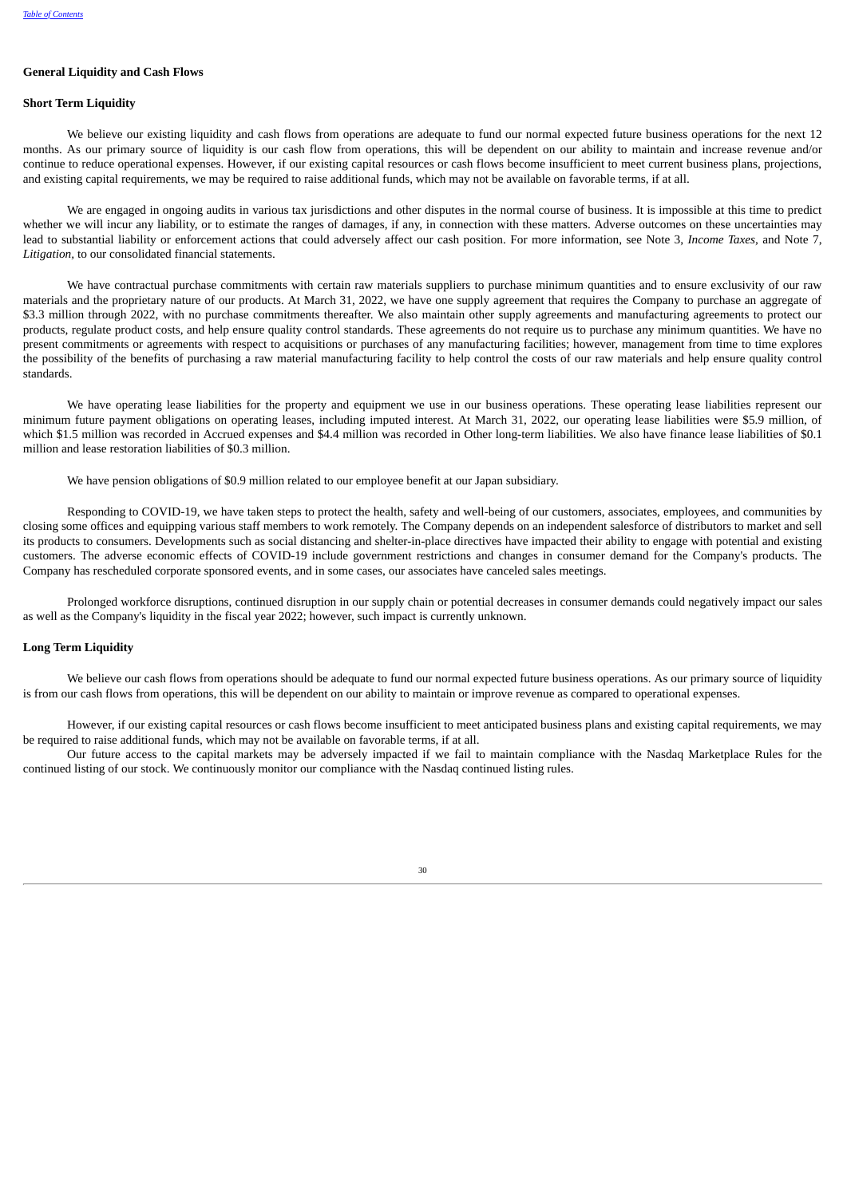#### **General Liquidity and Cash Flows**

### **Short Term Liquidity**

We believe our existing liquidity and cash flows from operations are adequate to fund our normal expected future business operations for the next 12 months. As our primary source of liquidity is our cash flow from operations, this will be dependent on our ability to maintain and increase revenue and/or continue to reduce operational expenses. However, if our existing capital resources or cash flows become insufficient to meet current business plans, projections, and existing capital requirements, we may be required to raise additional funds, which may not be available on favorable terms, if at all.

We are engaged in ongoing audits in various tax jurisdictions and other disputes in the normal course of business. It is impossible at this time to predict whether we will incur any liability, or to estimate the ranges of damages, if any, in connection with these matters. Adverse outcomes on these uncertainties may lead to substantial liability or enforcement actions that could adversely affect our cash position. For more information, see Note 3, *Income Taxes,* and Note 7, *Litigation,* to our consolidated financial statements.

We have contractual purchase commitments with certain raw materials suppliers to purchase minimum quantities and to ensure exclusivity of our raw materials and the proprietary nature of our products. At March 31, 2022, we have one supply agreement that requires the Company to purchase an aggregate of \$3.3 million through 2022, with no purchase commitments thereafter. We also maintain other supply agreements and manufacturing agreements to protect our products, regulate product costs, and help ensure quality control standards. These agreements do not require us to purchase any minimum quantities. We have no present commitments or agreements with respect to acquisitions or purchases of any manufacturing facilities; however, management from time to time explores the possibility of the benefits of purchasing a raw material manufacturing facility to help control the costs of our raw materials and help ensure quality control standards.

We have operating lease liabilities for the property and equipment we use in our business operations. These operating lease liabilities represent our minimum future payment obligations on operating leases, including imputed interest. At March 31, 2022, our operating lease liabilities were \$5.9 million, of which \$1.5 million was recorded in Accrued expenses and \$4.4 million was recorded in Other long-term liabilities. We also have finance lease liabilities of \$0.1 million and lease restoration liabilities of \$0.3 million.

We have pension obligations of \$0.9 million related to our employee benefit at our Japan subsidiary.

Responding to COVID-19, we have taken steps to protect the health, safety and well-being of our customers, associates, employees, and communities by closing some offices and equipping various staff members to work remotely. The Company depends on an independent salesforce of distributors to market and sell its products to consumers. Developments such as social distancing and shelter-in-place directives have impacted their ability to engage with potential and existing customers. The adverse economic effects of COVID-19 include government restrictions and changes in consumer demand for the Company's products. The Company has rescheduled corporate sponsored events, and in some cases, our associates have canceled sales meetings.

Prolonged workforce disruptions, continued disruption in our supply chain or potential decreases in consumer demands could negatively impact our sales as well as the Company's liquidity in the fiscal year 2022; however, such impact is currently unknown.

#### **Long Term Liquidity**

We believe our cash flows from operations should be adequate to fund our normal expected future business operations. As our primary source of liquidity is from our cash flows from operations, this will be dependent on our ability to maintain or improve revenue as compared to operational expenses.

However, if our existing capital resources or cash flows become insufficient to meet anticipated business plans and existing capital requirements, we may be required to raise additional funds, which may not be available on favorable terms, if at all.

Our future access to the capital markets may be adversely impacted if we fail to maintain compliance with the Nasdaq Marketplace Rules for the continued listing of our stock. We continuously monitor our compliance with the Nasdaq continued listing rules.

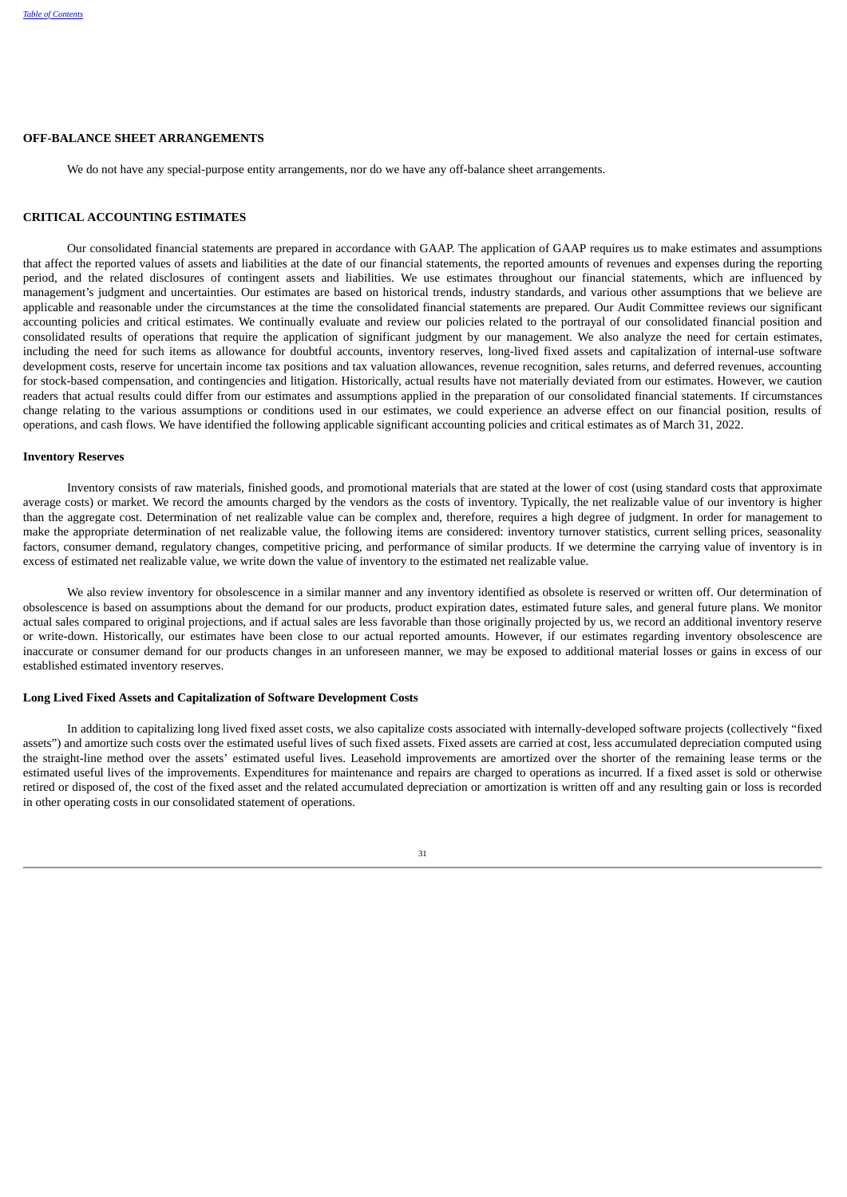#### **OFF-BALANCE SHEET ARRANGEMENTS**

We do not have any special-purpose entity arrangements, nor do we have any off-balance sheet arrangements.

#### <span id="page-33-0"></span>**CRITICAL ACCOUNTING ESTIMATES**

Our consolidated financial statements are prepared in accordance with GAAP. The application of GAAP requires us to make estimates and assumptions that affect the reported values of assets and liabilities at the date of our financial statements, the reported amounts of revenues and expenses during the reporting period, and the related disclosures of contingent assets and liabilities. We use estimates throughout our financial statements, which are influenced by management's judgment and uncertainties. Our estimates are based on historical trends, industry standards, and various other assumptions that we believe are applicable and reasonable under the circumstances at the time the consolidated financial statements are prepared. Our Audit Committee reviews our significant accounting policies and critical estimates. We continually evaluate and review our policies related to the portrayal of our consolidated financial position and consolidated results of operations that require the application of significant judgment by our management. We also analyze the need for certain estimates, including the need for such items as allowance for doubtful accounts, inventory reserves, long-lived fixed assets and capitalization of internal-use software development costs, reserve for uncertain income tax positions and tax valuation allowances, revenue recognition, sales returns, and deferred revenues, accounting for stock-based compensation, and contingencies and litigation. Historically, actual results have not materially deviated from our estimates. However, we caution readers that actual results could differ from our estimates and assumptions applied in the preparation of our consolidated financial statements. If circumstances change relating to the various assumptions or conditions used in our estimates, we could experience an adverse effect on our financial position, results of operations, and cash flows. We have identified the following applicable significant accounting policies and critical estimates as of March 31, 2022.

#### **Inventory Reserves**

Inventory consists of raw materials, finished goods, and promotional materials that are stated at the lower of cost (using standard costs that approximate average costs) or market. We record the amounts charged by the vendors as the costs of inventory. Typically, the net realizable value of our inventory is higher than the aggregate cost. Determination of net realizable value can be complex and, therefore, requires a high degree of judgment. In order for management to make the appropriate determination of net realizable value, the following items are considered: inventory turnover statistics, current selling prices, seasonality factors, consumer demand, regulatory changes, competitive pricing, and performance of similar products. If we determine the carrying value of inventory is in excess of estimated net realizable value, we write down the value of inventory to the estimated net realizable value.

We also review inventory for obsolescence in a similar manner and any inventory identified as obsolete is reserved or written off. Our determination of obsolescence is based on assumptions about the demand for our products, product expiration dates, estimated future sales, and general future plans. We monitor actual sales compared to original projections, and if actual sales are less favorable than those originally projected by us, we record an additional inventory reserve or write-down. Historically, our estimates have been close to our actual reported amounts. However, if our estimates regarding inventory obsolescence are inaccurate or consumer demand for our products changes in an unforeseen manner, we may be exposed to additional material losses or gains in excess of our established estimated inventory reserves.

#### **Long Lived Fixed Assets and Capitalization of Software Development Costs**

In addition to capitalizing long lived fixed asset costs, we also capitalize costs associated with internally-developed software projects (collectively "fixed assets") and amortize such costs over the estimated useful lives of such fixed assets. Fixed assets are carried at cost, less accumulated depreciation computed using the straight-line method over the assets' estimated useful lives. Leasehold improvements are amortized over the shorter of the remaining lease terms or the estimated useful lives of the improvements. Expenditures for maintenance and repairs are charged to operations as incurred. If a fixed asset is sold or otherwise retired or disposed of, the cost of the fixed asset and the related accumulated depreciation or amortization is written off and any resulting gain or loss is recorded in other operating costs in our consolidated statement of operations.

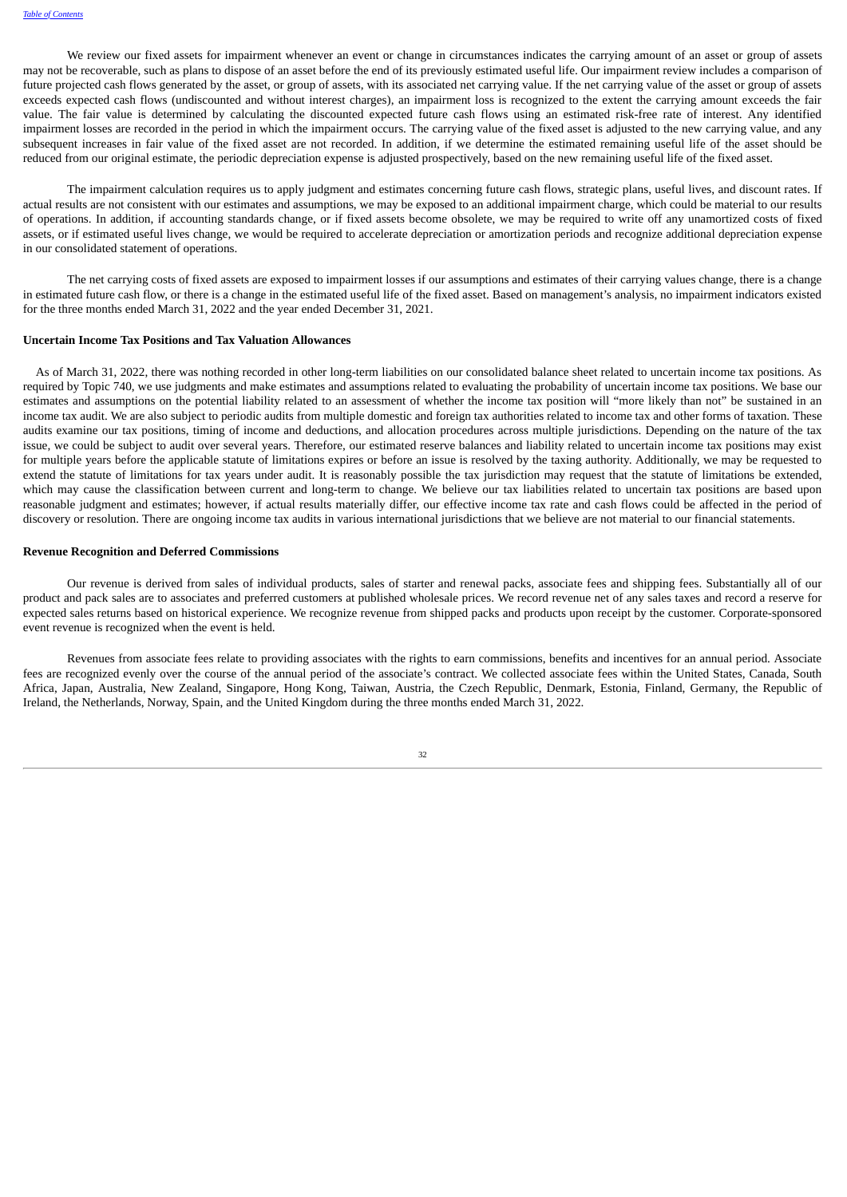We review our fixed assets for impairment whenever an event or change in circumstances indicates the carrying amount of an asset or group of assets may not be recoverable, such as plans to dispose of an asset before the end of its previously estimated useful life. Our impairment review includes a comparison of future projected cash flows generated by the asset, or group of assets, with its associated net carrying value. If the net carrying value of the asset or group of assets exceeds expected cash flows (undiscounted and without interest charges), an impairment loss is recognized to the extent the carrying amount exceeds the fair value. The fair value is determined by calculating the discounted expected future cash flows using an estimated risk-free rate of interest. Any identified impairment losses are recorded in the period in which the impairment occurs. The carrying value of the fixed asset is adjusted to the new carrying value, and any subsequent increases in fair value of the fixed asset are not recorded. In addition, if we determine the estimated remaining useful life of the asset should be reduced from our original estimate, the periodic depreciation expense is adjusted prospectively, based on the new remaining useful life of the fixed asset.

The impairment calculation requires us to apply judgment and estimates concerning future cash flows, strategic plans, useful lives, and discount rates. If actual results are not consistent with our estimates and assumptions, we may be exposed to an additional impairment charge, which could be material to our results of operations. In addition, if accounting standards change, or if fixed assets become obsolete, we may be required to write off any unamortized costs of fixed assets, or if estimated useful lives change, we would be required to accelerate depreciation or amortization periods and recognize additional depreciation expense in our consolidated statement of operations.

The net carrying costs of fixed assets are exposed to impairment losses if our assumptions and estimates of their carrying values change, there is a change in estimated future cash flow, or there is a change in the estimated useful life of the fixed asset. Based on management's analysis, no impairment indicators existed for the three months ended March 31, 2022 and the year ended December 31, 2021.

#### **Uncertain Income Tax Positions and Tax Valuation Allowances**

As of March 31, 2022, there was nothing recorded in other long-term liabilities on our consolidated balance sheet related to uncertain income tax positions. As required by Topic 740, we use judgments and make estimates and assumptions related to evaluating the probability of uncertain income tax positions. We base our estimates and assumptions on the potential liability related to an assessment of whether the income tax position will "more likely than not" be sustained in an income tax audit. We are also subject to periodic audits from multiple domestic and foreign tax authorities related to income tax and other forms of taxation. These audits examine our tax positions, timing of income and deductions, and allocation procedures across multiple jurisdictions. Depending on the nature of the tax issue, we could be subject to audit over several years. Therefore, our estimated reserve balances and liability related to uncertain income tax positions may exist for multiple years before the applicable statute of limitations expires or before an issue is resolved by the taxing authority. Additionally, we may be requested to extend the statute of limitations for tax years under audit. It is reasonably possible the tax jurisdiction may request that the statute of limitations be extended, which may cause the classification between current and long-term to change. We believe our tax liabilities related to uncertain tax positions are based upon reasonable judgment and estimates; however, if actual results materially differ, our effective income tax rate and cash flows could be affected in the period of discovery or resolution. There are ongoing income tax audits in various international jurisdictions that we believe are not material to our financial statements.

#### **Revenue Recognition and Deferred Commissions**

Our revenue is derived from sales of individual products, sales of starter and renewal packs, associate fees and shipping fees. Substantially all of our product and pack sales are to associates and preferred customers at published wholesale prices. We record revenue net of any sales taxes and record a reserve for expected sales returns based on historical experience. We recognize revenue from shipped packs and products upon receipt by the customer. Corporate-sponsored event revenue is recognized when the event is held.

Revenues from associate fees relate to providing associates with the rights to earn commissions, benefits and incentives for an annual period. Associate fees are recognized evenly over the course of the annual period of the associate's contract. We collected associate fees within the United States, Canada, South Africa, Japan, Australia, New Zealand, Singapore, Hong Kong, Taiwan, Austria, the Czech Republic, Denmark, Estonia, Finland, Germany, the Republic of Ireland, the Netherlands, Norway, Spain, and the United Kingdom during the three months ended March 31, 2022.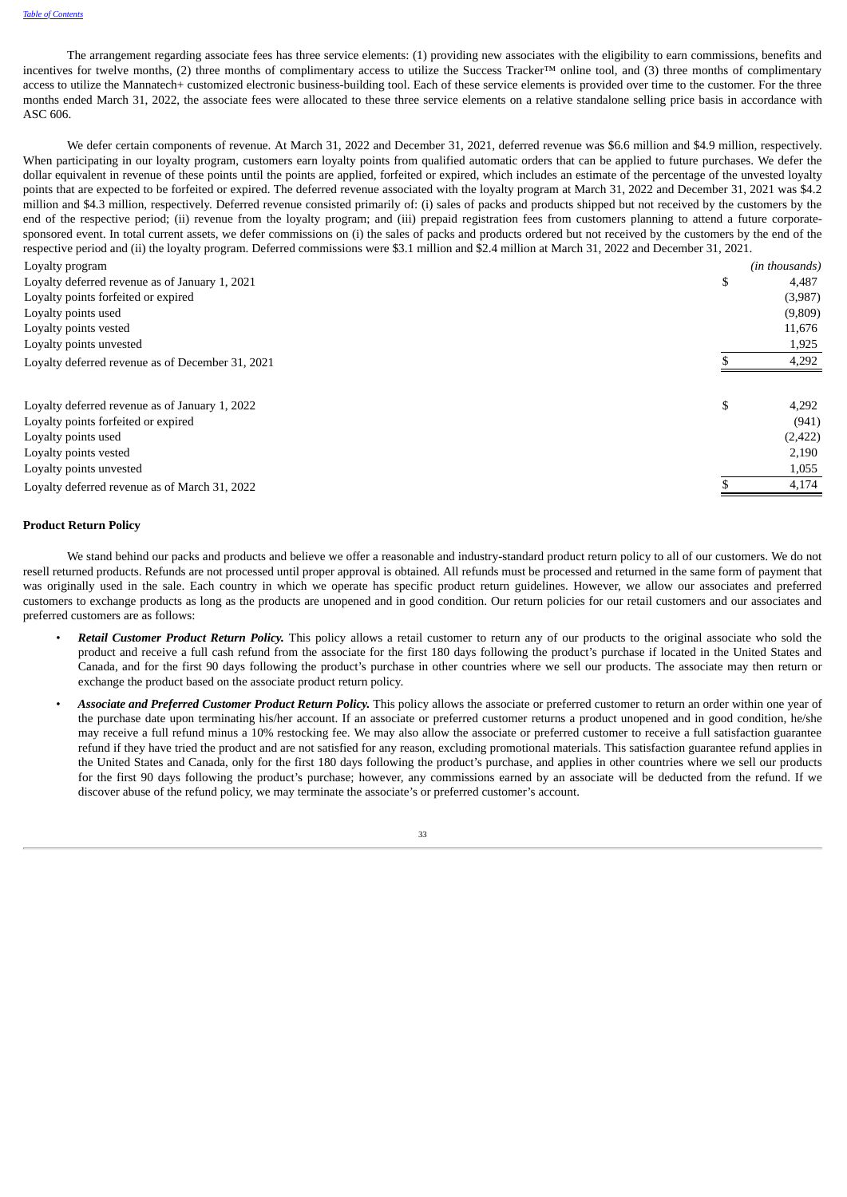The arrangement regarding associate fees has three service elements: (1) providing new associates with the eligibility to earn commissions, benefits and incentives for twelve months, (2) three months of complimentary access to utilize the Success Tracker™ online tool, and (3) three months of complimentary access to utilize the Mannatech+ customized electronic business-building tool. Each of these service elements is provided over time to the customer. For the three months ended March 31, 2022, the associate fees were allocated to these three service elements on a relative standalone selling price basis in accordance with ASC 606.

We defer certain components of revenue. At March 31, 2022 and December 31, 2021, deferred revenue was \$6.6 million and \$4.9 million, respectively. When participating in our loyalty program, customers earn loyalty points from qualified automatic orders that can be applied to future purchases. We defer the dollar equivalent in revenue of these points until the points are applied, forfeited or expired, which includes an estimate of the percentage of the unvested loyalty points that are expected to be forfeited or expired. The deferred revenue associated with the loyalty program at March 31, 2022 and December 31, 2021 was \$4.2 million and \$4.3 million, respectively. Deferred revenue consisted primarily of: (i) sales of packs and products shipped but not received by the customers by the end of the respective period; (ii) revenue from the loyalty program; and (iii) prepaid registration fees from customers planning to attend a future corporatesponsored event. In total current assets, we defer commissions on (i) the sales of packs and products ordered but not received by the customers by the end of the respective period and (ii) the loyalty program. Deferred commissions were \$3.1 million and \$2.4 million at March 31, 2022 and December 31, 2021.

| Loyalty program                                  | (in thousands) |
|--------------------------------------------------|----------------|
| Loyalty deferred revenue as of January 1, 2021   | \$<br>4,487    |
| Loyalty points forfeited or expired              | (3,987)        |
| Loyalty points used                              | (9,809)        |
| Loyalty points vested                            | 11,676         |
| Loyalty points unvested                          | 1,925          |
| Lovalty deferred revenue as of December 31, 2021 | 4,292          |
| Loyalty deferred revenue as of January 1, 2022   | \$<br>4,292    |
| Loyalty points forfeited or expired              | (941)          |
| Loyalty points used                              | (2,422)        |
| Loyalty points vested                            | 2,190          |
| Loyalty points unvested                          | 1,055          |
| Loyalty deferred revenue as of March 31, 2022    | 4,174          |
|                                                  |                |

#### **Product Return Policy**

We stand behind our packs and products and believe we offer a reasonable and industry-standard product return policy to all of our customers. We do not resell returned products. Refunds are not processed until proper approval is obtained. All refunds must be processed and returned in the same form of payment that was originally used in the sale. Each country in which we operate has specific product return guidelines. However, we allow our associates and preferred customers to exchange products as long as the products are unopened and in good condition. Our return policies for our retail customers and our associates and preferred customers are as follows:

- *Retail Customer Product Return Policy.* This policy allows a retail customer to return any of our products to the original associate who sold the product and receive a full cash refund from the associate for the first 180 days following the product's purchase if located in the United States and Canada, and for the first 90 days following the product's purchase in other countries where we sell our products. The associate may then return or exchange the product based on the associate product return policy.
- *Associate and Preferred Customer Product Return Policy.* This policy allows the associate or preferred customer to return an order within one year of the purchase date upon terminating his/her account. If an associate or preferred customer returns a product unopened and in good condition, he/she may receive a full refund minus a 10% restocking fee. We may also allow the associate or preferred customer to receive a full satisfaction guarantee refund if they have tried the product and are not satisfied for any reason, excluding promotional materials. This satisfaction guarantee refund applies in the United States and Canada, only for the first 180 days following the product's purchase, and applies in other countries where we sell our products for the first 90 days following the product's purchase; however, any commissions earned by an associate will be deducted from the refund. If we discover abuse of the refund policy, we may terminate the associate's or preferred customer's account.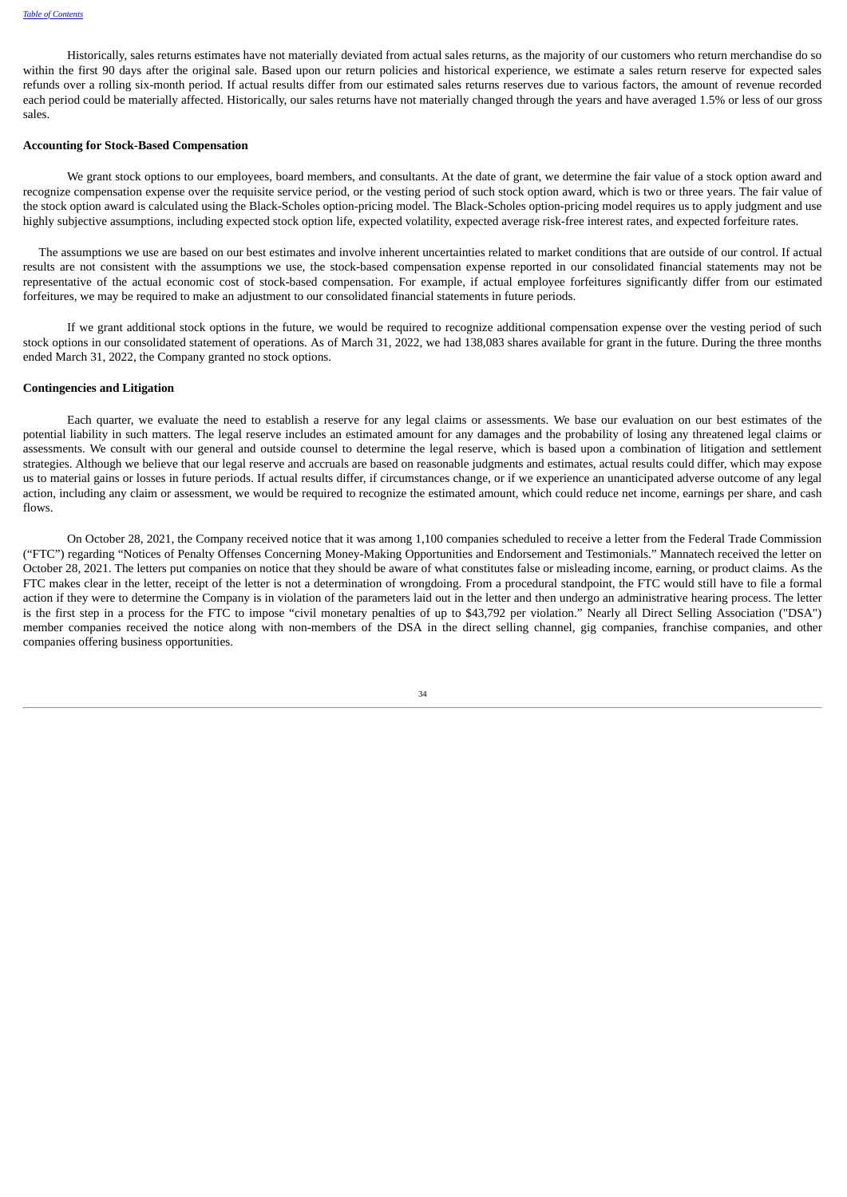Historically, sales returns estimates have not materially deviated from actual sales returns, as the majority of our customers who return merchandise do so within the first 90 days after the original sale. Based upon our return policies and historical experience, we estimate a sales return reserve for expected sales refunds over a rolling six-month period. If actual results differ from our estimated sales returns reserves due to various factors, the amount of revenue recorded each period could be materially affected. Historically, our sales returns have not materially changed through the years and have averaged 1.5% or less of our gross sales.

#### **Accounting for Stock-Based Compensation**

We grant stock options to our employees, board members, and consultants. At the date of grant, we determine the fair value of a stock option award and recognize compensation expense over the requisite service period, or the vesting period of such stock option award, which is two or three years. The fair value of the stock option award is calculated using the Black-Scholes option-pricing model. The Black-Scholes option-pricing model requires us to apply judgment and use highly subjective assumptions, including expected stock option life, expected volatility, expected average risk-free interest rates, and expected forfeiture rates.

The assumptions we use are based on our best estimates and involve inherent uncertainties related to market conditions that are outside of our control. If actual results are not consistent with the assumptions we use, the stock-based compensation expense reported in our consolidated financial statements may not be representative of the actual economic cost of stock-based compensation. For example, if actual employee forfeitures significantly differ from our estimated forfeitures, we may be required to make an adjustment to our consolidated financial statements in future periods.

If we grant additional stock options in the future, we would be required to recognize additional compensation expense over the vesting period of such stock options in our consolidated statement of operations. As of March 31, 2022, we had 138,083 shares available for grant in the future. During the three months ended March 31, 2022, the Company granted no stock options.

#### **Contingencies and Litigation**

Each quarter, we evaluate the need to establish a reserve for any legal claims or assessments. We base our evaluation on our best estimates of the potential liability in such matters. The legal reserve includes an estimated amount for any damages and the probability of losing any threatened legal claims or assessments. We consult with our general and outside counsel to determine the legal reserve, which is based upon a combination of litigation and settlement strategies. Although we believe that our legal reserve and accruals are based on reasonable judgments and estimates, actual results could differ, which may expose us to material gains or losses in future periods. If actual results differ, if circumstances change, or if we experience an unanticipated adverse outcome of any legal action, including any claim or assessment, we would be required to recognize the estimated amount, which could reduce net income, earnings per share, and cash flows.

<span id="page-36-0"></span>On October 28, 2021, the Company received notice that it was among 1,100 companies scheduled to receive a letter from the Federal Trade Commission ("FTC") regarding "Notices of Penalty Offenses Concerning Money-Making Opportunities and Endorsement and Testimonials." Mannatech received the letter on October 28, 2021. The letters put companies on notice that they should be aware of what constitutes false or misleading income, earning, or product claims. As the FTC makes clear in the letter, receipt of the letter is not a determination of wrongdoing. From a procedural standpoint, the FTC would still have to file a formal action if they were to determine the Company is in violation of the parameters laid out in the letter and then undergo an administrative hearing process. The letter is the first step in a process for the FTC to impose "civil monetary penalties of up to \$43,792 per violation." Nearly all Direct Selling Association ("DSA") member companies received the notice along with non-members of the DSA in the direct selling channel, gig companies, franchise companies, and other companies offering business opportunities.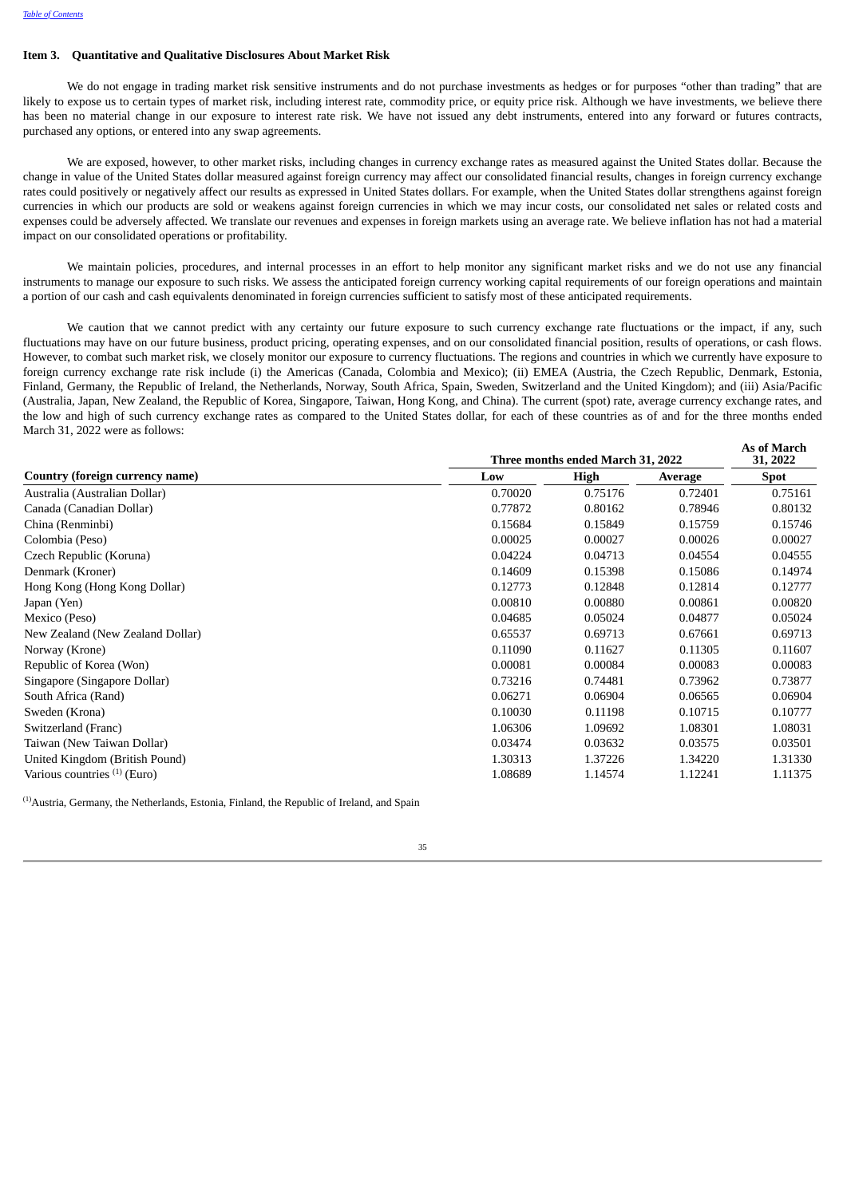### **Item 3. Quantitative and Qualitative Disclosures About Market Risk**

We do not engage in trading market risk sensitive instruments and do not purchase investments as hedges or for purposes "other than trading" that are likely to expose us to certain types of market risk, including interest rate, commodity price, or equity price risk. Although we have investments, we believe there has been no material change in our exposure to interest rate risk. We have not issued any debt instruments, entered into any forward or futures contracts, purchased any options, or entered into any swap agreements.

We are exposed, however, to other market risks, including changes in currency exchange rates as measured against the United States dollar. Because the change in value of the United States dollar measured against foreign currency may affect our consolidated financial results, changes in foreign currency exchange rates could positively or negatively affect our results as expressed in United States dollars. For example, when the United States dollar strengthens against foreign currencies in which our products are sold or weakens against foreign currencies in which we may incur costs, our consolidated net sales or related costs and expenses could be adversely affected. We translate our revenues and expenses in foreign markets using an average rate. We believe inflation has not had a material impact on our consolidated operations or profitability.

We maintain policies, procedures, and internal processes in an effort to help monitor any significant market risks and we do not use any financial instruments to manage our exposure to such risks. We assess the anticipated foreign currency working capital requirements of our foreign operations and maintain a portion of our cash and cash equivalents denominated in foreign currencies sufficient to satisfy most of these anticipated requirements.

We caution that we cannot predict with any certainty our future exposure to such currency exchange rate fluctuations or the impact, if any, such fluctuations may have on our future business, product pricing, operating expenses, and on our consolidated financial position, results of operations, or cash flows. However, to combat such market risk, we closely monitor our exposure to currency fluctuations. The regions and countries in which we currently have exposure to foreign currency exchange rate risk include (i) the Americas (Canada, Colombia and Mexico); (ii) EMEA (Austria, the Czech Republic, Denmark, Estonia, Finland, Germany, the Republic of Ireland, the Netherlands, Norway, South Africa, Spain, Sweden, Switzerland and the United Kingdom); and (iii) Asia/Pacific (Australia, Japan, New Zealand, the Republic of Korea, Singapore, Taiwan, Hong Kong, and China). The current (spot) rate, average currency exchange rates, and the low and high of such currency exchange rates as compared to the United States dollar, for each of these countries as of and for the three months ended March 31, 2022 were as follows:

|                                  |         | Three months ended March 31, 2022 |         | As of March<br>31, 2022 |
|----------------------------------|---------|-----------------------------------|---------|-------------------------|
| Country (foreign currency name)  | Low     | High                              | Average | Spot                    |
| Australia (Australian Dollar)    | 0.70020 | 0.75176                           | 0.72401 | 0.75161                 |
| Canada (Canadian Dollar)         | 0.77872 | 0.80162                           | 0.78946 | 0.80132                 |
| China (Renminbi)                 | 0.15684 | 0.15849                           | 0.15759 | 0.15746                 |
| Colombia (Peso)                  | 0.00025 | 0.00027                           | 0.00026 | 0.00027                 |
| Czech Republic (Koruna)          | 0.04224 | 0.04713                           | 0.04554 | 0.04555                 |
| Denmark (Kroner)                 | 0.14609 | 0.15398                           | 0.15086 | 0.14974                 |
| Hong Kong (Hong Kong Dollar)     | 0.12773 | 0.12848                           | 0.12814 | 0.12777                 |
| Japan (Yen)                      | 0.00810 | 0.00880                           | 0.00861 | 0.00820                 |
| Mexico (Peso)                    | 0.04685 | 0.05024                           | 0.04877 | 0.05024                 |
| New Zealand (New Zealand Dollar) | 0.65537 | 0.69713                           | 0.67661 | 0.69713                 |
| Norway (Krone)                   | 0.11090 | 0.11627                           | 0.11305 | 0.11607                 |
| Republic of Korea (Won)          | 0.00081 | 0.00084                           | 0.00083 | 0.00083                 |
| Singapore (Singapore Dollar)     | 0.73216 | 0.74481                           | 0.73962 | 0.73877                 |
| South Africa (Rand)              | 0.06271 | 0.06904                           | 0.06565 | 0.06904                 |
| Sweden (Krona)                   | 0.10030 | 0.11198                           | 0.10715 | 0.10777                 |
| Switzerland (Franc)              | 1.06306 | 1.09692                           | 1.08301 | 1.08031                 |
| Taiwan (New Taiwan Dollar)       | 0.03474 | 0.03632                           | 0.03575 | 0.03501                 |
| United Kingdom (British Pound)   | 1.30313 | 1.37226                           | 1.34220 | 1.31330                 |
| Various countries $(1)$ (Euro)   | 1.08689 | 1.14574                           | 1.12241 | 1.11375                 |

 $(1)$ Austria, Germany, the Netherlands, Estonia, Finland, the Republic of Ireland, and Spain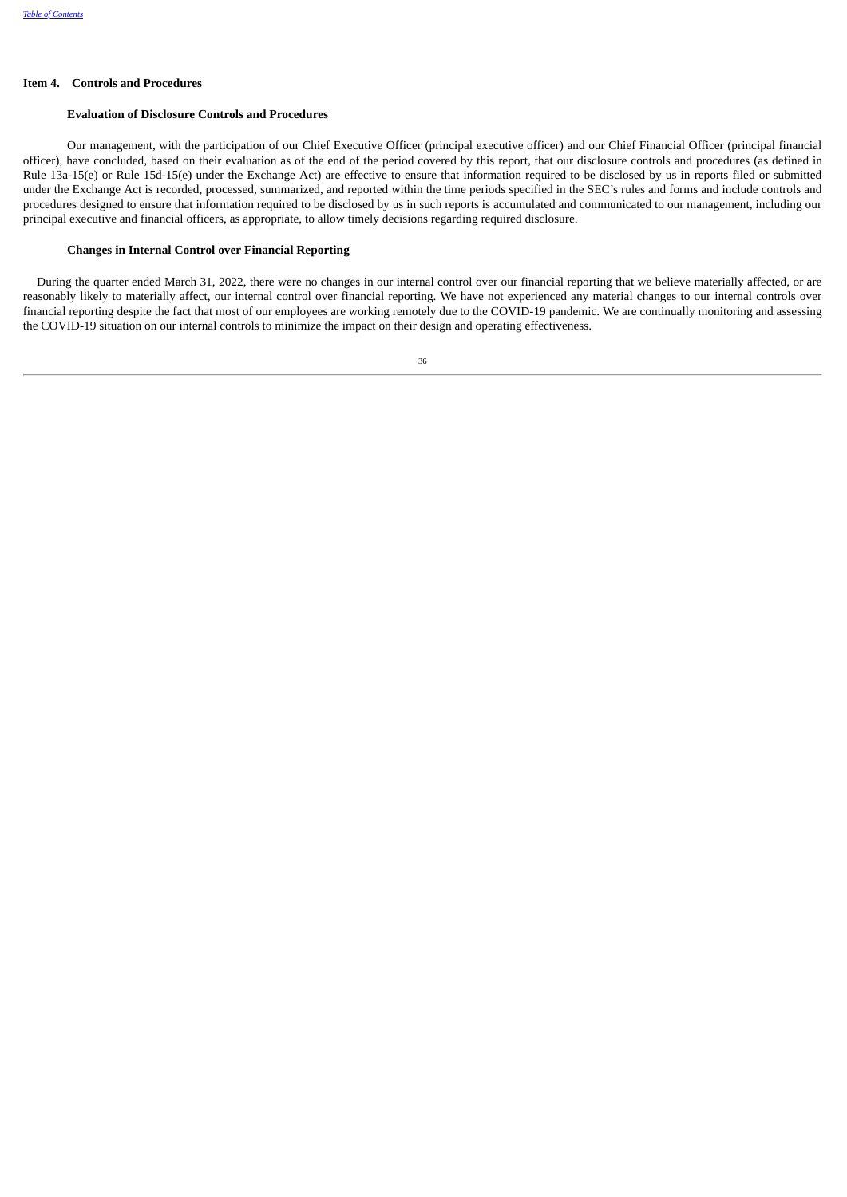#### <span id="page-38-0"></span>**Item 4. Controls and Procedures**

#### **Evaluation of Disclosure Controls and Procedures**

Our management, with the participation of our Chief Executive Officer (principal executive officer) and our Chief Financial Officer (principal financial officer), have concluded, based on their evaluation as of the end of the period covered by this report, that our disclosure controls and procedures (as defined in Rule 13a-15(e) or Rule 15d-15(e) under the Exchange Act) are effective to ensure that information required to be disclosed by us in reports filed or submitted under the Exchange Act is recorded, processed, summarized, and reported within the time periods specified in the SEC's rules and forms and include controls and procedures designed to ensure that information required to be disclosed by us in such reports is accumulated and communicated to our management, including our principal executive and financial officers, as appropriate, to allow timely decisions regarding required disclosure.

#### **Changes in Internal Control over Financial Reporting**

During the quarter ended March 31, 2022, there were no changes in our internal control over our financial reporting that we believe materially affected, or are reasonably likely to materially affect, our internal control over financial reporting. We have not experienced any material changes to our internal controls over financial reporting despite the fact that most of our employees are working remotely due to the COVID-19 pandemic. We are continually monitoring and assessing the COVID-19 situation on our internal controls to minimize the impact on their design and operating effectiveness.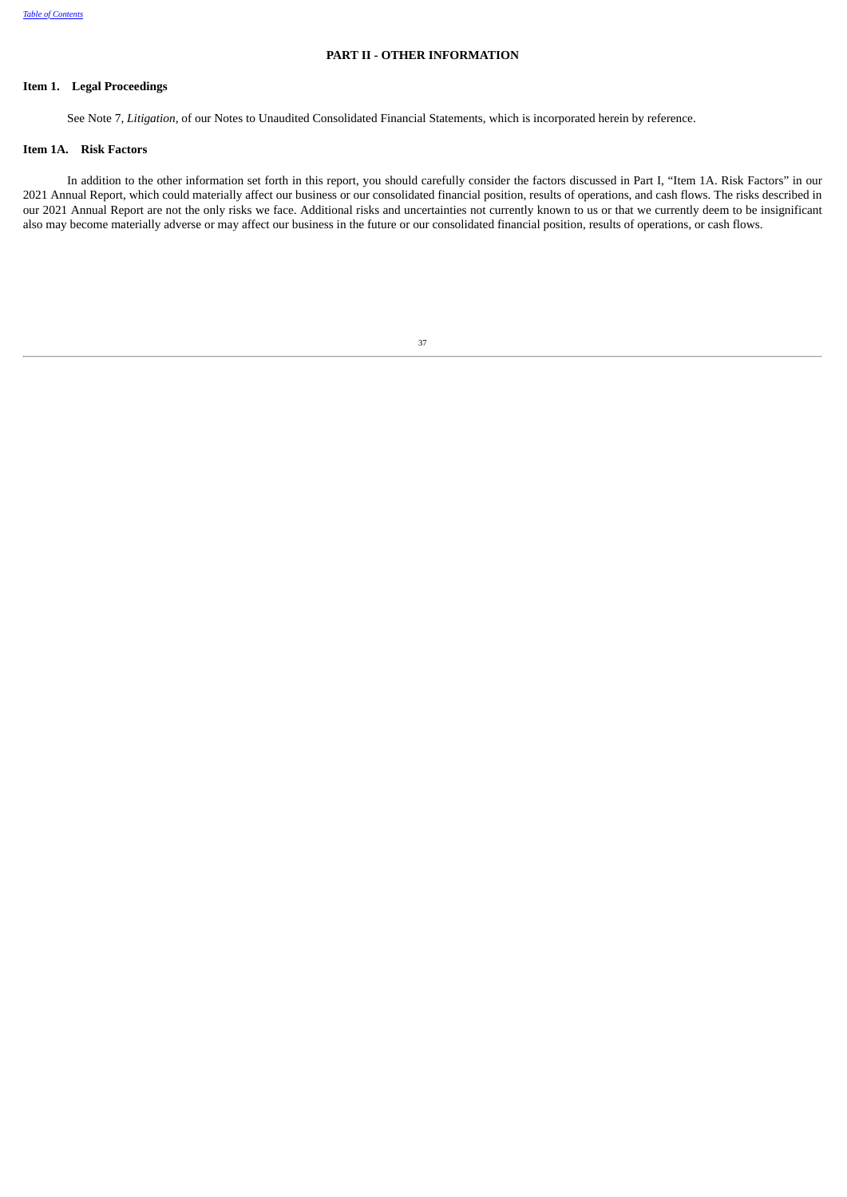### **PART II - OTHER INFORMATION**

#### <span id="page-39-0"></span>**Item 1. Legal Proceedings**

See Note 7, *Litigation,* of our Notes to Unaudited Consolidated Financial Statements, which is incorporated herein by reference.

### <span id="page-39-1"></span>**Item 1A. Risk Factors**

<span id="page-39-2"></span>In addition to the other information set forth in this report, you should carefully consider the factors discussed in Part I, "Item 1A. Risk Factors" in our 2021 Annual Report, which could materially affect our business or our consolidated financial position, results of operations, and cash flows. The risks described in our 2021 Annual Report are not the only risks we face. Additional risks and uncertainties not currently known to us or that we currently deem to be insignificant also may become materially adverse or may affect our business in the future or our consolidated financial position, results of operations, or cash flows.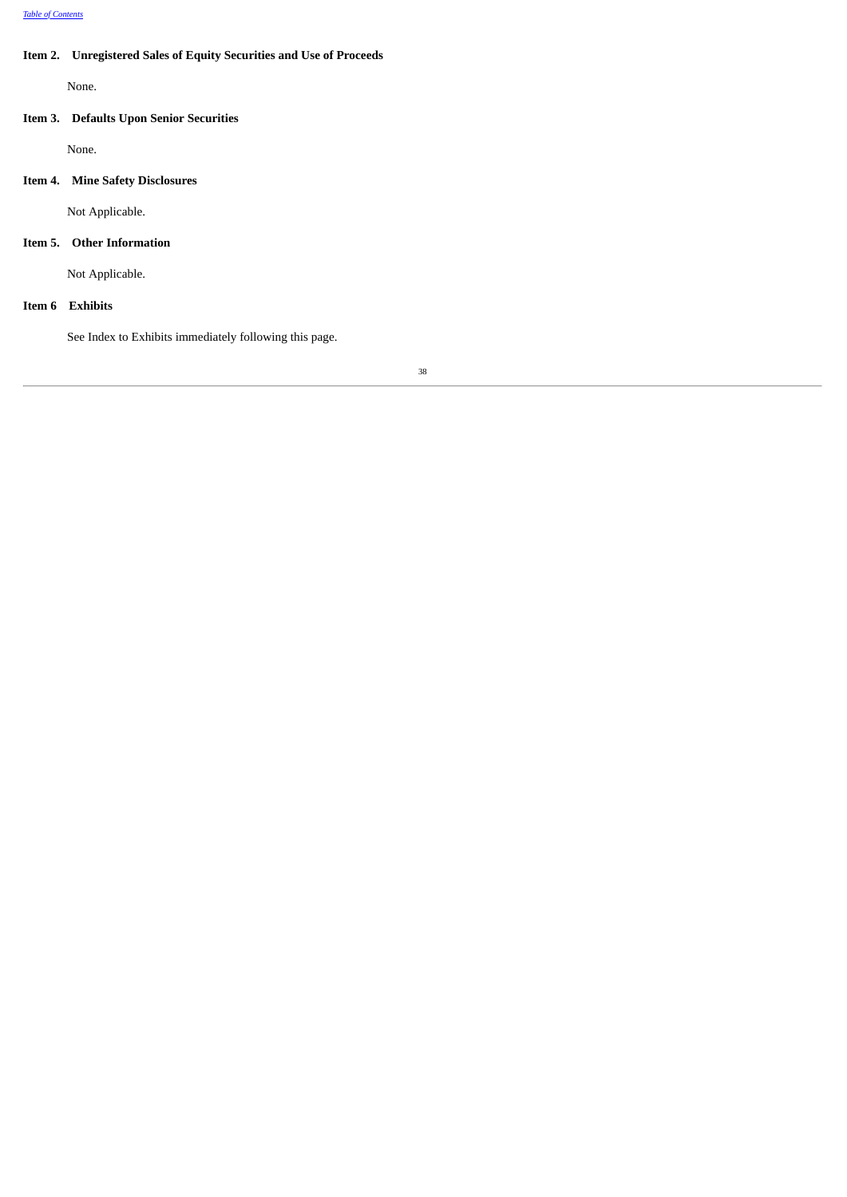### **Item 2. Unregistered Sales of Equity Securities and Use of Proceeds**

None.

### <span id="page-40-0"></span>**Item 3. Defaults Upon Senior Securities**

None.

### <span id="page-40-1"></span>**Item 4. Mine Safety Disclosures**

Not Applicable.

### <span id="page-40-2"></span>**Item 5. Other Information**

Not Applicable.

### <span id="page-40-3"></span>**Item 6 Exhibits**

See Index to Exhibits immediately following this page.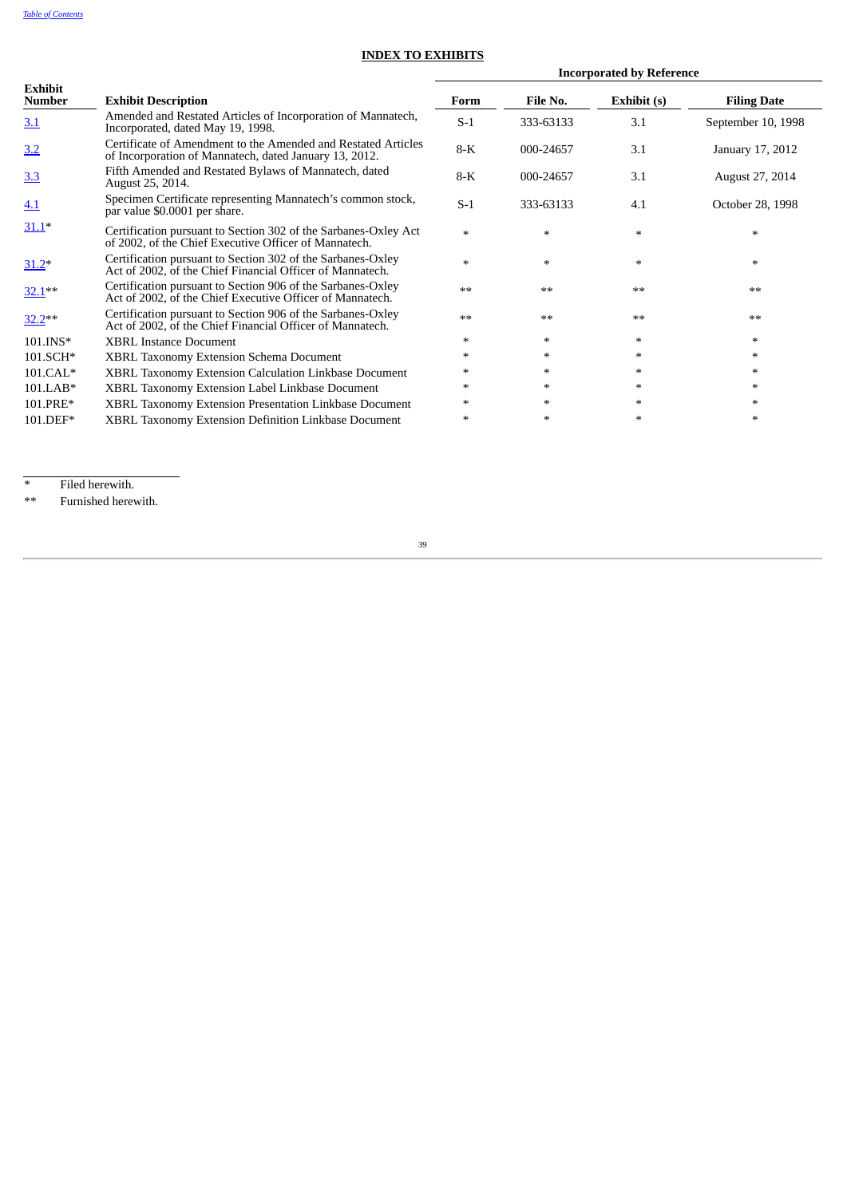### **INDEX TO EXHIBITS**

|                                 |                                                                                                                          | <b>Incorporated by Reference</b> |           |             |                    |  |
|---------------------------------|--------------------------------------------------------------------------------------------------------------------------|----------------------------------|-----------|-------------|--------------------|--|
| <b>Exhibit</b><br><b>Number</b> | <b>Exhibit Description</b>                                                                                               | Form                             | File No.  | Exhibit (s) | <b>Filing Date</b> |  |
| 3.1                             | Amended and Restated Articles of Incorporation of Mannatech,<br>Incorporated, dated May 19, 1998.                        | $S-1$                            | 333-63133 | 3.1         | September 10, 1998 |  |
| 3.2                             | Certificate of Amendment to the Amended and Restated Articles<br>of Incorporation of Mannatech, dated January 13, 2012.  | $8-K$                            | 000-24657 | 3.1         | January 17, 2012   |  |
| 3.3                             | Fifth Amended and Restated Bylaws of Mannatech, dated<br>August 25, 2014.                                                | 8-K                              | 000-24657 | 3.1         | August 27, 2014    |  |
| 4.1                             | Specimen Certificate representing Mannatech's common stock,<br>par value \$0.0001 per share.                             | $S-1$                            | 333-63133 | 4.1         | October 28, 1998   |  |
| $31.1*$                         | Certification pursuant to Section 302 of the Sarbanes-Oxley Act<br>of 2002, of the Chief Executive Officer of Mannatech. | sk.                              |           | $*$         | $\ast$             |  |
| $31.2*$                         | Certification pursuant to Section 302 of the Sarbanes-Oxley<br>Act of 2002, of the Chief Financial Officer of Mannatech. | sk.                              | $*$       | $*$         | $\ast$             |  |
| $32.1**$                        | Certification pursuant to Section 906 of the Sarbanes-Oxley<br>Act of 2002, of the Chief Executive Officer of Mannatech. | $**$                             | $**$      | $**$        | $**$               |  |
| $32.2**$                        | Certification pursuant to Section 906 of the Sarbanes-Oxley<br>Act of 2002, of the Chief Financial Officer of Mannatech. | $**$                             | $**$      | $**$        | $**$               |  |
| 101.INS*                        | <b>XBRL Instance Document</b>                                                                                            | *                                | ∗         | $*$         | ∗                  |  |
| 101.SCH*                        | XBRL Taxonomy Extension Schema Document                                                                                  | *                                | ∗         | $*$         | ∗                  |  |
| $101.CAL*$                      | XBRL Taxonomy Extension Calculation Linkbase Document                                                                    | *                                | *         | $*$         | $*$                |  |
| $101.LAB*$                      | XBRL Taxonomy Extension Label Linkbase Document                                                                          |                                  | $*$       | $*$         | *                  |  |
| 101.PRE*                        | XBRL Taxonomy Extension Presentation Linkbase Document                                                                   |                                  | $*$       | $*$         | *                  |  |
| 101.DEF*                        | XBRL Taxonomy Extension Definition Linkbase Document                                                                     | ×                                |           | *           | *                  |  |

\* Filed herewith.<br>\*\* Furnished herev

<span id="page-41-0"></span>Furnished herewith.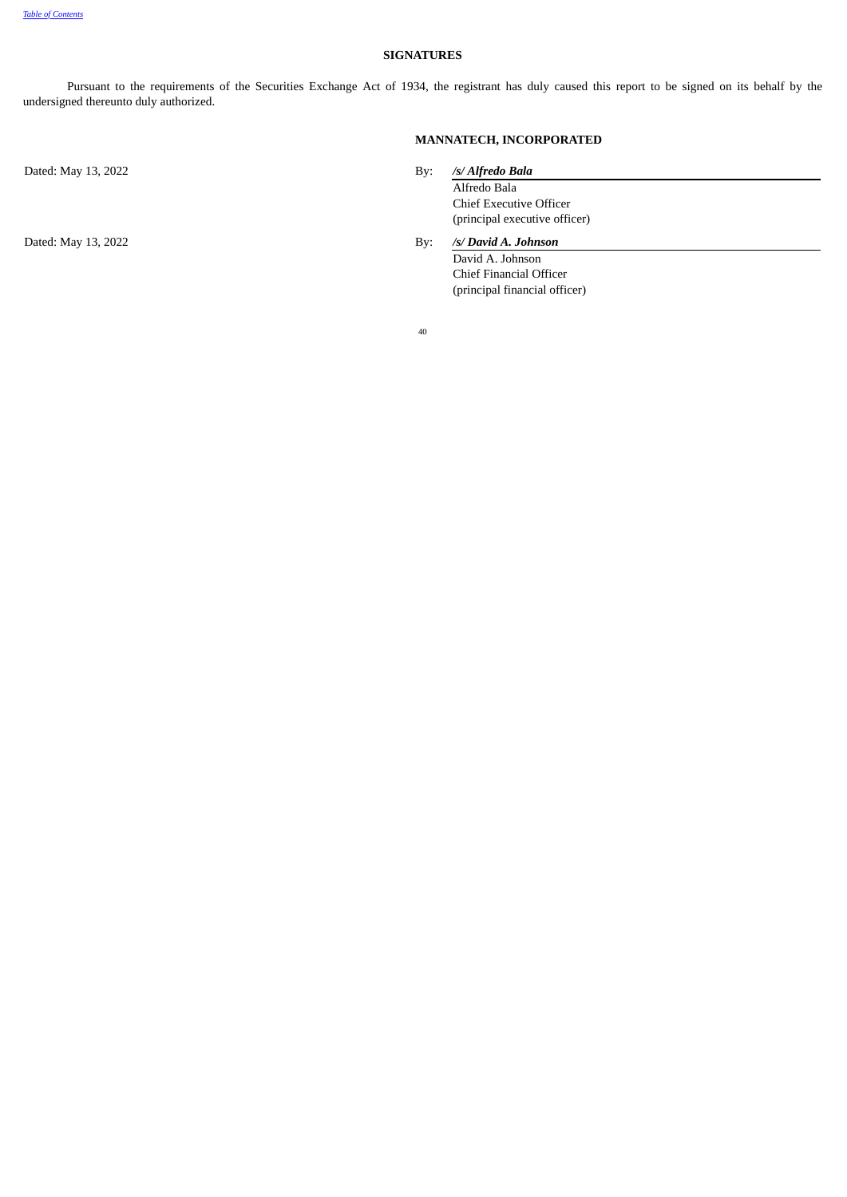### **SIGNATURES**

Pursuant to the requirements of the Securities Exchange Act of 1934, the registrant has duly caused this report to be signed on its behalf by the undersigned thereunto duly authorized.

Dated: May 13, 2022 By: */s/ Alfredo Bala*

### **MANNATECH, INCORPORATED**

Alfredo Bala Chief Executive Officer (principal executive officer)

Dated: May 13, 2022 By: */s/ David A. Johnson* David A. Johnson

Chief Financial Officer (principal financial officer)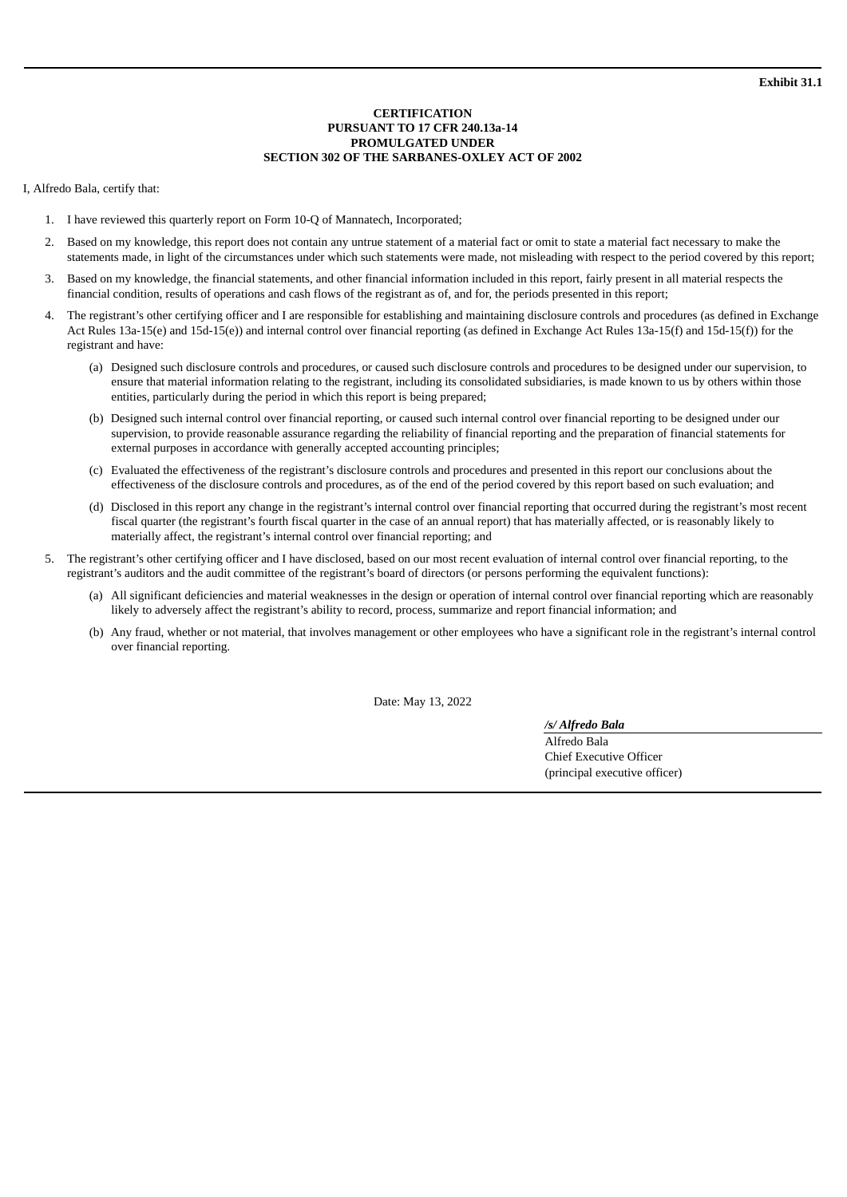#### **CERTIFICATION PURSUANT TO 17 CFR 240.13a-14 PROMULGATED UNDER SECTION 302 OF THE SARBANES-OXLEY ACT OF 2002**

<span id="page-43-0"></span>I, Alfredo Bala, certify that:

- 1. I have reviewed this quarterly report on Form 10-Q of Mannatech, Incorporated;
- 2. Based on my knowledge, this report does not contain any untrue statement of a material fact or omit to state a material fact necessary to make the statements made, in light of the circumstances under which such statements were made, not misleading with respect to the period covered by this report;
- 3. Based on my knowledge, the financial statements, and other financial information included in this report, fairly present in all material respects the financial condition, results of operations and cash flows of the registrant as of, and for, the periods presented in this report;
- 4. The registrant's other certifying officer and I are responsible for establishing and maintaining disclosure controls and procedures (as defined in Exchange Act Rules 13a-15(e) and 15d-15(e)) and internal control over financial reporting (as defined in Exchange Act Rules 13a-15(f) and 15d-15(f)) for the registrant and have:
	- (a) Designed such disclosure controls and procedures, or caused such disclosure controls and procedures to be designed under our supervision, to ensure that material information relating to the registrant, including its consolidated subsidiaries, is made known to us by others within those entities, particularly during the period in which this report is being prepared;
	- (b) Designed such internal control over financial reporting, or caused such internal control over financial reporting to be designed under our supervision, to provide reasonable assurance regarding the reliability of financial reporting and the preparation of financial statements for external purposes in accordance with generally accepted accounting principles;
	- (c) Evaluated the effectiveness of the registrant's disclosure controls and procedures and presented in this report our conclusions about the effectiveness of the disclosure controls and procedures, as of the end of the period covered by this report based on such evaluation; and
	- (d) Disclosed in this report any change in the registrant's internal control over financial reporting that occurred during the registrant's most recent fiscal quarter (the registrant's fourth fiscal quarter in the case of an annual report) that has materially affected, or is reasonably likely to materially affect, the registrant's internal control over financial reporting; and
- 5. The registrant's other certifying officer and I have disclosed, based on our most recent evaluation of internal control over financial reporting, to the registrant's auditors and the audit committee of the registrant's board of directors (or persons performing the equivalent functions):
	- (a) All significant deficiencies and material weaknesses in the design or operation of internal control over financial reporting which are reasonably likely to adversely affect the registrant's ability to record, process, summarize and report financial information; and
	- (b) Any fraud, whether or not material, that involves management or other employees who have a significant role in the registrant's internal control over financial reporting.

Date: May 13, 2022

*/s/ Alfredo Bala*

Alfredo Bala Chief Executive Officer (principal executive officer)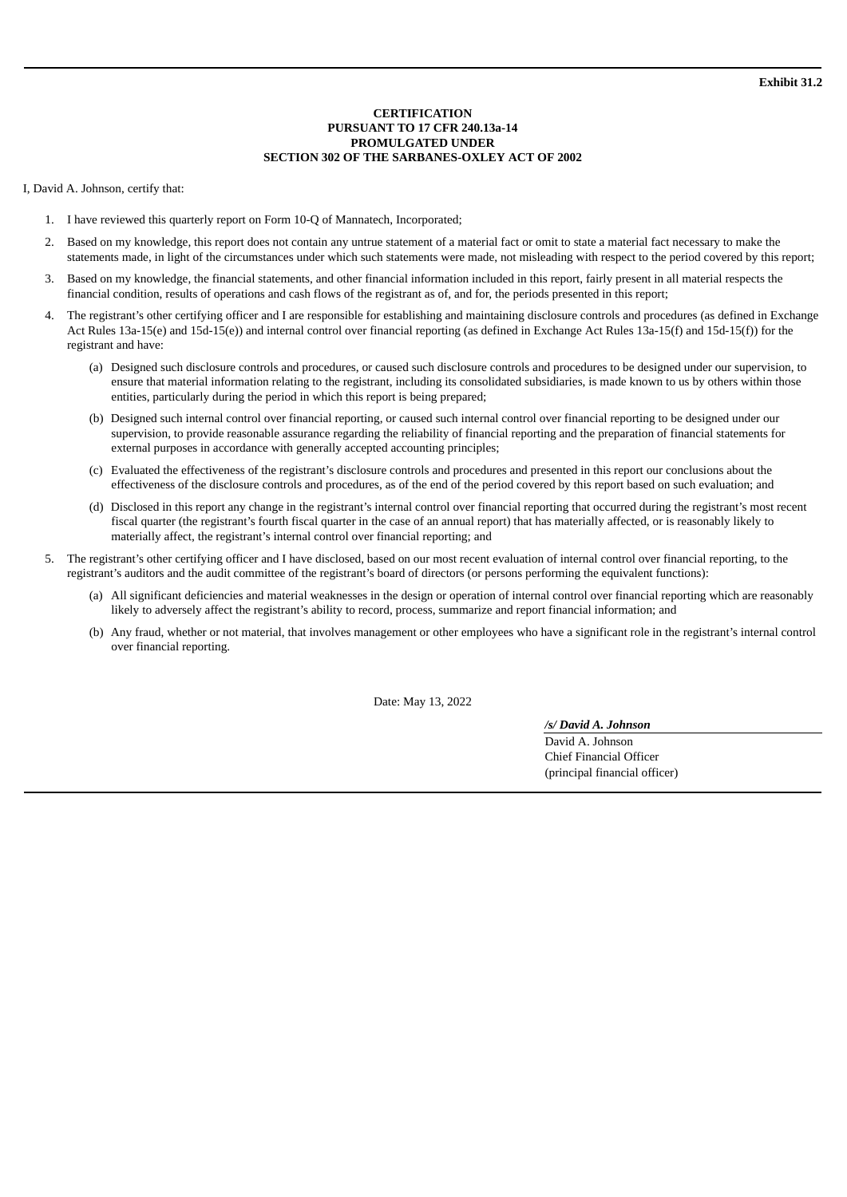#### **CERTIFICATION PURSUANT TO 17 CFR 240.13a-14 PROMULGATED UNDER SECTION 302 OF THE SARBANES-OXLEY ACT OF 2002**

<span id="page-44-0"></span>I, David A. Johnson, certify that:

- 1. I have reviewed this quarterly report on Form 10-Q of Mannatech, Incorporated;
- 2. Based on my knowledge, this report does not contain any untrue statement of a material fact or omit to state a material fact necessary to make the statements made, in light of the circumstances under which such statements were made, not misleading with respect to the period covered by this report;
- 3. Based on my knowledge, the financial statements, and other financial information included in this report, fairly present in all material respects the financial condition, results of operations and cash flows of the registrant as of, and for, the periods presented in this report;
- 4. The registrant's other certifying officer and I are responsible for establishing and maintaining disclosure controls and procedures (as defined in Exchange Act Rules 13a-15(e) and 15d-15(e)) and internal control over financial reporting (as defined in Exchange Act Rules 13a-15(f) and 15d-15(f)) for the registrant and have:
	- (a) Designed such disclosure controls and procedures, or caused such disclosure controls and procedures to be designed under our supervision, to ensure that material information relating to the registrant, including its consolidated subsidiaries, is made known to us by others within those entities, particularly during the period in which this report is being prepared;
	- (b) Designed such internal control over financial reporting, or caused such internal control over financial reporting to be designed under our supervision, to provide reasonable assurance regarding the reliability of financial reporting and the preparation of financial statements for external purposes in accordance with generally accepted accounting principles;
	- (c) Evaluated the effectiveness of the registrant's disclosure controls and procedures and presented in this report our conclusions about the effectiveness of the disclosure controls and procedures, as of the end of the period covered by this report based on such evaluation; and
	- (d) Disclosed in this report any change in the registrant's internal control over financial reporting that occurred during the registrant's most recent fiscal quarter (the registrant's fourth fiscal quarter in the case of an annual report) that has materially affected, or is reasonably likely to materially affect, the registrant's internal control over financial reporting; and
- 5. The registrant's other certifying officer and I have disclosed, based on our most recent evaluation of internal control over financial reporting, to the registrant's auditors and the audit committee of the registrant's board of directors (or persons performing the equivalent functions):
	- (a) All significant deficiencies and material weaknesses in the design or operation of internal control over financial reporting which are reasonably likely to adversely affect the registrant's ability to record, process, summarize and report financial information; and
	- (b) Any fraud, whether or not material, that involves management or other employees who have a significant role in the registrant's internal control over financial reporting.

Date: May 13, 2022

*/s/ David A. Johnson*

David A. Johnson Chief Financial Officer (principal financial officer)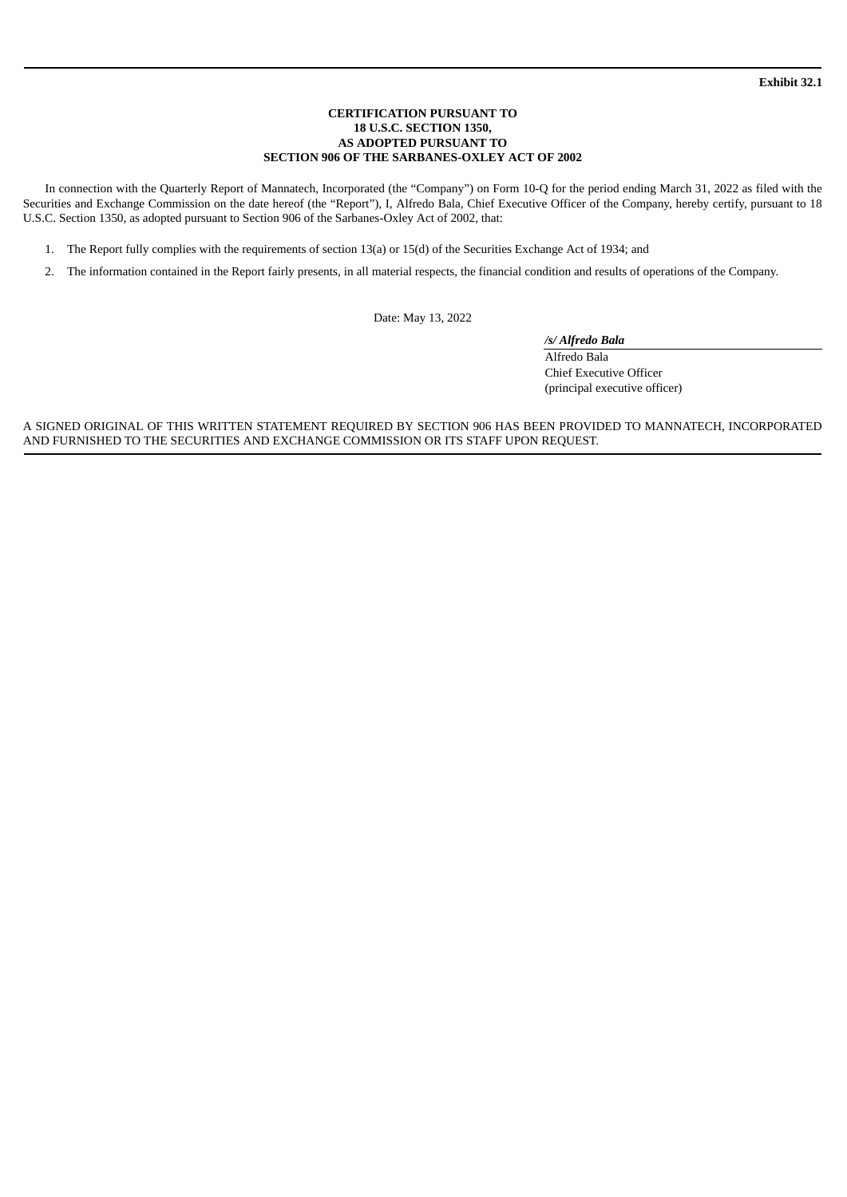### **CERTIFICATION PURSUANT TO 18 U.S.C. SECTION 1350, AS ADOPTED PURSUANT TO SECTION 906 OF THE SARBANES-OXLEY ACT OF 2002**

<span id="page-45-0"></span>In connection with the Quarterly Report of Mannatech, Incorporated (the "Company") on Form 10-Q for the period ending March 31, 2022 as filed with the Securities and Exchange Commission on the date hereof (the "Report"), I, Alfredo Bala, Chief Executive Officer of the Company, hereby certify, pursuant to 18 U.S.C. Section 1350, as adopted pursuant to Section 906 of the Sarbanes-Oxley Act of 2002, that:

- 1. The Report fully complies with the requirements of section 13(a) or 15(d) of the Securities Exchange Act of 1934; and
- 2. The information contained in the Report fairly presents, in all material respects, the financial condition and results of operations of the Company.

Date: May 13, 2022

*/s/ Alfredo Bala* Alfredo Bala Chief Executive Officer

(principal executive officer)

A SIGNED ORIGINAL OF THIS WRITTEN STATEMENT REQUIRED BY SECTION 906 HAS BEEN PROVIDED TO MANNATECH, INCORPORATED AND FURNISHED TO THE SECURITIES AND EXCHANGE COMMISSION OR ITS STAFF UPON REQUEST.